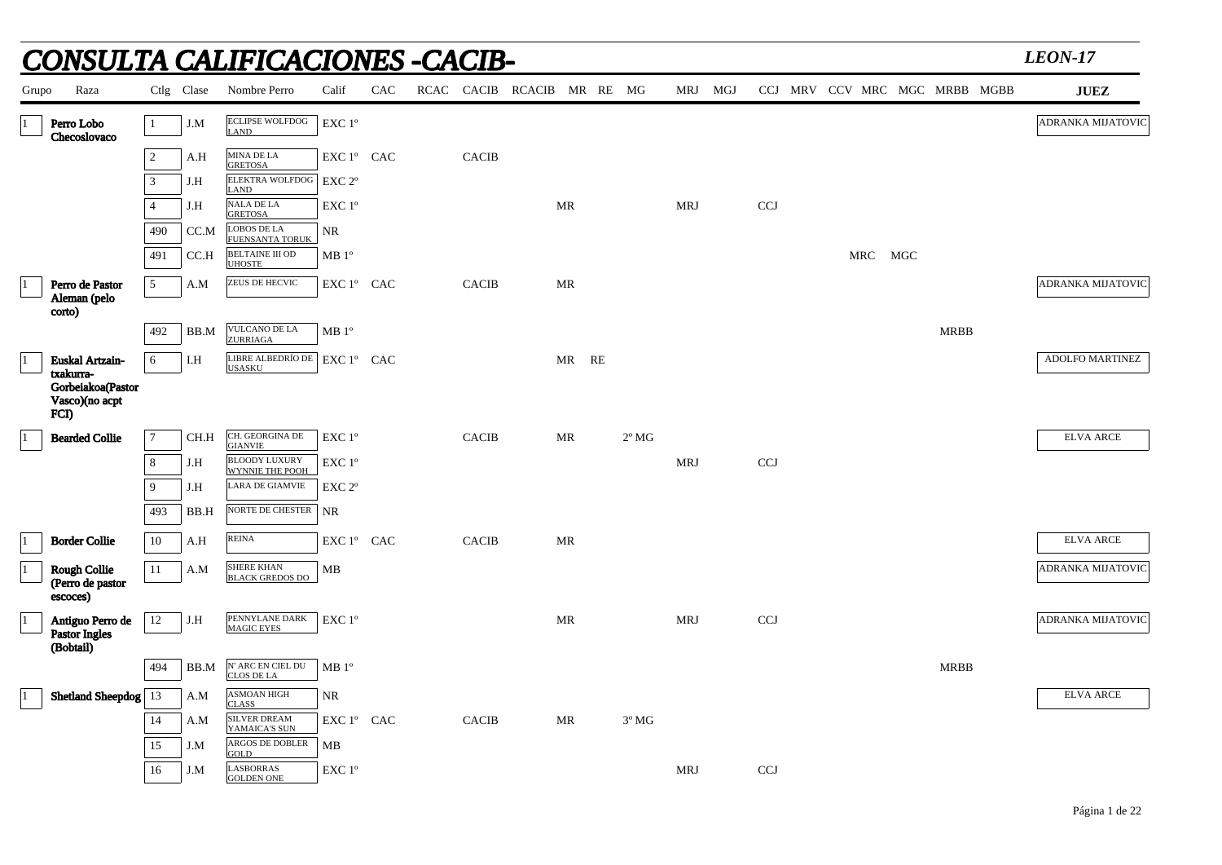|             |                                                          |                |            | NSULTA CALIFICACIONES -CACIB-                  |                    |     |              |                 |           |                |            |            |  |     |     |                               | <b>LEON-17</b>         |
|-------------|----------------------------------------------------------|----------------|------------|------------------------------------------------|--------------------|-----|--------------|-----------------|-----------|----------------|------------|------------|--|-----|-----|-------------------------------|------------------------|
| Grupo       | Raza                                                     |                | Ctlg Clase | Nombre Perro                                   | Calif              | CAC | RCAC CACIB   | RCACIB MR RE MG |           |                | MRJ MGJ    |            |  |     |     | CCJ MRV CCV MRC MGC MRBB MGBB | <b>JUEZ</b>            |
| $\vert$ 1   | Perro Lobo<br>Checoslovaco                               | $\mathbf{1}$   | J.M        | <b>ECLIPSE WOLFDOG</b><br>LAND                 | EXC 1°             |     |              |                 |           |                |            |            |  |     |     |                               | ADRANKA MIJATOVIC      |
|             |                                                          | $\overline{2}$ | A.H        | MINA DE LA<br><b>GRETOSA</b>                   | EXC 1° CAC         |     | <b>CACIB</b> |                 |           |                |            |            |  |     |     |                               |                        |
|             |                                                          | 3              | J.H        | <b>ELEKTRA WOLFDOG</b><br><b>LAND</b>          | EXC 2 <sup>o</sup> |     |              |                 |           |                |            |            |  |     |     |                               |                        |
|             |                                                          | $\overline{4}$ | J.H        | $\operatorname{NALA}$ DE LA<br><b>GRETOSA</b>  | $EXC1^{\circ}$     |     |              |                 | MR        |                | MRJ        | <b>CCJ</b> |  |     |     |                               |                        |
|             |                                                          | 490            | CC.M       | <b>LOBOS DE LA</b><br><b>FUENSANTA TORUK</b>   | <b>NR</b>          |     |              |                 |           |                |            |            |  |     |     |                               |                        |
|             |                                                          | 491            | CC.H       | <b>BELTAINE III OD</b><br><b>UHOSTE</b>        | MB 1 <sup>o</sup>  |     |              |                 |           |                |            |            |  | MRC | MGC |                               |                        |
| $ 1\rangle$ | Perro de Pastor                                          | 5              | A.M        | <b>ZEUS DE HECVIC</b>                          | EXC 1° CAC         |     | <b>CACIB</b> |                 | MR        |                |            |            |  |     |     |                               | ADRANKA MIJATOVIC      |
|             | Aleman (pelo<br>corto)                                   |                |            |                                                |                    |     |              |                 |           |                |            |            |  |     |     |                               |                        |
|             |                                                          | 492            | BB.M       | VULCANO DE LA<br>ZURRIAGA                      | MB 1 <sup>o</sup>  |     |              |                 |           |                |            |            |  |     |     | <b>MRBB</b>                   |                        |
| $ 1\rangle$ | <b>Euskal Artzain-</b>                                   | 6              | I.H        | LIBRE ALBEDRÍO DE EXC 1º CAC<br><b>USASKU</b>  |                    |     |              |                 | MR RE     |                |            |            |  |     |     |                               | <b>ADOLFO MARTINEZ</b> |
|             | txakurra-<br>Gorbeiakoa(Pastor<br>Vasco)(no acpt<br>FCI) |                |            |                                                |                    |     |              |                 |           |                |            |            |  |     |     |                               |                        |
| $ 1\rangle$ | <b>Bearded Collie</b>                                    | $\overline{7}$ | CH.H       | CH. GEORGINA DE<br><b>GIANVIE</b>              | EXC 1°             |     | <b>CACIB</b> |                 | MR        | $2^{\circ}$ MG |            |            |  |     |     |                               | <b>ELVA ARCE</b>       |
|             |                                                          | 8              | J.H        | <b>BLOODY LUXURY</b><br><b>WYNNIE THE POOH</b> | EXC 1°             |     |              |                 |           |                | <b>MRJ</b> | <b>CCJ</b> |  |     |     |                               |                        |
|             |                                                          | 9              | J.H        | LARA DE GIAMVIE                                | EXC 2 <sup>o</sup> |     |              |                 |           |                |            |            |  |     |     |                               |                        |
|             |                                                          | 493            | BB.H       | NORTE DE CHESTER                               | <b>NR</b>          |     |              |                 |           |                |            |            |  |     |     |                               |                        |
| $ 1\rangle$ | <b>Border Collie</b>                                     | 10             | A.H        | <b>REINA</b>                                   | EXC 1° CAC         |     | <b>CACIB</b> |                 | MR        |                |            |            |  |     |     |                               | <b>ELVA ARCE</b>       |
| $\vert$ 1   | <b>Rough Collie</b><br>(Perro de pastor<br>escoces)      | 11             | A.M        | <b>SHERE KHAN</b><br><b>BLACK GREDOS DO</b>    | MB                 |     |              |                 |           |                |            |            |  |     |     |                               | ADRANKA MIJATOVIC      |
| $\vert$ 1   | Antiguo Perro de<br><b>Pastor Ingles</b><br>(Bobtail)    | 12             | J.H        | PENNYLANE DARK<br><b>MAGIC EYES</b>            | $EXC1^{\circ}$     |     |              |                 | <b>MR</b> |                | <b>MRJ</b> | <b>CCJ</b> |  |     |     |                               | ADRANKA MIJATOVIC      |
|             |                                                          | 494            | BB.M       | N' ARC EN CIEL DU<br>CLOS DE LA                | MB 1 <sup>o</sup>  |     |              |                 |           |                |            |            |  |     |     | <b>MRBB</b>                   |                        |
| $ 1\rangle$ | <b>Shetland Sheepdog</b> 13                              |                | A.M        | <b>ASMOAN HIGH</b><br><b>CLASS</b>             | <b>NR</b>          |     |              |                 |           |                |            |            |  |     |     |                               | <b>ELVA ARCE</b>       |
|             |                                                          | 14             | A.M        | <b>SILVER DREAM</b><br>YAMAICA'S SUN           | EXC 1° CAC         |     | <b>CACIB</b> |                 | MR        | $3^{\circ}$ MG |            |            |  |     |     |                               |                        |
|             |                                                          | 15             | J.M        | <b>ARGOS DE DOBLER</b><br>GOLD                 | MВ                 |     |              |                 |           |                |            |            |  |     |     |                               |                        |
|             |                                                          | 16             | J.M        | <b>LASBORRAS</b><br><b>GOLDEN ONE</b>          | EXC 1°             |     |              |                 |           |                | MRJ        | <b>CCJ</b> |  |     |     |                               |                        |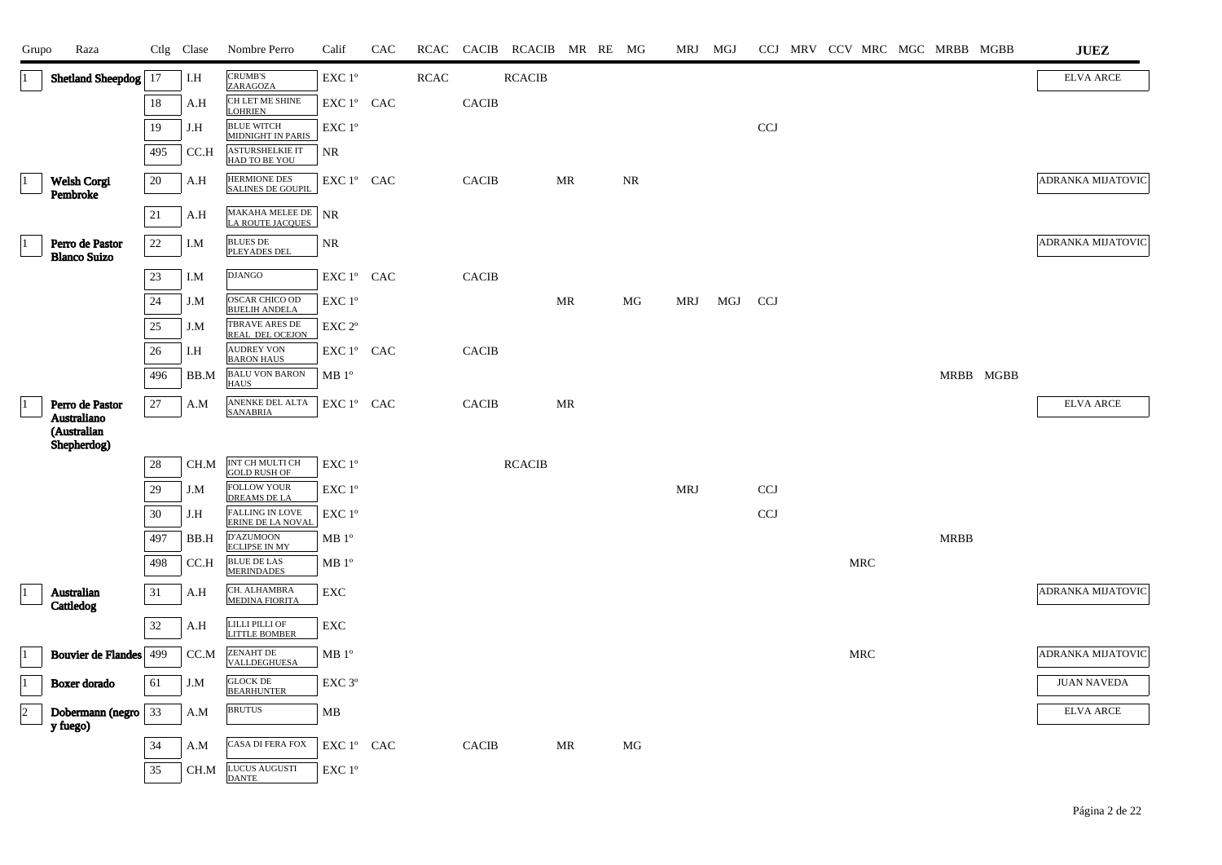| Grupo                | Raza                                   |        | Ctlg Clase | Nombre Perro                                   | Calif                                      | CAC |             |              | RCAC CACIB RCACIB MR RE MG |    |           | MRJ MGJ    |     |            |  |            | CCJ MRV CCV MRC MGC MRBB MGBB |           | <b>JUEZ</b>              |
|----------------------|----------------------------------------|--------|------------|------------------------------------------------|--------------------------------------------|-----|-------------|--------------|----------------------------|----|-----------|------------|-----|------------|--|------------|-------------------------------|-----------|--------------------------|
|                      | Shetland Sheepdog                      | 17     | I.H        | <b>CRUMB'S</b><br>ZARAGOZA                     | $\ensuremath{\mathrm{EXC}}$ $1^\mathrm{o}$ |     | <b>RCAC</b> |              | <b>RCACIB</b>              |    |           |            |     |            |  |            |                               |           | <b>ELVA ARCE</b>         |
|                      |                                        | 18     | A.H        | CH LET ME SHINE<br><b>LOHRIEN</b>              | EXC 1° CAC                                 |     |             | <b>CACIB</b> |                            |    |           |            |     |            |  |            |                               |           |                          |
|                      |                                        | 19     | J.H        | <b>BLUE WITCH</b><br><b>MIDNIGHT IN PARIS</b>  | EXC 1°                                     |     |             |              |                            |    |           |            |     | <b>CCJ</b> |  |            |                               |           |                          |
|                      |                                        | 495    | CC.H       | ASTURSHELKIE IT<br>HAD TO BE YOU               | <b>NR</b>                                  |     |             |              |                            |    |           |            |     |            |  |            |                               |           |                          |
| 11                   | Welsh Corgi<br>Pembroke                | 20     | A.H        | HERMIONE DES<br><b>SALINES DE GOUPIL</b>       | EXC 1° CAC                                 |     |             | <b>CACIB</b> |                            | MR | <b>NR</b> |            |     |            |  |            |                               |           | <b>ADRANKA MIJATOVIC</b> |
|                      |                                        | $21\,$ | A.H        | MAKAHA MELEE DE NR<br>LA ROUTE JACQUES         |                                            |     |             |              |                            |    |           |            |     |            |  |            |                               |           |                          |
|                      | Perro de Pastor<br><b>Blanco Suizo</b> | $22\,$ | I.M        | <b>BLUES DE</b><br><b>PLEYADES DEI</b>         | <b>NR</b>                                  |     |             |              |                            |    |           |            |     |            |  |            |                               |           | ADRANKA MIJATOVIC        |
|                      |                                        | 23     | I.M        | <b>DJANGO</b>                                  | EXC 1º CAC                                 |     |             | <b>CACIB</b> |                            |    |           |            |     |            |  |            |                               |           |                          |
|                      |                                        | 24     | J.M        | <b>OSCAR CHICO OD</b><br><b>BIJELIH ANDELA</b> | EXC 1°                                     |     |             |              |                            | MR | MG        | MRJ        | MGJ | CCJ        |  |            |                               |           |                          |
|                      |                                        | 25     | J.M        | TBRAVE ARES DE<br>REAL DEL OCEJON              | EXC 2 <sup>o</sup>                         |     |             |              |                            |    |           |            |     |            |  |            |                               |           |                          |
|                      |                                        | 26     | I.H        | <b>AUDREY VON</b><br><b>BARON HAUS</b>         | EXC 1º CAC                                 |     |             | <b>CACIB</b> |                            |    |           |            |     |            |  |            |                               |           |                          |
|                      |                                        | 496    | BB.M       | <b>BALU VON BARON</b><br><b>HAUS</b>           | MB 1 <sup>o</sup>                          |     |             |              |                            |    |           |            |     |            |  |            |                               | MRBB MGBB |                          |
|                      | Perro de Pastor<br>Australiano         | 27     | A.M        | ANENKE DEL ALTA<br><b>SANABRIA</b>             | EXC 1° CAC                                 |     |             | <b>CACIB</b> |                            | MR |           |            |     |            |  |            |                               |           | <b>ELVA ARCE</b>         |
|                      | (Australian<br>Shepherdog)             |        |            |                                                |                                            |     |             |              |                            |    |           |            |     |            |  |            |                               |           |                          |
|                      |                                        | $28\,$ | CH.M       | INT CH MULTI CH<br><b>GOLD RUSH OF</b>         | EXC 1°                                     |     |             |              | <b>RCACIB</b>              |    |           |            |     |            |  |            |                               |           |                          |
|                      |                                        | 29     | J.M        | <b>FOLLOW YOUR</b><br><b>DREAMS DE LA</b>      | EXC 1 <sup>o</sup>                         |     |             |              |                            |    |           | <b>MRJ</b> |     | <b>CCJ</b> |  |            |                               |           |                          |
|                      |                                        | 30     | J.H        | <b>FALLING IN LOVE</b><br>ERINE DE LA NOVAL    | EXC 1 <sup>°</sup>                         |     |             |              |                            |    |           |            |     | <b>CCJ</b> |  |            |                               |           |                          |
|                      |                                        | 497    | BB.H       | D'AZUMOON<br><b>ECLIPSE IN MY</b>              | MB 1 <sup>o</sup>                          |     |             |              |                            |    |           |            |     |            |  |            | <b>MRBB</b>                   |           |                          |
|                      |                                        | 498    | CC.H       | <b>BLUE DE LAS</b><br><b>MERINDADES</b>        | MB 1 <sup>o</sup>                          |     |             |              |                            |    |           |            |     |            |  | <b>MRC</b> |                               |           |                          |
|                      | Australian<br>Cattledog                | $31\,$ | A.H        | CH. ALHAMBRA<br><b>MEDINA FIORITA</b>          | EXC                                        |     |             |              |                            |    |           |            |     |            |  |            |                               |           | ADRANKA MIJATOVIC        |
|                      |                                        | $32\,$ | A.H        | LILLI PILLI OF<br><b>LITTLE BOMBER</b>         | ${\rm EXC}$                                |     |             |              |                            |    |           |            |     |            |  |            |                               |           |                          |
| $\vert$ 1            | <b>Bouvier de Flandes</b>              | 499    | CC.M       | <b>ZENAHT DE</b><br>VALLDEGHUESA               | MB 1 <sup>o</sup>                          |     |             |              |                            |    |           |            |     |            |  | <b>MRC</b> |                               |           | ADRANKA MIJATOVIC        |
| $ 1\rangle$          | Boxer dorado                           | 61     | J.M        | <b>GLOCK DE</b><br><b>BEARHUNTER</b>           | EXC <sub>3°</sub>                          |     |             |              |                            |    |           |            |     |            |  |            |                               |           | <b>JUAN NAVEDA</b>       |
| $\vert$ <sub>2</sub> | Dobermann (negro<br>y fuego)           | 33     | A.M        | <b>BRUTUS</b>                                  | MB                                         |     |             |              |                            |    |           |            |     |            |  |            |                               |           | <b>ELVA ARCE</b>         |
|                      |                                        | 34     | A.M        | <b>CASA DI FERA FOX</b>                        | EXC 1° CAC                                 |     |             | <b>CACIB</b> |                            | MR | МG        |            |     |            |  |            |                               |           |                          |
|                      |                                        | 35     | CH.M       | LUCUS AUGUSTI<br><b>DANTE</b>                  | EXC 1°                                     |     |             |              |                            |    |           |            |     |            |  |            |                               |           |                          |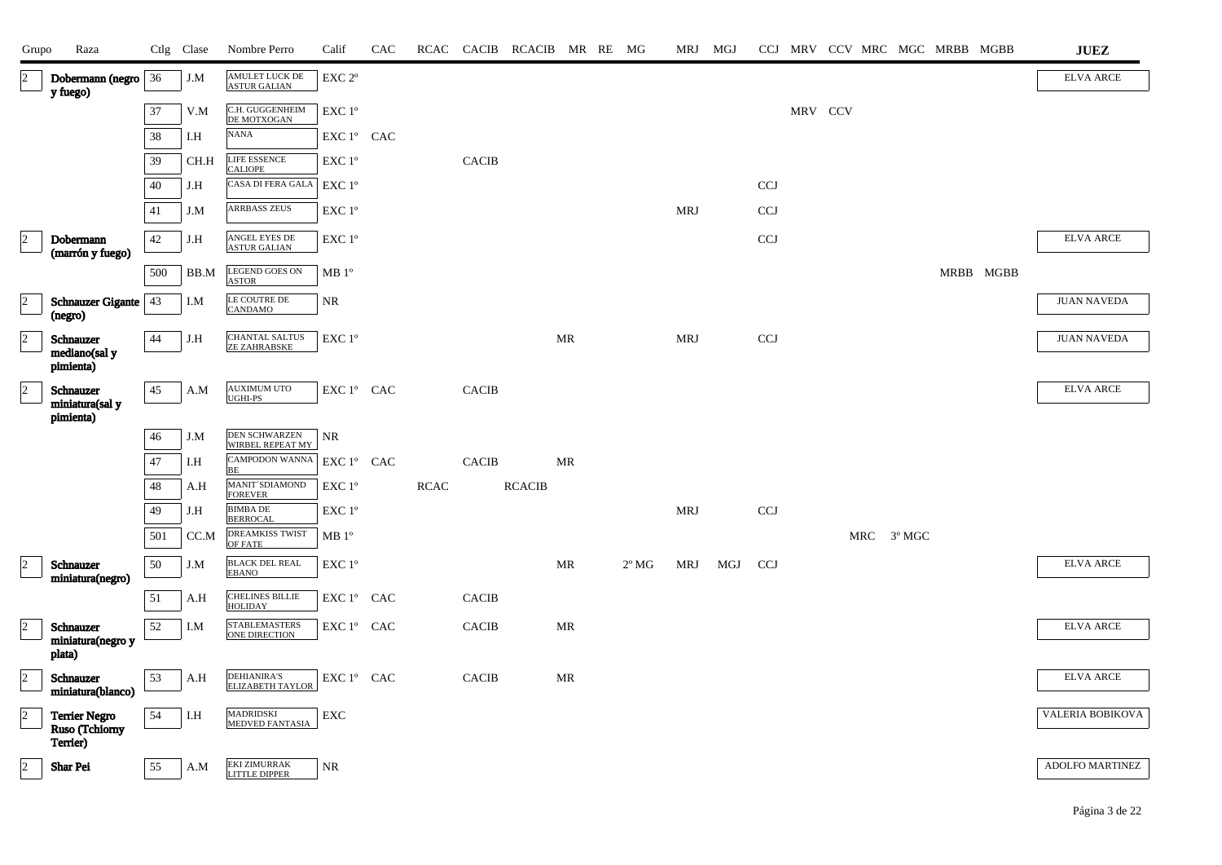| Grupo          | Raza                              |        | Ctlg Clase   | Nombre Perro                                 | Calif                                                              | CAC | RCAC |              | CACIB RCACIB MR RE MG |           |                | MRJ MGJ    |     |            |         |  |            | CCJ MRV CCV MRC MGC MRBB MGBB | ${\bf JUEZ}$       |
|----------------|-----------------------------------|--------|--------------|----------------------------------------------|--------------------------------------------------------------------|-----|------|--------------|-----------------------|-----------|----------------|------------|-----|------------|---------|--|------------|-------------------------------|--------------------|
| $ 2\rangle$    | Dobermann (negro<br>y fuego)      | 36     | $_{\rm J.M}$ | AMULET LUCK DE<br>ASTUR GALIAN               | $\ensuremath{\mathrm{EXC}}$ $2^{\mathrm{o}}$                       |     |      |              |                       |           |                |            |     |            |         |  |            |                               | <b>ELVA ARCE</b>   |
|                |                                   | 37     | V.M          | C.H. GUGGENHEIM                              | EXC 1°                                                             |     |      |              |                       |           |                |            |     |            | MRV CCV |  |            |                               |                    |
|                |                                   | $38\,$ | I.H          | DE MOTXOGAN<br><b>NANA</b>                   | EXC 1° CAC                                                         |     |      |              |                       |           |                |            |     |            |         |  |            |                               |                    |
|                |                                   | 39     | CH.H         | <b>LIFE ESSENCE</b>                          | EXC 1°                                                             |     |      | <b>CACIB</b> |                       |           |                |            |     |            |         |  |            |                               |                    |
|                |                                   | $40\,$ | J.H          | <b>CALIOPE</b><br>CASA DI FERA GALA          | EXC 1°                                                             |     |      |              |                       |           |                |            |     | <b>CCJ</b> |         |  |            |                               |                    |
|                |                                   | 41     | J.M          | <b>ARRBASS ZEUS</b>                          | EXC 1°                                                             |     |      |              |                       |           |                | <b>MRJ</b> |     | <b>CCJ</b> |         |  |            |                               |                    |
| $ 2\rangle$    | Dobermann                         | 42     | J.H          | ANGEL EYES DE<br>ASTUR GALIAN                | $\ensuremath{\mathrm{EXC}}$ $1^\mathrm{o}$                         |     |      |              |                       |           |                |            |     | <b>CCJ</b> |         |  |            |                               | <b>ELVA ARCE</b>   |
|                | (marrón y fuego)                  |        |              | <b>LEGEND GOES ON</b>                        |                                                                    |     |      |              |                       |           |                |            |     |            |         |  |            |                               |                    |
|                |                                   | 500    | BB.M         | <b>ASTOR</b>                                 | MB 1 <sup>o</sup>                                                  |     |      |              |                       |           |                |            |     |            |         |  |            | MRBB MGBB                     |                    |
| $\overline{2}$ | Schnauzer Gigante   43<br>(negro) |        | I.M          | LE COUTRE DE<br><b>CANDAMO</b>               | <b>NR</b>                                                          |     |      |              |                       |           |                |            |     |            |         |  |            |                               | <b>JUAN NAVEDA</b> |
| $\vert$ 2      | Schnauzer<br>mediano(sal y        | 44     | J.H          | <b>CHANTAL SALTUS</b><br><b>ZE ZAHRABSKE</b> | EXC 1°                                                             |     |      |              |                       | MR        |                | MRJ        |     | <b>CCJ</b> |         |  |            |                               | <b>JUAN NAVEDA</b> |
|                | pimienta)                         |        |              |                                              |                                                                    |     |      |              |                       |           |                |            |     |            |         |  |            |                               |                    |
| $\vert$ 2      | Schnauzer<br>miniatura(sal y      | 45     | A.M          | <b>AUXIMUM UTO</b><br>UGHI-PS                | ${\rm EXC}\ 1^{\circ}$ $\hbox{ CAC}$                               |     |      | <b>CACIB</b> |                       |           |                |            |     |            |         |  |            |                               | <b>ELVA ARCE</b>   |
|                | pimienta)                         |        |              |                                              |                                                                    |     |      |              |                       |           |                |            |     |            |         |  |            |                               |                    |
|                |                                   | 46     | J.M          | <b>DEN SCHWARZEN</b><br>WIRBEL REPEAT MY     | $\rm NR$                                                           |     |      |              |                       |           |                |            |     |            |         |  |            |                               |                    |
|                |                                   | 47     | I.H          | CAMPODON WANNA<br>BE                         | EXC 1° CAC                                                         |     |      | <b>CACIB</b> |                       | MR        |                |            |     |            |         |  |            |                               |                    |
|                |                                   | 48     | A.H          | MANIT'SDIAMOND<br><b>FOREVER</b>             | EXC 1°                                                             |     | RCAC |              | <b>RCACIB</b>         |           |                |            |     |            |         |  |            |                               |                    |
|                |                                   | 49     | J.H          | <b>BIMBA DE</b><br><b>BERROCAL</b>           | EXC 1°                                                             |     |      |              |                       |           |                | <b>MRJ</b> |     | CCJ        |         |  |            |                               |                    |
|                |                                   | 501    | CC.M         | DREAMKISS TWIST<br>OF FATE                   | MB 1 <sup>o</sup>                                                  |     |      |              |                       |           |                |            |     |            |         |  | MRC 3º MGC |                               |                    |
| $ 2\rangle$    | Schnauzer<br>miniatura(negro)     | 50     | J.M          | <b>BLACK DEL REAL</b><br><b>EBANO</b>        | EXC 1°                                                             |     |      |              |                       | MR        | $2^{\circ}$ MG | MRJ        | MGJ | <b>CCJ</b> |         |  |            |                               | <b>ELVA ARCE</b>   |
|                |                                   | 51     | A.H          | <b>CHELINES BILLIE</b><br><b>HOLIDAY</b>     | EXC 1° CAC                                                         |     |      | <b>CACIB</b> |                       |           |                |            |     |            |         |  |            |                               |                    |
| $\vert$ 2      | Schnauzer<br>miniatura(negro y    | $52\,$ | I.M          | STABLEMASTERS<br>ONE DIRECTION               | $\mathop{\rm EXC}\nolimits 1^{\circ }$ $\mathop{\rm CAC}\nolimits$ |     |      | <b>CACIB</b> |                       | <b>MR</b> |                |            |     |            |         |  |            |                               | <b>ELVA ARCE</b>   |
|                | plata)                            |        |              |                                              |                                                                    |     |      |              |                       |           |                |            |     |            |         |  |            |                               |                    |
| $ 2\rangle$    | Schnauzer<br>miniatura(blanco)    | 53     | A.H          | DEHIANIRA'S<br>ELIZABETH TAYLOR              | EXC 1° CAC                                                         |     |      | <b>CACIB</b> |                       | <b>MR</b> |                |            |     |            |         |  |            |                               | <b>ELVA ARCE</b>   |
| $\vert$ 2      | <b>Terrier Negro</b>              | 54     | I.H          | MADRIDSKI<br><u>MEDVED FANTASIA</u>          | ${\rm EXC}$                                                        |     |      |              |                       |           |                |            |     |            |         |  |            |                               | VALERIA BOBIKOVA   |
|                | Ruso (Tchiorny<br>Terrier)        |        |              |                                              |                                                                    |     |      |              |                       |           |                |            |     |            |         |  |            |                               |                    |
| $\overline{2}$ | <b>Shar Pei</b>                   | 55     | A.M          | <b>EKI ZIMURRAK</b><br><b>LITTLE DIPPER</b>  | <b>NR</b>                                                          |     |      |              |                       |           |                |            |     |            |         |  |            |                               | ADOLFO MARTINEZ    |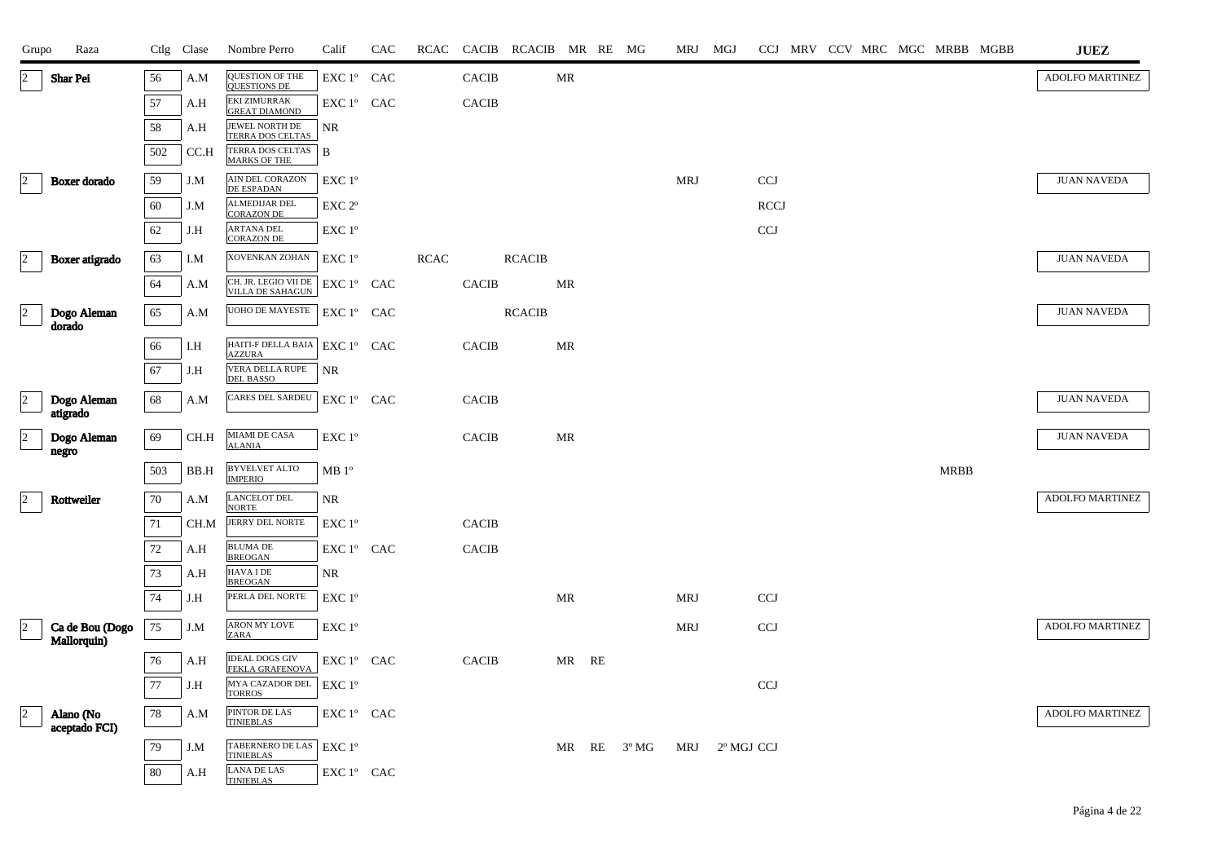| Grupo                      | Raza                       |          | Ctlg Clase | Nombre Perro                                | Calif                        | CAC | RCAC        |              | CACIB RCACIB MR RE MG |           |    |                | MRJ MGJ    |            |                           |  |  | CCJ MRV CCV MRC MGC MRBB MGBB | <b>JUEZ</b>        |
|----------------------------|----------------------------|----------|------------|---------------------------------------------|------------------------------|-----|-------------|--------------|-----------------------|-----------|----|----------------|------------|------------|---------------------------|--|--|-------------------------------|--------------------|
| $ 2\rangle$                | <b>Shar Pei</b>            | 56       | A.M        | QUESTION OF THE<br>QUESTIONS DE             | EXC 1° CAC                   |     |             | <b>CACIB</b> |                       | MR        |    |                |            |            |                           |  |  |                               | ADOLFO MARTINEZ    |
|                            |                            | 57       | A.H        | <b>EKI ZIMURRAK</b><br><b>GREAT DIAMOND</b> | EXC 1° CAC                   |     |             | <b>CACIB</b> |                       |           |    |                |            |            |                           |  |  |                               |                    |
|                            |                            | 58       | A.H        | JEWEL NORTH DE<br><b>TERRA DOS CELTAS</b>   | NR                           |     |             |              |                       |           |    |                |            |            |                           |  |  |                               |                    |
|                            |                            | 502      | CC.H       | TERRA DOS CELTAS<br><b>MARKS OF THE</b>     | $\mathbf{B}$                 |     |             |              |                       |           |    |                |            |            |                           |  |  |                               |                    |
| 2                          | Boxer dorado               | 59       | J.M        | AIN DEL CORAZON<br>DE ESPADAN               | EXC 1°                       |     |             |              |                       |           |    |                | <b>MRJ</b> |            | $\ensuremath{\text{CCJ}}$ |  |  |                               | <b>JUAN NAVEDA</b> |
|                            |                            | 60       | J.M        | <b>ALMEDIJAR DEL</b><br><b>CORAZON DE</b>   | EXC <sub>2°</sub>            |     |             |              |                       |           |    |                |            |            | <b>RCCJ</b>               |  |  |                               |                    |
|                            |                            | 62       | J.H        | ARTANA DEL<br><b>CORAZON DE</b>             | EXC 1°                       |     |             |              |                       |           |    |                |            |            | <b>CCJ</b>                |  |  |                               |                    |
| $\vert$ <sup>2</sup>       | Boxer atigrado             | 63       | I.M        | XOVENKAN ZOHAN                              | EXC 1 <sup>o</sup>           |     | <b>RCAC</b> |              | <b>RCACIB</b>         |           |    |                |            |            |                           |  |  |                               | <b>JUAN NAVEDA</b> |
|                            |                            | 64       | A.M        | CH. JR. LEGIO VII DE<br>VILLA DE SAHAGUN    | EXC 1° CAC                   |     |             | <b>CACIB</b> |                       | MR        |    |                |            |            |                           |  |  |                               |                    |
| $\vert$ <sub>2</sub>       | Dogo Aleman                | 65       | A.M        | UOHO DE MAYESTE                             | EXC 1° CAC                   |     |             |              | <b>RCACIB</b>         |           |    |                |            |            |                           |  |  |                               | <b>JUAN NAVEDA</b> |
|                            | dorado                     |          |            | HAITI-F DELLA BAIA                          |                              |     |             |              |                       |           |    |                |            |            |                           |  |  |                               |                    |
|                            |                            | 66<br>67 | I.H        | <b>AZZURA</b><br>VERA DELLA RUPE            | EXC 1° CAC                   |     |             | <b>CACIB</b> |                       | MR        |    |                |            |            |                           |  |  |                               |                    |
|                            |                            |          | J.H        | <b>DEL BASSO</b>                            | NR.                          |     |             |              |                       |           |    |                |            |            |                           |  |  |                               |                    |
| $\sqrt{2}$                 | Dogo Aleman<br>atigrado    | 68       | A.M        | <b>CARES DEL SARDEU</b>                     | EXC 1° CAC                   |     |             | <b>CACIB</b> |                       |           |    |                |            |            |                           |  |  |                               | <b>JUAN NAVEDA</b> |
| $\overline{\phantom{a}}^2$ | Dogo Aleman                | 69       | CH.H       | <b>MIAMI DE CASA</b><br><b>ALANIA</b>       | $EXC1^{\circ}$               |     |             | <b>CACIB</b> |                       | MR        |    |                |            |            |                           |  |  |                               | <b>JUAN NAVEDA</b> |
|                            | negro                      | 503      | BB.H       | <b>BYVELVET ALTO</b>                        | MB 1 <sup>o</sup>            |     |             |              |                       |           |    |                |            |            |                           |  |  | <b>MRBB</b>                   |                    |
| $\vert$ <sup>2</sup>       | Rottweiler                 | 70       | A.M        | <b>IMPERIO</b><br>LANCELOT DEL              | NR                           |     |             |              |                       |           |    |                |            |            |                           |  |  |                               | ADOLFO MARTINEZ    |
|                            |                            | 71       | CH.M       | <b>NORTE</b><br>JERRY DEL NORTE             | EXC 1 <sup>o</sup>           |     |             | <b>CACIB</b> |                       |           |    |                |            |            |                           |  |  |                               |                    |
|                            |                            | $72\,$   | A.H        | <b>BLUMA DE</b>                             | EXC 1° CAC                   |     |             | <b>CACIB</b> |                       |           |    |                |            |            |                           |  |  |                               |                    |
|                            |                            | 73       | A.H        | <b>BREOGAN</b><br><b>HAVA I DE</b>          | NR                           |     |             |              |                       |           |    |                |            |            |                           |  |  |                               |                    |
|                            |                            | 74       | J.H        | <b>BREOGAN</b><br>PERLA DEL NORTE           | EXC 1°                       |     |             |              |                       | <b>MR</b> |    |                | <b>MRJ</b> |            | <b>CCJ</b>                |  |  |                               |                    |
| $\sqrt{2}$                 | Ca de Bou (Dogo            | 75       | J.M        | ARON MY LOVE                                | EXC 1°                       |     |             |              |                       |           |    |                | MRJ        |            | <b>CCJ</b>                |  |  |                               | ADOLFO MARTINEZ    |
|                            | Mallorquin)                |          |            | ZARA<br><b>IDEAL DOGS GIV</b>               |                              |     |             |              |                       |           |    |                |            |            |                           |  |  |                               |                    |
|                            |                            | 76<br>77 | A.H        | <b>FEKLA GRAFENOVA</b><br>MYA CAZADOR DEL   | EXC 1° CAC<br>$EXC1^{\circ}$ |     |             | <b>CACIB</b> |                       | MR RE     |    |                |            |            | CCJ                       |  |  |                               |                    |
|                            |                            |          | J.H        | <b>TORROS</b>                               |                              |     |             |              |                       |           |    |                |            |            |                           |  |  |                               |                    |
| $\vert$ <sub>2</sub>       | Alano (No<br>aceptado FCI) | 78       | A.M        | PINTOR DE LAS<br><b>TINIEBLAS</b>           | EXC 1º CAC                   |     |             |              |                       |           |    |                |            |            |                           |  |  |                               | ADOLFO MARTINEZ    |
|                            |                            | 79       | J.M        | TABERNERO DE LAS<br><b>TINIEBLAS</b>        | $EXC1^{\circ}$               |     |             |              |                       | MR        | RE | $3^{\rm o}$ MG | MRJ        | 2º MGJ CCJ |                           |  |  |                               |                    |
|                            |                            | $80\,$   | A.H        | <b>LANA DE LAS</b><br><b>TINIEBLAS</b>      | EXC 1° CAC                   |     |             |              |                       |           |    |                |            |            |                           |  |  |                               |                    |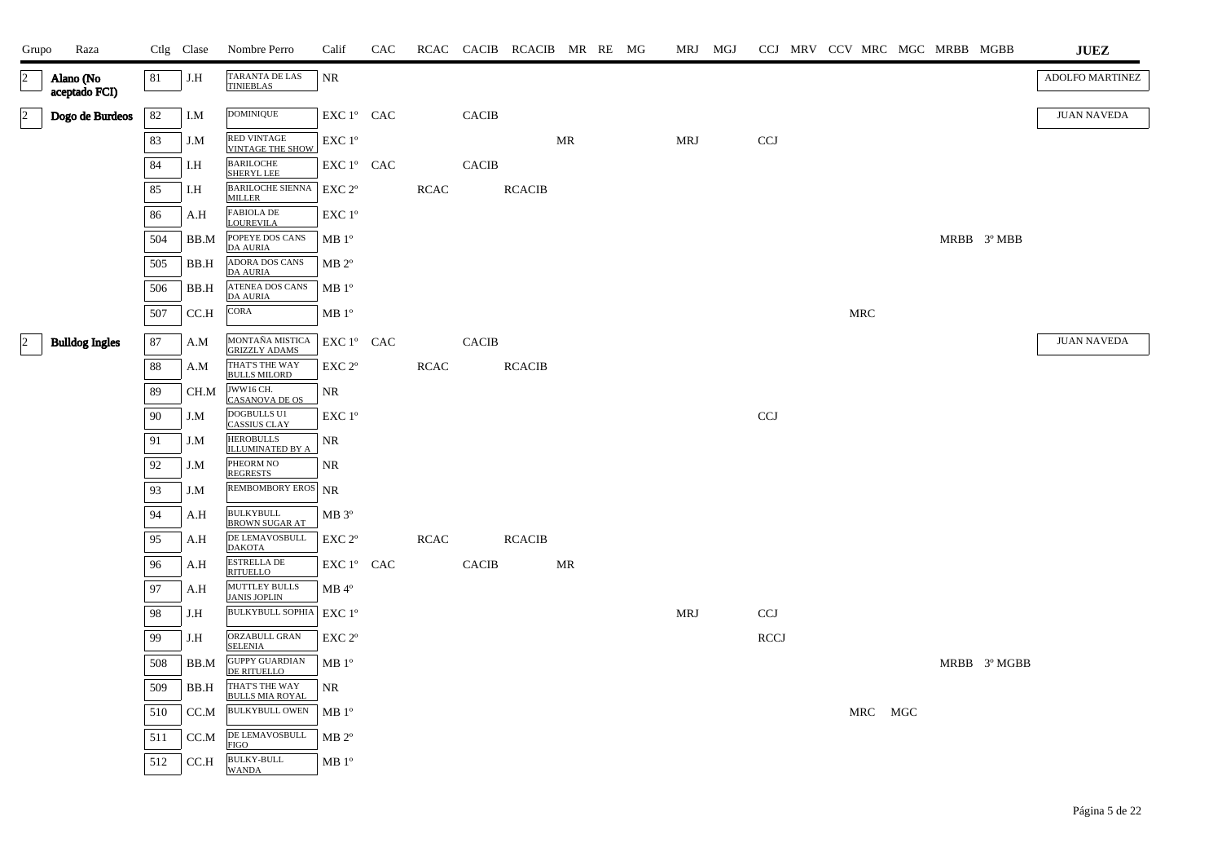| Grupo          | Raza                       |     | Ctlg Clase | Nombre Perro                                  | Calif              | CAC |             |              | RCAC CACIB RCACIB MR RE MG |    |  |            | MRJ MGJ |            |  |            | CCJ MRV CCV MRC MGC MRBB MGBB |              | <b>JUEZ</b>        |
|----------------|----------------------------|-----|------------|-----------------------------------------------|--------------------|-----|-------------|--------------|----------------------------|----|--|------------|---------|------------|--|------------|-------------------------------|--------------|--------------------|
| $\overline{2}$ | Alano (No<br>aceptado FCI) | 81  | J.H        | TARANTA DE LAS<br><b>TINIEBLAS</b>            | <b>NR</b>          |     |             |              |                            |    |  |            |         |            |  |            |                               |              | ADOLFO MARTINEZ    |
| $\overline{2}$ | Dogo de Burdeos            | 82  | I.M        | <b>DOMINIQUE</b>                              | EXC 1° CAC         |     |             | <b>CACIB</b> |                            |    |  |            |         |            |  |            |                               |              | <b>JUAN NAVEDA</b> |
|                |                            | 83  | J.M        | <b>RED VINTAGE</b><br><b>VINTAGE THE SHOW</b> | EXC 1°             |     |             |              |                            | MR |  | MRJ        |         | <b>CCJ</b> |  |            |                               |              |                    |
|                |                            | 84  | I.H        | <b>BARILOCHE</b><br>SHERYL LEE                | EXC 1° CAC         |     |             | <b>CACIB</b> |                            |    |  |            |         |            |  |            |                               |              |                    |
|                |                            | 85  | I.H        | <b>BARILOCHE SIENNA</b><br><b>MILLER</b>      | EXC 2 <sup>o</sup> |     | <b>RCAC</b> |              | <b>RCACIB</b>              |    |  |            |         |            |  |            |                               |              |                    |
|                |                            | 86  | A.H        | <b>FABIOLA DE</b><br><b>LOUREVILA</b>         | EXC 1°             |     |             |              |                            |    |  |            |         |            |  |            |                               |              |                    |
|                |                            | 504 | BB.M       | POPEYE DOS CANS<br><b>DA AURIA</b>            | MB 1 <sup>o</sup>  |     |             |              |                            |    |  |            |         |            |  |            |                               | MRBB 3º MBB  |                    |
|                |                            | 505 | BB.H       | <b>ADORA DOS CANS</b><br><b>DA AURIA</b>      | $MB 2^{\circ}$     |     |             |              |                            |    |  |            |         |            |  |            |                               |              |                    |
|                |                            | 506 | BB.H       | ATENEA DOS CANS<br><b>DA AURIA</b>            | MB 1 <sup>o</sup>  |     |             |              |                            |    |  |            |         |            |  |            |                               |              |                    |
|                |                            | 507 | CC.H       | CORA                                          | MB <sup>o</sup>    |     |             |              |                            |    |  |            |         |            |  | <b>MRC</b> |                               |              |                    |
| $\sqrt{2}$     | <b>Bulldog Ingles</b>      | 87  | A.M        | MONTAÑA MISTICA<br><b>GRIZZLY ADAMS</b>       | $EXC1^{\circ}$ CAC |     |             | <b>CACIB</b> |                            |    |  |            |         |            |  |            |                               |              | <b>JUAN NAVEDA</b> |
|                |                            | 88  | A.M        | THAT'S THE WAY<br><b>BULLS MILORD</b>         | EXC 2 <sup>o</sup> |     | <b>RCAC</b> |              | <b>RCACIB</b>              |    |  |            |         |            |  |            |                               |              |                    |
|                |                            | 89  | CH.M       | JWW16 CH.<br><b>CASANOVA DE OS</b>            | NR                 |     |             |              |                            |    |  |            |         |            |  |            |                               |              |                    |
|                |                            | 90  | J.M        | <b>DOGBULLS U1</b><br><b>CASSIUS CLAY</b>     | EXC 1°             |     |             |              |                            |    |  |            |         | <b>CCJ</b> |  |            |                               |              |                    |
|                |                            | 91  | J.M        | <b>HEROBULLS</b><br><b>ILLUMINATED BY A</b>   | NR                 |     |             |              |                            |    |  |            |         |            |  |            |                               |              |                    |
|                |                            | 92  | J.M        | PHEORM NO<br><b>REGRESTS</b>                  | NR                 |     |             |              |                            |    |  |            |         |            |  |            |                               |              |                    |
|                |                            | 93  | J.M        | REMBOMBORY EROS NR                            |                    |     |             |              |                            |    |  |            |         |            |  |            |                               |              |                    |
|                |                            | 94  | A.H        | <b>BULKYBULL</b><br><b>BROWN SUGAR AT</b>     | $MB 3^{\circ}$     |     |             |              |                            |    |  |            |         |            |  |            |                               |              |                    |
|                |                            | 95  | A.H        | DE LEMAVOSBULL<br><b>DAKOTA</b>               | EXC 2 <sup>o</sup> |     | <b>RCAC</b> |              | <b>RCACIB</b>              |    |  |            |         |            |  |            |                               |              |                    |
|                |                            | 96  | A.H        | <b>ESTRELLA DE</b><br><b>RITUELLO</b>         | EXC 1° CAC         |     |             | <b>CACIB</b> |                            | MR |  |            |         |            |  |            |                               |              |                    |
|                |                            | 97  | A.H        | <b>MUTTLEY BULLS</b><br><b>JANIS JOPLIN</b>   | $MB 4^{\circ}$     |     |             |              |                            |    |  |            |         |            |  |            |                               |              |                    |
|                |                            | 98  | J.H        | <b>BULKYBULL SOPHIA</b>                       | $EXC1^{\circ}$     |     |             |              |                            |    |  | <b>MRJ</b> |         | <b>CCJ</b> |  |            |                               |              |                    |
|                |                            | 99  | J.H        | ORZABULL GRAN<br><b>SELENIA</b>               | EXC <sub>2°</sub>  |     |             |              |                            |    |  |            |         | RCCJ       |  |            |                               |              |                    |
|                |                            | 508 | BB.M       | <b>GUPPY GUARDIAN</b><br><b>DE RITUELLO</b>   | MB <sup>o</sup>    |     |             |              |                            |    |  |            |         |            |  |            |                               | MRBB 3º MGBB |                    |
|                |                            | 509 | BB.H       | THAT'S THE WAY<br><b>BULLS MIA ROYAL</b>      | NR                 |     |             |              |                            |    |  |            |         |            |  |            |                               |              |                    |
|                |                            | 510 | CC.M       | <b>BULKYBULL OWEN</b>                         | MB 1 <sup>o</sup>  |     |             |              |                            |    |  |            |         |            |  | MRC MGC    |                               |              |                    |
|                |                            | 511 | CC.M       | DE LEMAVOSBULL<br><b>FIGO</b>                 | $MB 2^{\circ}$     |     |             |              |                            |    |  |            |         |            |  |            |                               |              |                    |
|                |                            | 512 | CC.H       | <b>BULKY-BULL</b><br><b>WANDA</b>             | $MB 1^{\circ}$     |     |             |              |                            |    |  |            |         |            |  |            |                               |              |                    |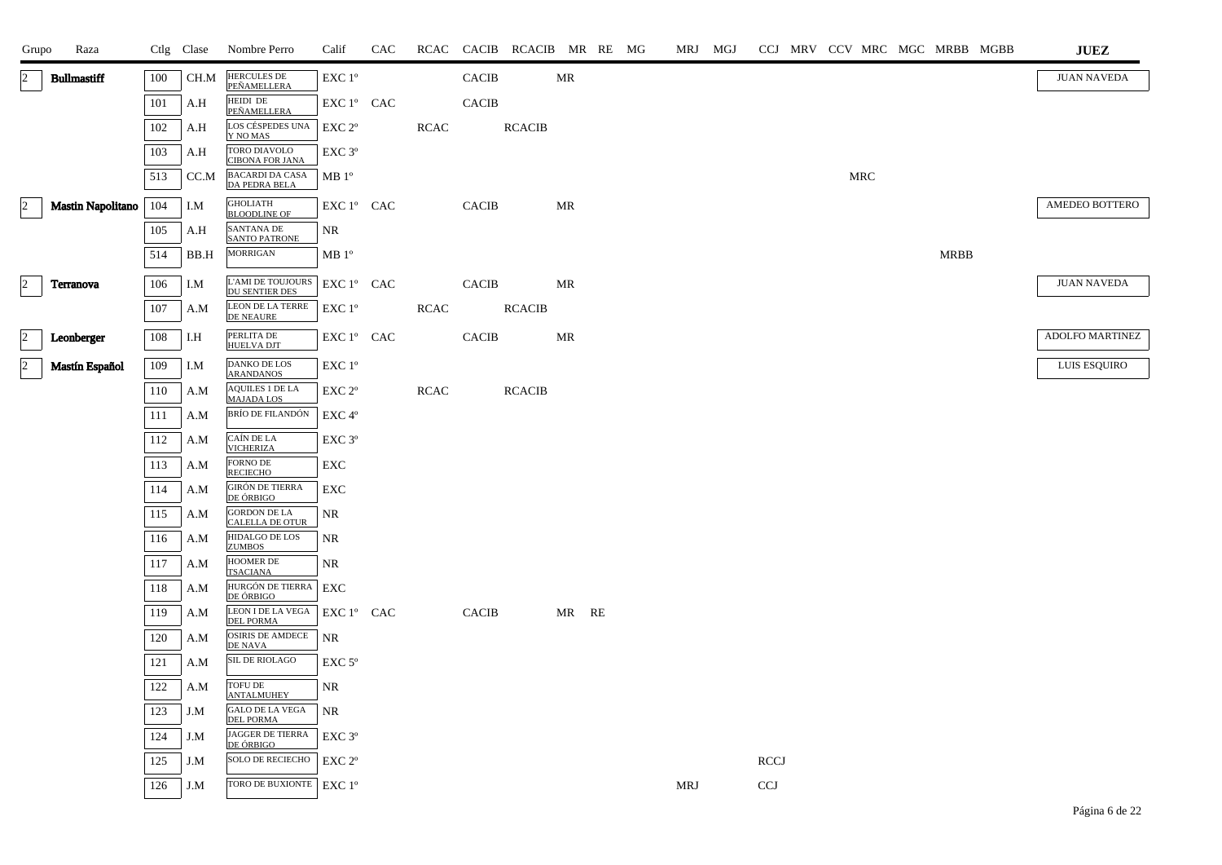| Grupo        | Raza                     |     | Ctlg Clase | Nombre Perro                                  | Calif              | CAC |             |              | RCAC CACIB RCACIB MR RE MG |       |  | MRJ MGJ |             |  |            |  |             | CCJ MRV CCV MRC MGC MRBB MGBB | <b>JUEZ</b>        |
|--------------|--------------------------|-----|------------|-----------------------------------------------|--------------------|-----|-------------|--------------|----------------------------|-------|--|---------|-------------|--|------------|--|-------------|-------------------------------|--------------------|
| $ 2 \rangle$ | <b>Bullmastiff</b>       | 100 | CH.M       | <b>HERCULES DE</b><br>PEÑAMELLERA             | EXC 1°             |     |             | <b>CACIB</b> |                            | MR    |  |         |             |  |            |  |             |                               | <b>JUAN NAVEDA</b> |
|              |                          | 101 | A.H        | HEIDI DE<br>PEÑAMELLERA                       | EXC 1° CAC         |     |             | <b>CACIB</b> |                            |       |  |         |             |  |            |  |             |                               |                    |
|              |                          | 102 | A.H        | LOS CÉSPEDES UNA<br>Y NO MAS                  | EXC 2 <sup>o</sup> |     | <b>RCAC</b> |              | <b>RCACIB</b>              |       |  |         |             |  |            |  |             |                               |                    |
|              |                          | 103 | A.H        | TORO DIAVOLO<br><b>CIBONA FOR JANA</b>        | EXC <sub>3°</sub>  |     |             |              |                            |       |  |         |             |  |            |  |             |                               |                    |
|              |                          | 513 | CC.M       | <b>BACARDI DA CASA</b><br>DA PEDRA BELA       | MB <sup>o</sup>    |     |             |              |                            |       |  |         |             |  | <b>MRC</b> |  |             |                               |                    |
| $ 2\rangle$  | <b>Mastin Napolitano</b> | 104 | I.M        | <b>GHOLIATH</b><br><b>BLOODLINE OF</b>        | EXC 1° CAC         |     |             | <b>CACIB</b> |                            | MR    |  |         |             |  |            |  |             |                               | AMEDEO BOTTERO     |
|              |                          | 105 | A.H        | <b>SANTANA DE</b><br><b>SANTO PATRONE</b>     | NR                 |     |             |              |                            |       |  |         |             |  |            |  |             |                               |                    |
|              |                          | 514 | BB.H       | <b>MORRIGAN</b>                               | MB 1 <sup>o</sup>  |     |             |              |                            |       |  |         |             |  |            |  | <b>MRBB</b> |                               |                    |
| $\vert$ 2    | Terranova                | 106 | I.M        | L'AMI DE TOUJOURS<br><b>DU SENTIER DES</b>    | EXC 1° CAC         |     |             | <b>CACIB</b> |                            | MR    |  |         |             |  |            |  |             |                               | <b>JUAN NAVEDA</b> |
|              |                          | 107 | A.M        | LEON DE LA TERRE<br>DE NEAURE                 | $EXC1^{\circ}$     |     | <b>RCAC</b> |              | <b>RCACIB</b>              |       |  |         |             |  |            |  |             |                               |                    |
| $\vert$ 2    | Leonberger               | 108 | I.H        | PERLITA DE<br><b>HUELVA DJT</b>               | EXC 1° CAC         |     |             | <b>CACIB</b> |                            | MR    |  |         |             |  |            |  |             |                               | ADOLFO MARTINEZ    |
| $ 2\rangle$  | Mastín Español           | 109 | I.M        | <b>DANKO DE LOS</b>                           | EXC 1°             |     |             |              |                            |       |  |         |             |  |            |  |             |                               | LUIS ESQUIRO       |
|              |                          | 110 | A.M        | <b>ARANDANOS</b><br><b>AQUILES 1 DE LA</b>    | EXC 2 <sup>o</sup> |     | <b>RCAC</b> |              | <b>RCACIB</b>              |       |  |         |             |  |            |  |             |                               |                    |
|              |                          | 111 | A.M        | <b>MAJADA LOS</b><br><b>BRÍO DE FILANDÓN</b>  | EXC 4°             |     |             |              |                            |       |  |         |             |  |            |  |             |                               |                    |
|              |                          | 112 | A.M        | CAÍN DE LA<br><b>VICHERIZA</b>                | EXC 3°             |     |             |              |                            |       |  |         |             |  |            |  |             |                               |                    |
|              |                          | 113 | A.M        | <b>FORNO DE</b><br><b>RECIECHO</b>            | EXC                |     |             |              |                            |       |  |         |             |  |            |  |             |                               |                    |
|              |                          | 114 | A.M        | <b>GIRÓN DE TIERRA</b><br>DE ÓRBIGO           | EXC                |     |             |              |                            |       |  |         |             |  |            |  |             |                               |                    |
|              |                          | 115 | A.M        | <b>GORDON DE LA</b><br><b>CALELLA DE OTUR</b> | NR                 |     |             |              |                            |       |  |         |             |  |            |  |             |                               |                    |
|              |                          | 116 | A.M        | HIDALGO DE LOS<br><b>ZUMBOS</b>               | NR                 |     |             |              |                            |       |  |         |             |  |            |  |             |                               |                    |
|              |                          | 117 | A.M        | HOOMER DE<br><b>TSACIANA</b>                  | <b>NR</b>          |     |             |              |                            |       |  |         |             |  |            |  |             |                               |                    |
|              |                          | 118 | A.M        | HURGÓN DE TIERRA<br>DE ÓRBIGO                 | EXC                |     |             |              |                            |       |  |         |             |  |            |  |             |                               |                    |
|              |                          | 119 | A.M        | LEON I DE LA VEGA<br><b>DEL PORMA</b>         | EXC 1° CAC         |     |             | <b>CACIB</b> |                            | MR RE |  |         |             |  |            |  |             |                               |                    |
|              |                          | 120 | A.M        | <b>OSIRIS DE AMDECE</b><br>DE NAVA            | NR.                |     |             |              |                            |       |  |         |             |  |            |  |             |                               |                    |
|              |                          | 121 | A.M        | SIL DE RIOLAGO                                | $EXC 5^{\circ}$    |     |             |              |                            |       |  |         |             |  |            |  |             |                               |                    |
|              |                          | 122 | A.M        | TOFU DE<br><b>ANTALMUHEY</b>                  | NR                 |     |             |              |                            |       |  |         |             |  |            |  |             |                               |                    |
|              |                          | 123 | J.M        | <b>GALO DE LA VEGA</b><br><b>DEL PORMA</b>    | NR.                |     |             |              |                            |       |  |         |             |  |            |  |             |                               |                    |
|              |                          | 124 | J.M        | JAGGER DE TIERRA<br>DE ÓRBIGO                 | EXC 3 <sup>o</sup> |     |             |              |                            |       |  |         |             |  |            |  |             |                               |                    |
|              |                          | 125 | J.M        | <b>SOLO DE RECIECHO</b>                       | EXC 2 <sup>o</sup> |     |             |              |                            |       |  |         | <b>RCCJ</b> |  |            |  |             |                               |                    |
|              |                          | 126 | J.M        | TORO DE BUXIONTE   EXC 1º                     |                    |     |             |              |                            |       |  | MRJ     | <b>CCJ</b>  |  |            |  |             |                               |                    |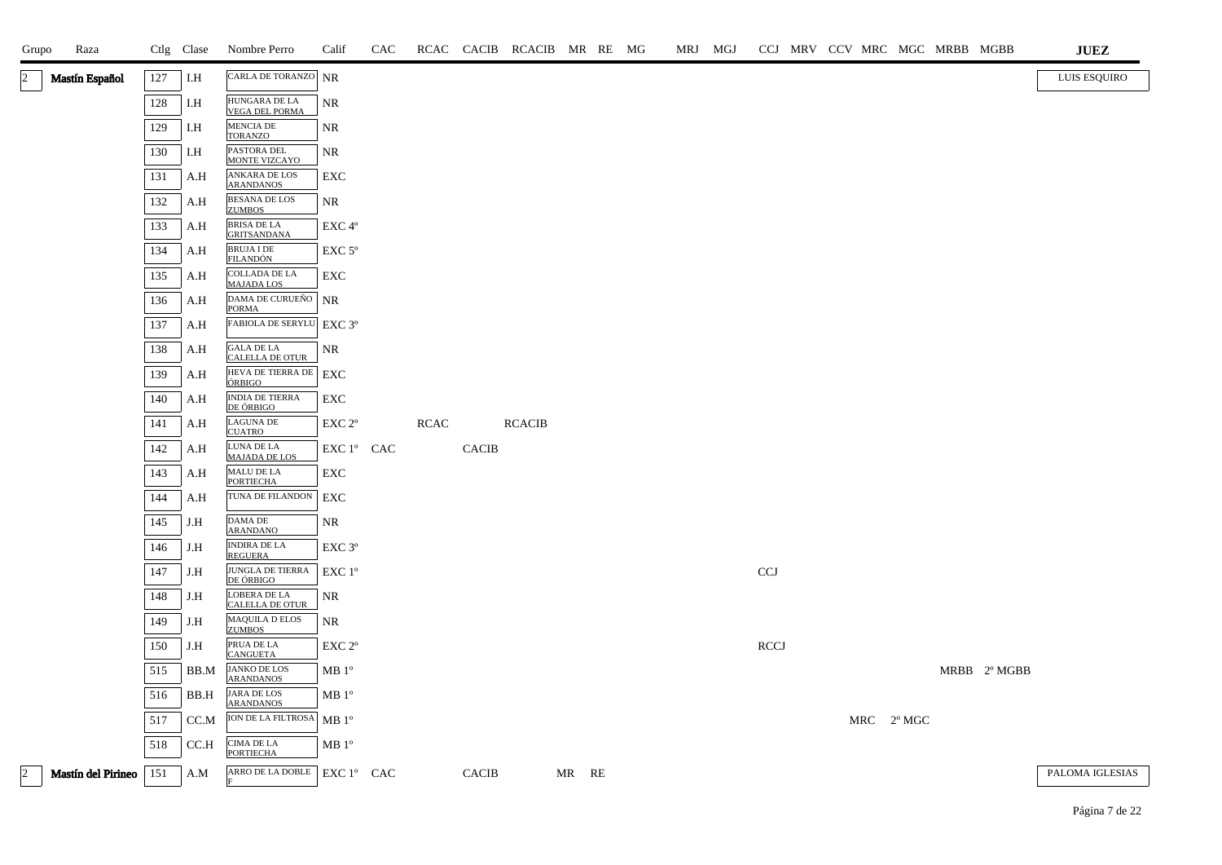| Grupo     | Raza               |     | Ctlg Clase | Nombre Perro                               | Calif              | CAC |             |              | RCAC CACIB RCACIB MR RE MG |       |  | MRJ MGJ |             |  |            | CCJ MRV CCV MRC MGC MRBB MGBB |              | <b>JUEZ</b>         |
|-----------|--------------------|-----|------------|--------------------------------------------|--------------------|-----|-------------|--------------|----------------------------|-------|--|---------|-------------|--|------------|-------------------------------|--------------|---------------------|
| 2         | Mastín Español     | 127 | I.H        | CARLA DE TORANZO NR                        |                    |     |             |              |                            |       |  |         |             |  |            |                               |              | <b>LUIS ESQUIRO</b> |
|           |                    | 128 | I.H        | HUNGARA DE LA<br><b>VEGA DEL PORMA</b>     | NR                 |     |             |              |                            |       |  |         |             |  |            |                               |              |                     |
|           |                    | 129 | I.H        | MENCIA DE<br>TORANZO                       | NR                 |     |             |              |                            |       |  |         |             |  |            |                               |              |                     |
|           |                    | 130 | I.H        | PASTORA DEL<br>MONTE VIZCAYO               | NR                 |     |             |              |                            |       |  |         |             |  |            |                               |              |                     |
|           |                    | 131 | A.H        | ANKARA DE LOS<br><b>ARANDANOS</b>          | EXC                |     |             |              |                            |       |  |         |             |  |            |                               |              |                     |
|           |                    | 132 | A.H        | <b>BESANA DE LOS</b><br><b>ZUMBOS</b>      | NR                 |     |             |              |                            |       |  |         |             |  |            |                               |              |                     |
|           |                    | 133 | A.H        | <b>BRISA DE LA</b><br><b>GRITSANDANA</b>   | EXC 4°             |     |             |              |                            |       |  |         |             |  |            |                               |              |                     |
|           |                    | 134 | A.H        | <b>BRUJA I DE</b><br>FILANDÓN              | EXC <sub>5°</sub>  |     |             |              |                            |       |  |         |             |  |            |                               |              |                     |
|           |                    | 135 | A.H        | <b>COLLADA DE LA</b><br><b>MAJADA LOS</b>  | EXC                |     |             |              |                            |       |  |         |             |  |            |                               |              |                     |
|           |                    | 136 | A.H        | DAMA DE CURUEÑO<br><b>PORMA</b>            | <b>NR</b>          |     |             |              |                            |       |  |         |             |  |            |                               |              |                     |
|           |                    | 137 | A.H        | FABIOLA DE SERYLU EXC 3°                   |                    |     |             |              |                            |       |  |         |             |  |            |                               |              |                     |
|           |                    | 138 | A.H        | GALA DE LA<br>CALELLA DE OTUR              | NR                 |     |             |              |                            |       |  |         |             |  |            |                               |              |                     |
|           |                    | 139 | A.H        | HEVA DE TIERRA DE   EXC<br><b>ÓRBIGO</b>   |                    |     |             |              |                            |       |  |         |             |  |            |                               |              |                     |
|           |                    | 140 | A.H        | <b>INDIA DE TIERRA</b><br><b>DE ÓRBIGO</b> | EXC                |     |             |              |                            |       |  |         |             |  |            |                               |              |                     |
|           |                    | 141 | A.H        | <b>LAGUNA DE</b><br><b>CUATRO</b>          | EXC 2°             |     | <b>RCAC</b> |              | <b>RCACIB</b>              |       |  |         |             |  |            |                               |              |                     |
|           |                    | 142 | A.H        | LUNA DE LA<br><b>MAJADA DE LOS</b>         | EXC 1° CAC         |     |             | <b>CACIB</b> |                            |       |  |         |             |  |            |                               |              |                     |
|           |                    | 143 | A.H        | MALU DE LA<br><b>PORTIECHA</b>             | EXC                |     |             |              |                            |       |  |         |             |  |            |                               |              |                     |
|           |                    | 144 | A.H        | TUNA DE FILANDON                           | EXC                |     |             |              |                            |       |  |         |             |  |            |                               |              |                     |
|           |                    | 145 | J.H        | DAMA DE<br><b>ARANDANO</b>                 | NR                 |     |             |              |                            |       |  |         |             |  |            |                               |              |                     |
|           |                    | 146 | J.H        | INDIRA DE LA $\,$<br><b>REGUERA</b>        | EXC 3 <sup>o</sup> |     |             |              |                            |       |  |         |             |  |            |                               |              |                     |
|           |                    | 147 | J.H        | JUNGLA DE TIERRA<br>DE ÓRBIGO              | EXC 1°             |     |             |              |                            |       |  |         | <b>CCJ</b>  |  |            |                               |              |                     |
|           |                    | 148 | J.H        | <b>LOBERA DE LA</b><br>CALELLA DE OTUR     | NR                 |     |             |              |                            |       |  |         |             |  |            |                               |              |                     |
|           |                    | 149 | J.H        | <b>MAQUILA D ELOS</b><br><b>ZUMBOS</b>     | NR                 |     |             |              |                            |       |  |         |             |  |            |                               |              |                     |
|           |                    | 150 | J.H        | PRUA DE LA<br>CANGUETA                     | EXC <sub>2°</sub>  |     |             |              |                            |       |  |         | <b>RCCJ</b> |  |            |                               |              |                     |
|           |                    | 515 | BB.M       | <b>JANKO DE LOS</b><br><b>ARANDANOS</b>    | MB 1 <sup>o</sup>  |     |             |              |                            |       |  |         |             |  |            |                               | MRBB 2° MGBB |                     |
|           |                    | 516 | BB.H       | JARA DE LOS<br><b>ARANDANOS</b>            | MB 1 <sup>o</sup>  |     |             |              |                            |       |  |         |             |  |            |                               |              |                     |
|           |                    | 517 | CC.M       | ION DE LA FILTROSA   MB 1°                 |                    |     |             |              |                            |       |  |         |             |  | MRC 2º MGC |                               |              |                     |
|           |                    | 518 | CC.H       | <b>CIMA DE LA</b><br><b>PORTIECHA</b>      | MB 1 <sup>o</sup>  |     |             |              |                            |       |  |         |             |  |            |                               |              |                     |
| $\vert$ 2 | Mastín del Pirineo | 151 | A.M        | ARRO DE LA DOBLE                           | EXC 1° CAC         |     |             | <b>CACIB</b> |                            | MR RE |  |         |             |  |            |                               |              | PALOMA IGLESIAS     |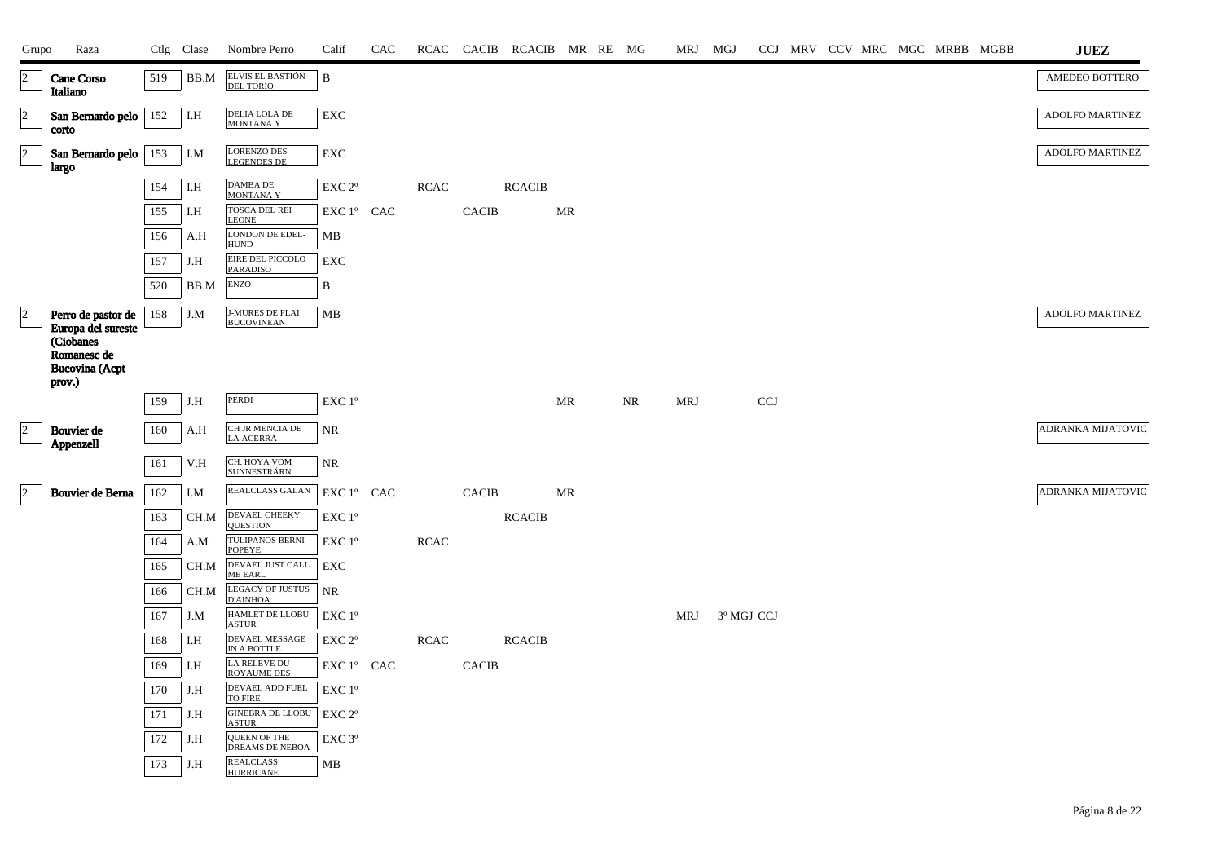| Grupo          | Raza                                                        |     | Ctlg Clase | Nombre Perro                             | Calif              | CAC |             |                               | RCAC CACIB RCACIB MR RE MG |    |    | MRJ MGJ    |            |            |  | CCJ MRV CCV MRC MGC MRBB MGBB |  | ${\bf JUEZ}$             |
|----------------|-------------------------------------------------------------|-----|------------|------------------------------------------|--------------------|-----|-------------|-------------------------------|----------------------------|----|----|------------|------------|------------|--|-------------------------------|--|--------------------------|
| $\overline{2}$ | Cane Corso<br>Italiano                                      | 519 | BB.M       | ELVIS EL BASTIÓN<br>DEL TORÍO            | $\, {\bf B}$       |     |             |                               |                            |    |    |            |            |            |  |                               |  | AMEDEO BOTTERO           |
| $\overline{a}$ | San Bernardo pelo<br>corto                                  | 152 | I.H        | DELIA LOLA DE<br><b>MONTANAY</b>         | ${\rm EXC}$        |     |             |                               |                            |    |    |            |            |            |  |                               |  | ADOLFO MARTINEZ          |
| $\vert$ 2      | San Bernardo pelo<br>largo                                  | 153 | I.M        | <b>LORENZO DES</b><br><b>LEGENDES DE</b> | EXC                |     |             |                               |                            |    |    |            |            |            |  |                               |  | ADOLFO MARTINEZ          |
|                |                                                             | 154 | I.H        | DAMBA DE<br><b>MONTANAY</b>              | EXC <sub>2°</sub>  |     | <b>RCAC</b> |                               | <b>RCACIB</b>              |    |    |            |            |            |  |                               |  |                          |
|                |                                                             | 155 | I.H        | <b>TOSCA DEL REI</b><br><b>LEONE</b>     | EXC 1° CAC         |     |             | CACIB                         |                            | MR |    |            |            |            |  |                               |  |                          |
|                |                                                             | 156 | A.H        | LONDON DE EDEL-<br><b>HUND</b>           | MB                 |     |             |                               |                            |    |    |            |            |            |  |                               |  |                          |
|                |                                                             | 157 | J.H        | EIRE DEL PICCOLO<br>PARADISO             | EXC                |     |             |                               |                            |    |    |            |            |            |  |                               |  |                          |
|                |                                                             | 520 | BB.M       | <b>ENZO</b>                              | B                  |     |             |                               |                            |    |    |            |            |            |  |                               |  |                          |
| $\overline{2}$ | Perro de pastor de<br>Europa del sureste                    | 158 | J.M        | <b>J-MURES DE PLAI<br/>BUCOVINEAN</b>    | MB                 |     |             |                               |                            |    |    |            |            |            |  |                               |  | ADOLFO MARTINEZ          |
|                | (Ciobanes<br>Romanesc de<br><b>Bucovina</b> (Acpt<br>prov.) |     |            |                                          |                    |     |             |                               |                            |    |    |            |            |            |  |                               |  |                          |
|                |                                                             | 159 | J.H        | PERDI                                    | EXC 1°             |     |             |                               |                            | MR | NR | <b>MRJ</b> |            | <b>CCJ</b> |  |                               |  |                          |
| $\overline{2}$ | Bouvier de<br>Appenzell                                     | 160 | A.H        | CH JR MENCIA DE<br><b>LA ACERRA</b>      | <b>NR</b>          |     |             |                               |                            |    |    |            |            |            |  |                               |  | <b>ADRANKA MIJATOVIC</b> |
|                |                                                             | 161 | V.H        | CH. HOYA VOM<br><b>SUNNESTRÄRN</b>       | NR                 |     |             |                               |                            |    |    |            |            |            |  |                               |  |                          |
| $\overline{2}$ | Bouvier de Berna                                            | 162 | I.M        | REALCLASS GALAN                          | EXC 1° CAC         |     |             | <b>CACIB</b>                  |                            | MR |    |            |            |            |  |                               |  | ADRANKA MIJATOVIC        |
|                |                                                             | 163 | CH.M       | DEVAEL CHEEKY<br><b>QUESTION</b>         | EXC 1°             |     |             |                               | <b>RCACIB</b>              |    |    |            |            |            |  |                               |  |                          |
|                |                                                             | 164 | A.M        | TULIPANOS BERNI<br><b>POPEYE</b>         | EXC 1°             |     | <b>RCAC</b> |                               |                            |    |    |            |            |            |  |                               |  |                          |
|                |                                                             | 165 | CH.M       | DEVAEL JUST CALL<br><b>ME EARL</b>       | EXC                |     |             |                               |                            |    |    |            |            |            |  |                               |  |                          |
|                |                                                             | 166 | CH.M       | LEGACY OF JUSTUS<br><b>D'AINHOA</b>      | <b>NR</b>          |     |             |                               |                            |    |    |            |            |            |  |                               |  |                          |
|                |                                                             | 167 | J.M        | HAMLET DE LLOBU<br><b>ASTUR</b>          | EXC 1°             |     |             |                               |                            |    |    | <b>MRJ</b> | 3º MGJ CCJ |            |  |                               |  |                          |
|                |                                                             | 168 | I.H        | DEVAEL MESSAGE<br>IN A BOTTLE            | EXC 2 <sup>o</sup> |     | <b>RCAC</b> |                               | <b>RCACIB</b>              |    |    |            |            |            |  |                               |  |                          |
|                |                                                             | 169 | I.H        | LA RELEVE DU<br>ROYAUME DES              | EXC 1° CAC         |     |             | $\ensuremath{\mathsf{CACIB}}$ |                            |    |    |            |            |            |  |                               |  |                          |
|                |                                                             | 170 | J.H        | DEVAEL ADD FUEL<br>TO FIRE               | EXC 1°             |     |             |                               |                            |    |    |            |            |            |  |                               |  |                          |
|                |                                                             | 171 | J.H        | <b>GINEBRA DE LLOBU</b><br><b>ASTUR</b>  | EXC 2 <sup>o</sup> |     |             |                               |                            |    |    |            |            |            |  |                               |  |                          |
|                |                                                             | 172 | J.H        | <b>QUEEN OF THE</b><br>DREAMS DE NEBOA   | EXC <sub>3°</sub>  |     |             |                               |                            |    |    |            |            |            |  |                               |  |                          |
|                |                                                             | 173 | J.H        | <b>REALCLASS</b><br><b>HURRICANE</b>     | MB                 |     |             |                               |                            |    |    |            |            |            |  |                               |  |                          |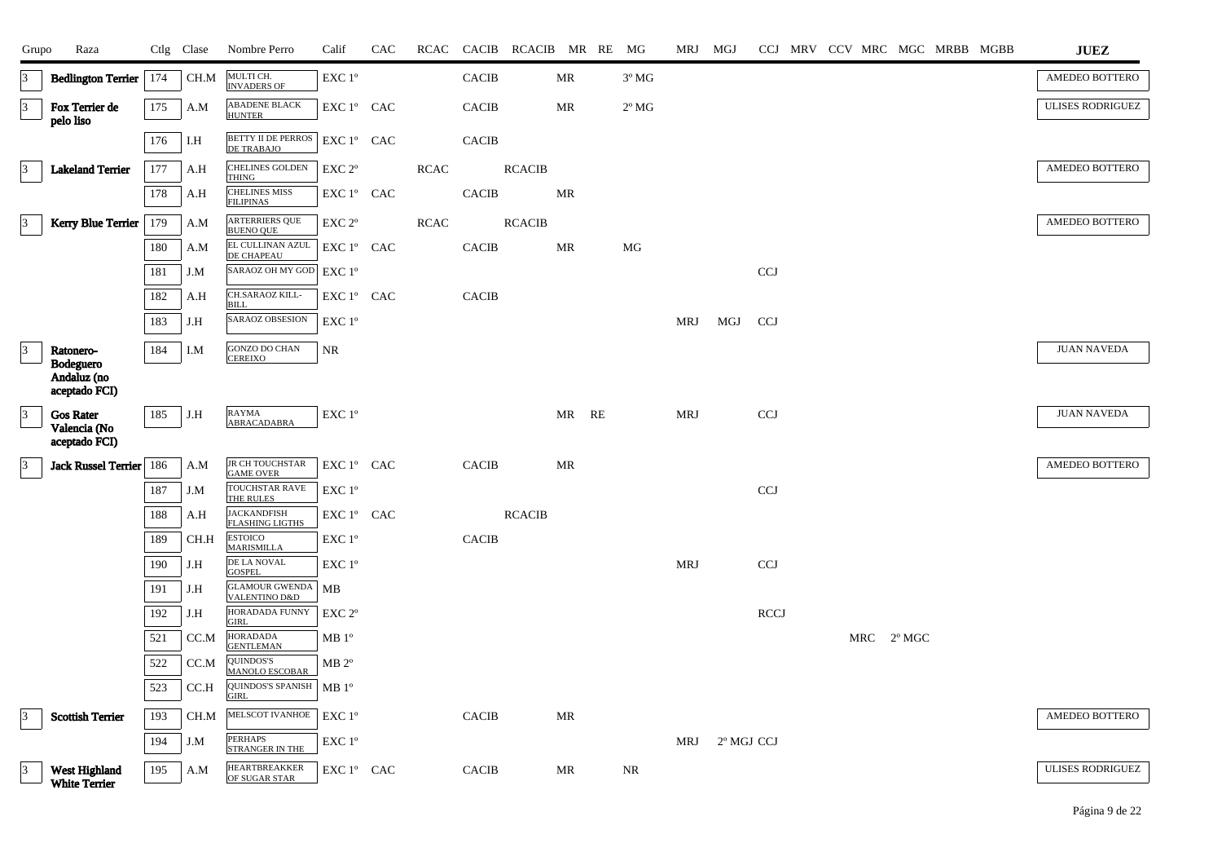| Grupo           | Raza                                              |     | Ctlg Clase | Nombre Perro                                                | Calif                                        | CAC |             |              | RCAC CACIB RCACIB MR RE MG |           |    |                | MRJ MGJ    |            |             |  |     | CCJ MRV CCV MRC MGC MRBB MGBB |  | <b>JUEZ</b>             |
|-----------------|---------------------------------------------------|-----|------------|-------------------------------------------------------------|----------------------------------------------|-----|-------------|--------------|----------------------------|-----------|----|----------------|------------|------------|-------------|--|-----|-------------------------------|--|-------------------------|
| 3               | <b>Bedlington Terrier</b>                         | 174 | CH.M       | MULTI CH.<br><b>INVADERS OF</b>                             | EXC 1°                                       |     |             | <b>CACIB</b> |                            | MR        |    | $3^{\circ}$ MG |            |            |             |  |     |                               |  | AMEDEO BOTTERO          |
| $\vert$ 3       | Fox Terrier de<br>pelo liso                       | 175 | A.M        | <b>ABADENE BLACK</b><br><b>HUNTER</b>                       | EXC 1° CAC                                   |     |             | <b>CACIB</b> |                            | MR        |    | $2^{\circ}$ MG |            |            |             |  |     |                               |  | <b>ULISES RODRIGUEZ</b> |
|                 |                                                   | 176 | I.H        | <b>BETTY II DE PERROS</b>   EXC 1° CAC<br><b>DE TRABAJO</b> |                                              |     |             | <b>CACIB</b> |                            |           |    |                |            |            |             |  |     |                               |  |                         |
| 13              | <b>Lakeland Terrier</b>                           | 177 | A.H        | <b>CHELINES GOLDEN</b><br><b>THING</b>                      | EXC 2 <sup>o</sup>                           |     | <b>RCAC</b> |              | <b>RCACIB</b>              |           |    |                |            |            |             |  |     |                               |  | AMEDEO BOTTERO          |
|                 |                                                   | 178 | A.H        | <b>CHELINES MISS</b><br><b>FILIPINAS</b>                    | EXC 1° CAC                                   |     |             | <b>CACIB</b> |                            | <b>MR</b> |    |                |            |            |             |  |     |                               |  |                         |
| $\vert$ 3       | <b>Kerry Blue Terrier</b>   179                   |     | A.M        | <b>ARTERRIERS QUE</b><br><b>BUENO QUE</b>                   | $\ensuremath{\mathrm{EXC}}$ $2^{\mathrm{o}}$ |     | <b>RCAC</b> |              | <b>RCACIB</b>              |           |    |                |            |            |             |  |     |                               |  | AMEDEO BOTTERO          |
|                 |                                                   | 180 | A.M        | EL CULLINAN AZUL<br><b>DE CHAPEAU</b>                       | EXC 1° CAC                                   |     |             | <b>CACIB</b> |                            | MR        |    | MG             |            |            |             |  |     |                               |  |                         |
|                 |                                                   | 181 | J.M        | SARAOZ OH MY GOD                                            | $EXC1^{\circ}$                               |     |             |              |                            |           |    |                |            |            | <b>CCJ</b>  |  |     |                               |  |                         |
|                 |                                                   | 182 | A.H        | CH.SARAOZ KILL-<br><b>BILL</b>                              | EXC 1° CAC                                   |     |             | <b>CACIB</b> |                            |           |    |                |            |            |             |  |     |                               |  |                         |
|                 |                                                   | 183 | J.H        | <b>SARAOZ OBSESION</b>                                      | EXC 1°                                       |     |             |              |                            |           |    |                | MRJ        | MGJ        | <b>CCJ</b>  |  |     |                               |  |                         |
|                 | Ratonero-                                         | 184 | I.M        | <b>GONZO DO CHAN</b><br><b>CEREIXO</b>                      | NR                                           |     |             |              |                            |           |    |                |            |            |             |  |     |                               |  | <b>JUAN NAVEDA</b>      |
|                 | Bodeguero<br>Andaluz (no<br>aceptado FCI)         |     |            |                                                             |                                              |     |             |              |                            |           |    |                |            |            |             |  |     |                               |  |                         |
| $\vert 3 \vert$ | <b>Gos Rater</b><br>Valencia (No<br>aceptado FCI) | 185 | J.H        | <b>RAYMA</b><br>ABRACADABRA                                 | EXC 1°                                       |     |             |              |                            | MR        | RE |                | <b>MRJ</b> |            | <b>CCJ</b>  |  |     |                               |  | <b>JUAN NAVEDA</b>      |
| $\vert 3 \vert$ | Jack Russel Terrier 186                           |     | A.M        | JR CH TOUCHSTAR<br><b>GAME OVER</b>                         | EXC 1° CAC                                   |     |             | <b>CACIB</b> |                            | <b>MR</b> |    |                |            |            |             |  |     |                               |  | AMEDEO BOTTERO          |
|                 |                                                   | 187 | J.M        | <b>TOUCHSTAR RAVE</b><br>THE RULES                          | EXC 1°                                       |     |             |              |                            |           |    |                |            |            | <b>CCJ</b>  |  |     |                               |  |                         |
|                 |                                                   | 188 | A.H        | <b>JACKANDFISH</b><br><b>FLASHING LIGTHS</b>                | EXC 1° CAC                                   |     |             |              | <b>RCACIB</b>              |           |    |                |            |            |             |  |     |                               |  |                         |
|                 |                                                   | 189 | CH.H       | <b>ESTOICO</b><br><b>MARISMILLA</b>                         | EXC 1°                                       |     |             | <b>CACIB</b> |                            |           |    |                |            |            |             |  |     |                               |  |                         |
|                 |                                                   | 190 | J.H        | DE LA NOVAL<br><b>GOSPEL</b>                                | EXC 1°                                       |     |             |              |                            |           |    |                | <b>MRJ</b> |            | <b>CCJ</b>  |  |     |                               |  |                         |
|                 |                                                   | 191 | J.H        | <b>GLAMOUR GWENDA</b><br><b>VALENTINO D&amp;D</b>           | MB                                           |     |             |              |                            |           |    |                |            |            |             |  |     |                               |  |                         |
|                 |                                                   | 192 | J.H        | HORADADA FUNNY<br><b>GIRL</b>                               | EXC <sub>2°</sub>                            |     |             |              |                            |           |    |                |            |            | <b>RCCJ</b> |  |     |                               |  |                         |
|                 |                                                   | 521 | CC.M       | <b>HORADADA</b><br><b>GENTLEMAN</b>                         | MB1°                                         |     |             |              |                            |           |    |                |            |            |             |  | MRC | $2^{\circ}$ MGC               |  |                         |
|                 |                                                   | 522 | CC.M       | QUINDOS'S<br><b>MANOLO ESCOBAR</b>                          | $MB 2^{\circ}$                               |     |             |              |                            |           |    |                |            |            |             |  |     |                               |  |                         |
|                 |                                                   | 523 | CC.H       | <b>QUINDOS'S SPANISH</b><br><b>GIRL</b>                     | MB 1 <sup>o</sup>                            |     |             |              |                            |           |    |                |            |            |             |  |     |                               |  |                         |
| $\vert 3 \vert$ | <b>Scottish Terrier</b>                           | 193 | CH.M       | MELSCOT IVANHOE                                             | EXC 1°                                       |     |             | <b>CACIB</b> |                            | <b>MR</b> |    |                |            |            |             |  |     |                               |  | AMEDEO BOTTERO          |
|                 |                                                   | 194 | J.M        | <b>PERHAPS</b><br><b>STRANGER IN THE</b>                    | EXC 1°                                       |     |             |              |                            |           |    |                | MRJ        | 2º MGJ CCJ |             |  |     |                               |  |                         |
|                 | West Highland<br><b>White Terrier</b>             | 195 | A.M        | <b>HEARTBREAKKER</b><br>OF SUGAR STAR                       | EXC 1° CAC                                   |     |             | <b>CACIB</b> |                            | <b>MR</b> |    | <b>NR</b>      |            |            |             |  |     |                               |  | <b>ULISES RODRIGUEZ</b> |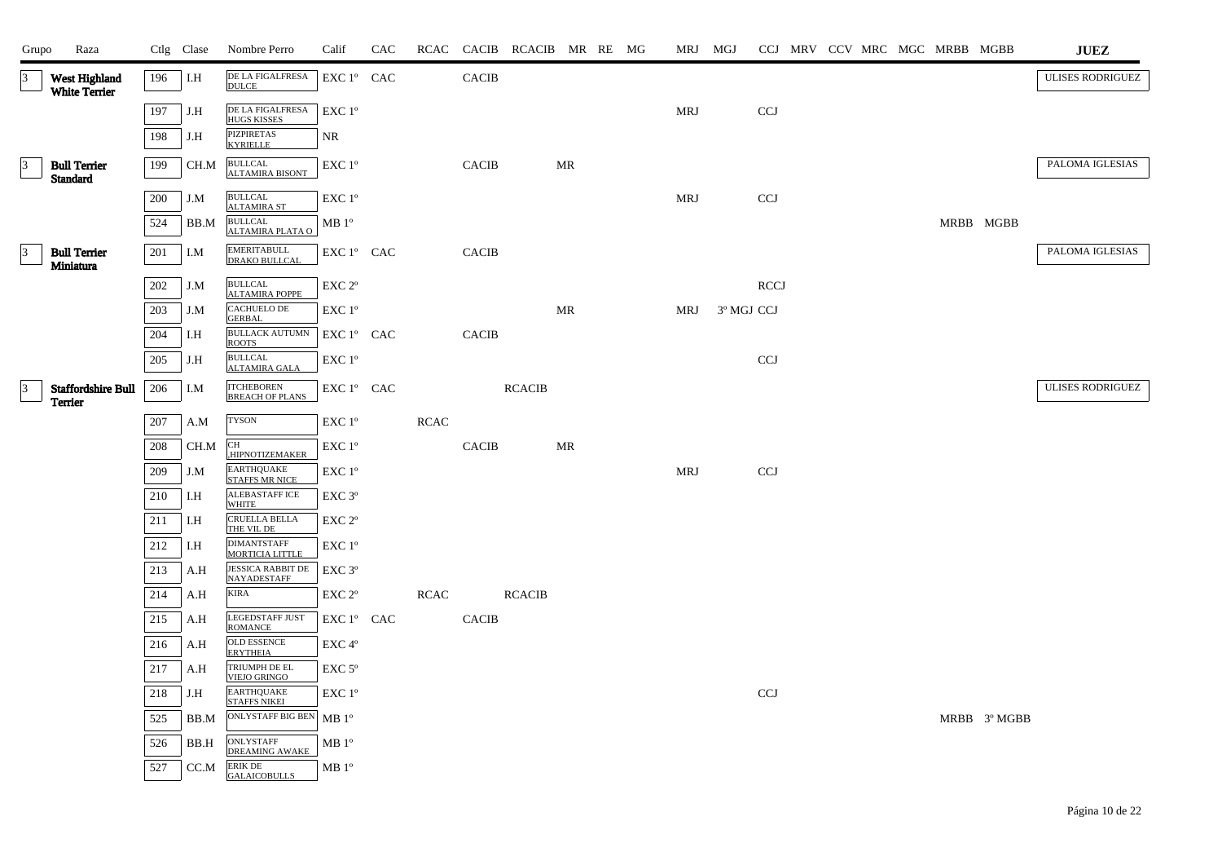| Grupo           | Raza                                        |     | Ctlg Clase | Nombre Perro                                   | Calif                                        | CAC |             |              | RCAC CACIB RCACIB MR RE MG |    |  | MRJ MGJ    |            |             |  |  | CCJ MRV CCV MRC MGC MRBB MGBB |              | $\mathbf{J}\mathbf{U}\mathbf{E}\mathbf{Z}$ |
|-----------------|---------------------------------------------|-----|------------|------------------------------------------------|----------------------------------------------|-----|-------------|--------------|----------------------------|----|--|------------|------------|-------------|--|--|-------------------------------|--------------|--------------------------------------------|
| $\vert$ 3       | West Highland<br><b>White Terrier</b>       | 196 | I.H        | DE LA FIGALFRESA<br><b>DULCE</b>               | EXC 1° CAC                                   |     |             | <b>CACIB</b> |                            |    |  |            |            |             |  |  |                               |              | <b>ULISES RODRIGUEZ</b>                    |
|                 |                                             | 197 | J.H        | DE LA FIGALFRESA<br><b>HUGS KISSES</b>         | EXC 1°                                       |     |             |              |                            |    |  | <b>MRJ</b> |            | <b>CCJ</b>  |  |  |                               |              |                                            |
|                 |                                             | 198 | J.H        | PIZPIRETAS<br>KYRIELLE                         | NR.                                          |     |             |              |                            |    |  |            |            |             |  |  |                               |              |                                            |
| 13              | <b>Bull Terrier</b><br><b>Standard</b>      | 199 | CH.M       | <b>BULLCAL</b><br><b>ALTAMIRA BISONT</b>       | EXC 1°                                       |     |             | <b>CACIB</b> |                            | MR |  |            |            |             |  |  |                               |              | PALOMA IGLESIAS                            |
|                 |                                             | 200 | J.M        | <b>BULLCAL</b><br><b>ALTAMIRA ST</b>           | EXC 1°                                       |     |             |              |                            |    |  | <b>MRJ</b> |            | <b>CCJ</b>  |  |  |                               |              |                                            |
|                 |                                             | 524 | BB.M       | <b>BULLCAL</b><br>ALTAMIRA PLATA O             | MB 1 <sup>o</sup>                            |     |             |              |                            |    |  |            |            |             |  |  |                               | MRBB MGBB    |                                            |
| $\vert$ 3       | <b>Bull Terrier</b><br>Miniatura            | 201 | I.M        | EMERITABULL<br>DRAKO BULLCAL                   | EXC 1° CAC                                   |     |             | <b>CACIB</b> |                            |    |  |            |            |             |  |  |                               |              | PALOMA IGLESIAS                            |
|                 |                                             | 202 | J.M        | <b>BULLCAL</b><br><b>ALTAMIRA POPPE</b>        | EXC 2°                                       |     |             |              |                            |    |  |            |            | <b>RCCJ</b> |  |  |                               |              |                                            |
|                 |                                             | 203 | J.M        | CACHUELO DE<br><b>GERBAL</b>                   | EXC 1°                                       |     |             |              |                            | MR |  | MRJ        | 3º MGJ CCJ |             |  |  |                               |              |                                            |
|                 |                                             | 204 | I.H        | <b>BULLACK AUTUMN</b><br><b>ROOTS</b>          | $EXC1^{\circ}$ CAC                           |     |             | <b>CACIB</b> |                            |    |  |            |            |             |  |  |                               |              |                                            |
|                 |                                             | 205 | J.H        | <b>BULLCAL</b><br><b>ALTAMIRA GALA</b>         | EXC 1°                                       |     |             |              |                            |    |  |            |            | <b>CCJ</b>  |  |  |                               |              |                                            |
| $\vert 3 \vert$ | <b>Staffordshire Bull</b><br><b>Terrier</b> | 206 | I.M        | <b>ITCHEBOREN</b><br><b>BREACH OF PLANS</b>    | EXC 1º CAC                                   |     |             |              | <b>RCACIB</b>              |    |  |            |            |             |  |  |                               |              | <b>ULISES RODRIGUEZ</b>                    |
|                 |                                             | 207 | A.M        | <b>TYSON</b>                                   | EXC 1°                                       |     | <b>RCAC</b> |              |                            |    |  |            |            |             |  |  |                               |              |                                            |
|                 |                                             | 208 | CH.M       | $\operatorname{CH}$<br>,HIPNOTIZEMAKER         | EXC 1°                                       |     |             | <b>CACIB</b> |                            | MR |  |            |            |             |  |  |                               |              |                                            |
|                 |                                             | 209 | J.M        | <b>EARTHQUAKE</b><br><b>STAFFS MR NICE</b>     | EXC 1°                                       |     |             |              |                            |    |  | <b>MRJ</b> |            | <b>CCJ</b>  |  |  |                               |              |                                            |
|                 |                                             | 210 | I.H        | ALEBASTAFF ICE<br>WHITE                        | EXC <sub>3°</sub>                            |     |             |              |                            |    |  |            |            |             |  |  |                               |              |                                            |
|                 |                                             | 211 | I.H        | <b>CRUELLA BELLA</b><br>THE VIL DE             | EXC 2°                                       |     |             |              |                            |    |  |            |            |             |  |  |                               |              |                                            |
|                 |                                             | 212 | I.H        | <b>DIMANTSTAFF</b><br><b>MORTICIA LITTLE</b>   | $\ensuremath{\mathrm{EXC}}$ $1^{\mathrm{o}}$ |     |             |              |                            |    |  |            |            |             |  |  |                               |              |                                            |
|                 |                                             | 213 | A.H        | <b>JESSICA RABBIT DE</b><br><b>NAYADESTAFF</b> | EXC 3°                                       |     |             |              |                            |    |  |            |            |             |  |  |                               |              |                                            |
|                 |                                             | 214 | A.H        | <b>KIRA</b>                                    | EXC 2°                                       |     | <b>RCAC</b> |              | <b>RCACIB</b>              |    |  |            |            |             |  |  |                               |              |                                            |
|                 |                                             | 215 | A.H        | <b>LEGEDSTAFF JUST</b><br><b>ROMANCE</b>       | EXC 1° CAC                                   |     |             | <b>CACIB</b> |                            |    |  |            |            |             |  |  |                               |              |                                            |
|                 |                                             | 216 | A.H        | OLD ESSENCE<br><b>ERYTHEIA</b>                 | EXC 4°                                       |     |             |              |                            |    |  |            |            |             |  |  |                               |              |                                            |
|                 |                                             | 217 | A.H        | TRIUMPH DE EL<br><b>VIEJO GRINGO</b>           | $EXC$ 5°                                     |     |             |              |                            |    |  |            |            |             |  |  |                               |              |                                            |
|                 |                                             | 218 | J.H        | <b>EARTHQUAKE</b><br><b>STAFFS NIKEI</b>       | EXC 1°                                       |     |             |              |                            |    |  |            |            | <b>CCJ</b>  |  |  |                               |              |                                            |
|                 |                                             | 525 | BB.M       | <b>ONLYSTAFF BIG BEN</b>                       | $MB1^{\circ}$                                |     |             |              |                            |    |  |            |            |             |  |  |                               | MRBB 3º MGBB |                                            |
|                 |                                             | 526 | BB.H       | ONLYSTAFF<br><b>DREAMING AWAKE</b>             | MB <sup>o</sup>                              |     |             |              |                            |    |  |            |            |             |  |  |                               |              |                                            |
|                 |                                             | 527 | CC.M       | <b>ERIK DE</b><br><b>GALAICOBULLS</b>          | MB 1 <sup>o</sup>                            |     |             |              |                            |    |  |            |            |             |  |  |                               |              |                                            |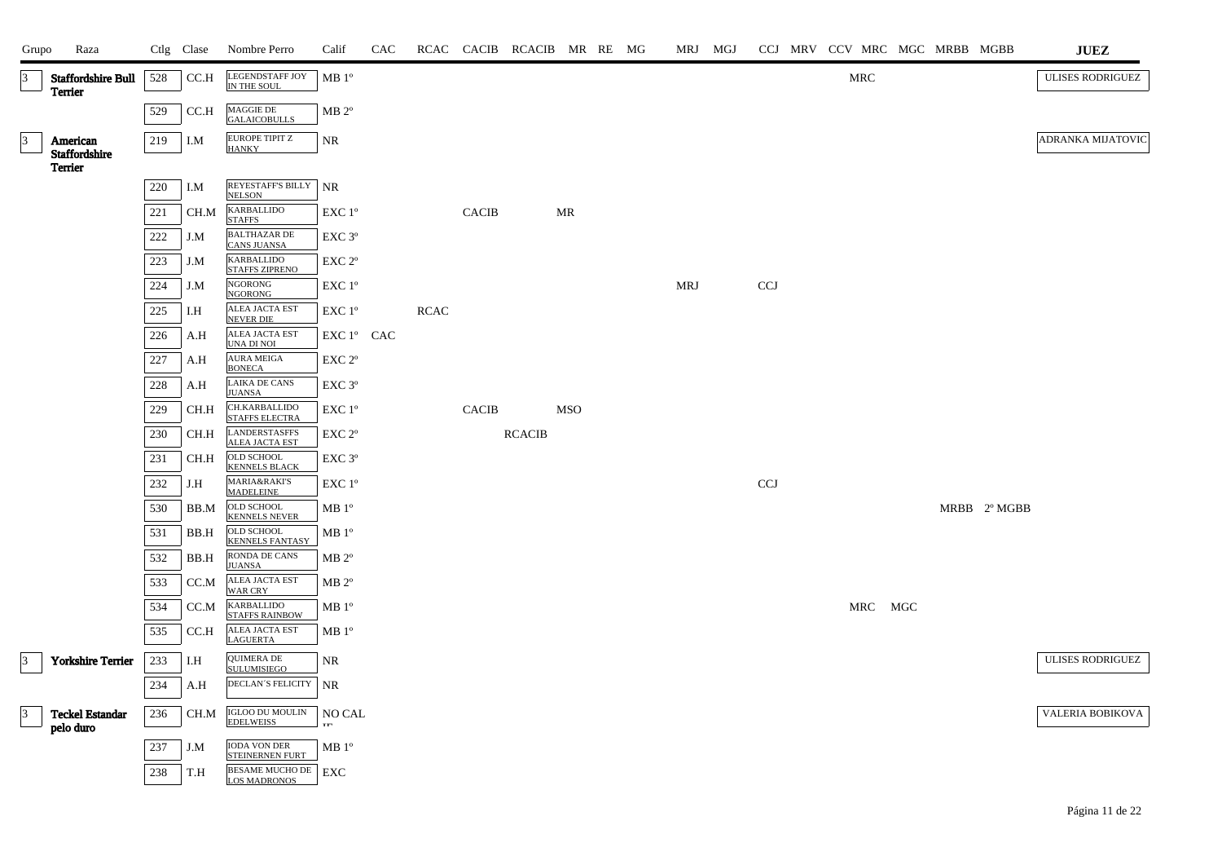| Grupo           | Raza                                        |         | Ctlg Clase                   | Nombre Perro                                               | Calif                | CAC |      |              | RCAC CACIB RCACIB MR RE MG |            |  |     | MRJ MGJ |                           | CCJ MRV CCV MRC MGC MRBB MGBB |     |              | <b>JUEZ</b>              |
|-----------------|---------------------------------------------|---------|------------------------------|------------------------------------------------------------|----------------------|-----|------|--------------|----------------------------|------------|--|-----|---------|---------------------------|-------------------------------|-----|--------------|--------------------------|
| 3               | <b>Staffordshire Bull</b><br>Terrier        | 528     | CC.H                         | LEGENDSTAFF JOY<br>IN THE SOUL                             | MB 1 <sup>o</sup>    |     |      |              |                            |            |  |     |         |                           | <b>MRC</b>                    |     |              | <b>ULISES RODRIGUEZ</b>  |
|                 |                                             | 529     | CC.H                         | MAGGIE DE<br><b>GALAICOBULLS</b>                           | $MB 2^{\circ}$       |     |      |              |                            |            |  |     |         |                           |                               |     |              |                          |
| $\vert$ 3       | American<br>Staffordshire<br><b>Terrier</b> | 219     | I.M                          | <b>EUROPE TIPIT Z</b><br><b>HANKY</b>                      | <b>NR</b>            |     |      |              |                            |            |  |     |         |                           |                               |     |              | <b>ADRANKA MIJATOVIC</b> |
|                 |                                             | $220\,$ | I.M                          | REYESTAFF'S BILLY<br><b>NELSON</b>                         | NR                   |     |      |              |                            |            |  |     |         |                           |                               |     |              |                          |
|                 |                                             | 221     | CH.M                         | <b>KARBALLIDO</b>                                          | EXC 1°               |     |      | <b>CACIB</b> |                            | MR         |  |     |         |                           |                               |     |              |                          |
|                 |                                             | 222     | J.M                          | <b>STAFFS</b><br><b>BALTHAZAR DE</b><br><b>CANS JUANSA</b> | EXC 3 <sup>o</sup>   |     |      |              |                            |            |  |     |         |                           |                               |     |              |                          |
|                 |                                             | 223     | J.M                          | <b>KARBALLIDO</b><br><b>STAFFS ZIPRENO</b>                 | EXC 2°               |     |      |              |                            |            |  |     |         |                           |                               |     |              |                          |
|                 |                                             | 224     | J.M                          | <b>NGORONG</b><br><b>NGORONG</b>                           | EXC 1°               |     |      |              |                            |            |  | MRJ |         | <b>CCJ</b>                |                               |     |              |                          |
|                 |                                             | 225     | I.H                          | <b>ALEA JACTA EST</b><br><b>NEVER DIE</b>                  | EXC 1°               |     | RCAC |              |                            |            |  |     |         |                           |                               |     |              |                          |
|                 |                                             | 226     | A.H                          | <b>ALEA JACTA EST</b><br>UNA DI NOI                        | EXC 1° CAC           |     |      |              |                            |            |  |     |         |                           |                               |     |              |                          |
|                 |                                             | 227     | A.H                          | <b>AURA MEIGA</b><br><b>BONECA</b>                         | EXC 2°               |     |      |              |                            |            |  |     |         |                           |                               |     |              |                          |
|                 |                                             | 228     | A.H                          | LAIKA DE CANS<br><b>JUANSA</b>                             | EXC 3°               |     |      |              |                            |            |  |     |         |                           |                               |     |              |                          |
|                 |                                             | 229     | CH.H                         | CH.KARBALLIDO<br><b>STAFFS ELECTRA</b>                     | EXC 1°               |     |      | <b>CACIB</b> |                            | <b>MSO</b> |  |     |         |                           |                               |     |              |                          |
|                 |                                             | 230     | CH.H                         | <b>LANDERSTASFFS</b><br><b>ALEA JACTA EST</b>              | EXC 2°               |     |      |              | <b>RCACIB</b>              |            |  |     |         |                           |                               |     |              |                          |
|                 |                                             | 231     | CH.H                         | <b>OLD SCHOOL</b><br><b>KENNELS BLACK</b>                  | EXC 3°               |     |      |              |                            |            |  |     |         |                           |                               |     |              |                          |
|                 |                                             | 232     | J.H                          | <b>MARIA&amp;RAKI'S</b><br><b>MADELEINE</b>                | EXC 1°               |     |      |              |                            |            |  |     |         | $\ensuremath{\text{CCJ}}$ |                               |     |              |                          |
|                 |                                             | 530     | BB.M                         | <b>OLD SCHOOL</b><br><b>KENNELS NEVER</b>                  | MB 1 <sup>o</sup>    |     |      |              |                            |            |  |     |         |                           |                               |     | MRBB 2° MGBB |                          |
|                 |                                             | 531     | BB.H                         | OLD SCHOOL<br><b>KENNELS FANTASY</b>                       | $\rm MB$ $1^{\rm o}$ |     |      |              |                            |            |  |     |         |                           |                               |     |              |                          |
|                 |                                             | 532     | BB.H                         | RONDA DE CANS<br><b>JUANSA</b>                             | $MB 2^{\circ}$       |     |      |              |                            |            |  |     |         |                           |                               |     |              |                          |
|                 |                                             | 533     | CC.M                         | ALEA JACTA EST<br><b>WAR CRY</b>                           | $MB 2^{\circ}$       |     |      |              |                            |            |  |     |         |                           |                               |     |              |                          |
|                 |                                             | 534     | $\mathop{\rm CC.M}\nolimits$ | <b>KARBALLIDO</b><br><b>STAFFS RAINBOW</b>                 | $MB 1^{\circ}$       |     |      |              |                            |            |  |     |         |                           | MRC                           | MGC |              |                          |
|                 |                                             | 535     | CC.H                         | <b>ALEA JACTA EST</b><br><b>LAGUERTA</b>                   | $MB1^{\circ}$        |     |      |              |                            |            |  |     |         |                           |                               |     |              |                          |
| $\vert 3 \vert$ | Yorkshire Terrier                           | 233     | I.H                          | <b>QUIMERA DE</b><br>SULUMISIEGO                           | NR                   |     |      |              |                            |            |  |     |         |                           |                               |     |              | <b>ULISES RODRIGUEZ</b>  |
|                 |                                             | 234     | A.H                          | DECLAN'S FELICITY                                          | NR                   |     |      |              |                            |            |  |     |         |                           |                               |     |              |                          |
| $\vert$ 3       | <b>Teckel Estandar</b><br>pelo duro         | 236     | CH.M                         | <b>IGLOO DU MOULIN<br/>EDELWEISS</b>                       | NO CAL<br>тm         |     |      |              |                            |            |  |     |         |                           |                               |     |              | VALERIA BOBIKOVA         |
|                 |                                             | 237     | J.M                          | <b>IODA VON DER</b><br>STEINERNEN FURT                     | $MB1^{\circ}$        |     |      |              |                            |            |  |     |         |                           |                               |     |              |                          |
|                 |                                             | 238     | T.H                          | <b>BESAME MUCHO DE</b><br><b>LOS MADRONOS</b>              | EXC                  |     |      |              |                            |            |  |     |         |                           |                               |     |              |                          |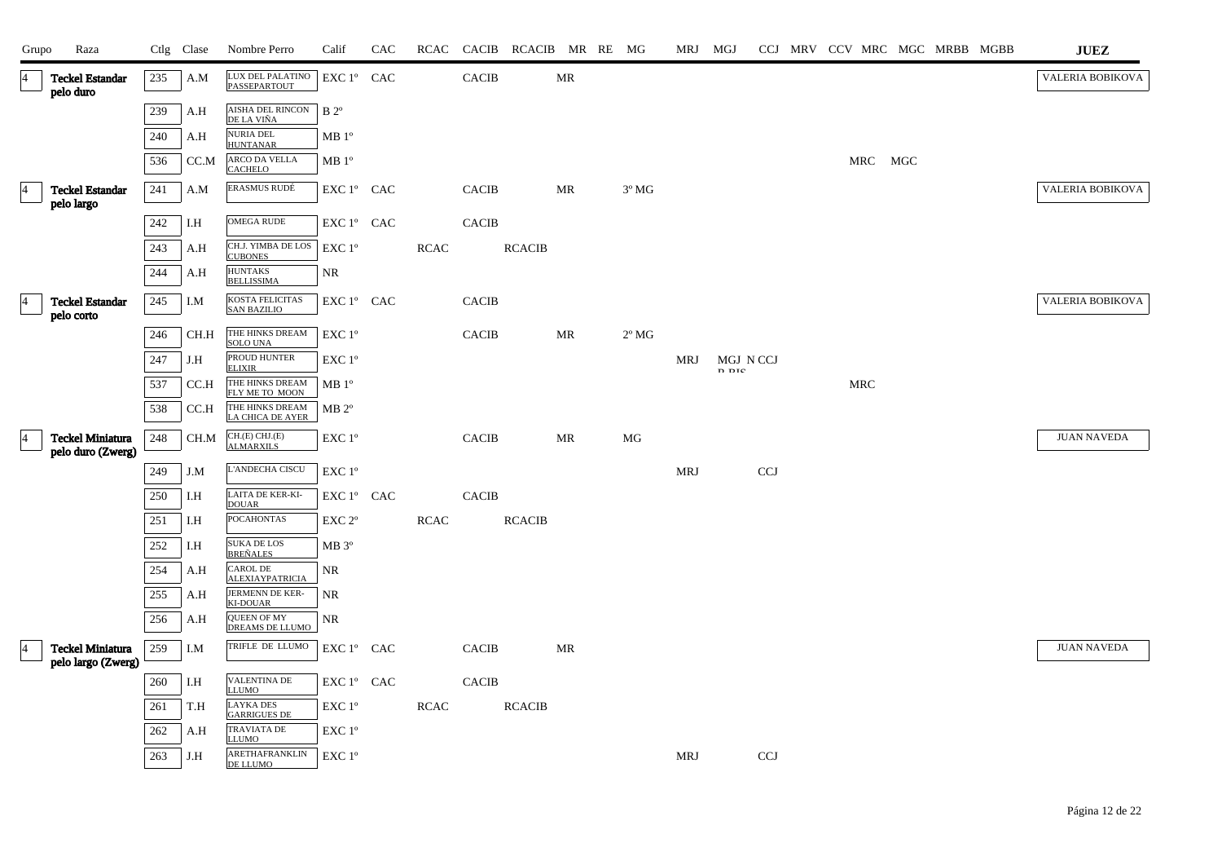| Grupo           | Raza                                          |         | Ctlg Clase | Nombre Perro                              | Calif             | CAC | RCAC        | CACIB        | RCACIB MR RE MG |    |                | MRJ MGJ    |                    |            |            |         |  | CCJ MRV CCV MRC MGC MRBB MGBB | <b>JUEZ</b>        |
|-----------------|-----------------------------------------------|---------|------------|-------------------------------------------|-------------------|-----|-------------|--------------|-----------------|----|----------------|------------|--------------------|------------|------------|---------|--|-------------------------------|--------------------|
| 4               | <b>Teckel Estandar</b><br>pelo duro           | 235     | A.M        | LUX DEL PALATINO<br>PASSEPARTOUT          | EXC 1° CAC        |     |             | <b>CACIB</b> |                 | MR |                |            |                    |            |            |         |  |                               | VALERIA BOBIKOVA   |
|                 |                                               | 239     | A.H        | AISHA DEL RINCON<br>DE LA VIÑA            | $B$ 2°            |     |             |              |                 |    |                |            |                    |            |            |         |  |                               |                    |
|                 |                                               | 240     | A.H        | <b>NURIA DEL</b><br><b>HUNTANAR</b>       | MB1°              |     |             |              |                 |    |                |            |                    |            |            |         |  |                               |                    |
|                 |                                               | 536     | CC.M       | ARCO DA VELLA<br><b>CACHELO</b>           | MB1°              |     |             |              |                 |    |                |            |                    |            |            | MRC MGC |  |                               |                    |
| 14              | <b>Teckel Estandar</b><br>pelo largo          | $241\,$ | A.M        | ERASMUS RUDÉ                              | EXC 1° CAC        |     |             | <b>CACIB</b> |                 | MR | $3^{\circ}$ MG |            |                    |            |            |         |  |                               | VALERIA BOBIKOVA   |
|                 |                                               | 242     | I.H        | <b>OMEGA RUDE</b>                         | EXC 1º CAC        |     |             | <b>CACIB</b> |                 |    |                |            |                    |            |            |         |  |                               |                    |
|                 |                                               | 243     | A.H        | CH.J. YIMBA DE LOS<br><b>CUBONES</b>      | EXC 1°            |     | <b>RCAC</b> |              | <b>RCACIB</b>   |    |                |            |                    |            |            |         |  |                               |                    |
|                 |                                               | 244     | A.H        | <b>HUNTAKS</b><br><b>BELLISSIMA</b>       | NR                |     |             |              |                 |    |                |            |                    |            |            |         |  |                               |                    |
| 14              | <b>Teckel Estandar</b><br>pelo corto          | 245     | I.M        | KOSTA FELICITAS<br><b>SAN BAZILIO</b>     | EXC 1° CAC        |     |             | <b>CACIB</b> |                 |    |                |            |                    |            |            |         |  |                               | VALERIA BOBIKOVA   |
|                 |                                               | 246     | CH.H       | THE HINKS DREAM<br><b>SOLO UNA</b>        | EXC 1°            |     |             | <b>CACIB</b> |                 | MR | $2^{\circ}$ MG |            |                    |            |            |         |  |                               |                    |
|                 |                                               | 247     | J.H        | PROUD HUNTER<br><b>ELIXIR</b>             | EXC 1°            |     |             |              |                 |    |                | MRJ        | MGJ N CCJ<br>n nte |            |            |         |  |                               |                    |
|                 |                                               | 537     | CC.H       | THE HINKS DREAM<br>FLY ME TO MOON         | MB 1 <sup>o</sup> |     |             |              |                 |    |                |            |                    |            | <b>MRC</b> |         |  |                               |                    |
|                 |                                               | 538     | CC.H       | THE HINKS DREAM<br>LA CHICA DE AYER       | $MB 2^{\circ}$    |     |             |              |                 |    |                |            |                    |            |            |         |  |                               |                    |
| 14              | <b>Teckel Miniatura</b><br>pelo duro (Zwerg)  | 248     | CH.M       | CH.(E) CHJ.(E)<br><b>ALMARXILS</b>        | EXC 1°            |     |             | <b>CACIB</b> |                 | MR | MG             |            |                    |            |            |         |  |                               | <b>JUAN NAVEDA</b> |
|                 |                                               | 249     | J.M        | L'ANDECHA CISCU                           | EXC 1°            |     |             |              |                 |    |                | <b>MRJ</b> |                    | <b>CCJ</b> |            |         |  |                               |                    |
|                 |                                               | $250\,$ | I.H        | LAITA DE KER-KI-<br><b>DOUAR</b>          | EXC 1° CAC        |     |             | <b>CACIB</b> |                 |    |                |            |                    |            |            |         |  |                               |                    |
|                 |                                               | 251     | I.H        | <b>POCAHONTAS</b>                         | EXC 2°            |     | <b>RCAC</b> |              | <b>RCACIB</b>   |    |                |            |                    |            |            |         |  |                               |                    |
|                 |                                               | 252     | I.H        | SUKA DE LOS<br><b>BREÑALES</b>            | MB 3°             |     |             |              |                 |    |                |            |                    |            |            |         |  |                               |                    |
|                 |                                               | 254     | A.H        | <b>CAROL DE</b><br><b>ALEXIAYPATRICIA</b> | NR                |     |             |              |                 |    |                |            |                    |            |            |         |  |                               |                    |
|                 |                                               | 255     | A.H        | JERMENN DE KER-<br><b>KI-DOUAR</b>        | <b>NR</b>         |     |             |              |                 |    |                |            |                    |            |            |         |  |                               |                    |
|                 |                                               | 256     | A.H        | <b>QUEEN OF MY</b><br>DREAMS DE LLUMO     | <b>NR</b>         |     |             |              |                 |    |                |            |                    |            |            |         |  |                               |                    |
| $\vert 4 \vert$ | <b>Teckel Miniatura</b><br>pelo largo (Zwerg) | 259     | I.M        | TRIFLE DE LLUMO                           | EXC 1º CAC        |     |             | <b>CACIB</b> |                 | MR |                |            |                    |            |            |         |  |                               | <b>JUAN NAVEDA</b> |
|                 |                                               | 260     | I.H        | VALENTINA DE<br>LLUMO                     | EXC 1° CAC        |     |             | <b>CACIB</b> |                 |    |                |            |                    |            |            |         |  |                               |                    |
|                 |                                               | 261     | T.H        | <b>LAYKA DES</b><br><b>GARRIGUES DE</b>   | EXC 1°            |     | <b>RCAC</b> |              | <b>RCACIB</b>   |    |                |            |                    |            |            |         |  |                               |                    |
|                 |                                               | 262     | A.H        | TRAVIATA DE<br>LLUMO                      | EXC 1°            |     |             |              |                 |    |                |            |                    |            |            |         |  |                               |                    |
|                 |                                               | 263     | J.H        | ARETHAFRANKLIN<br>DE LLUMO                | EXC 1°            |     |             |              |                 |    |                | <b>MRJ</b> |                    | <b>CCJ</b> |            |         |  |                               |                    |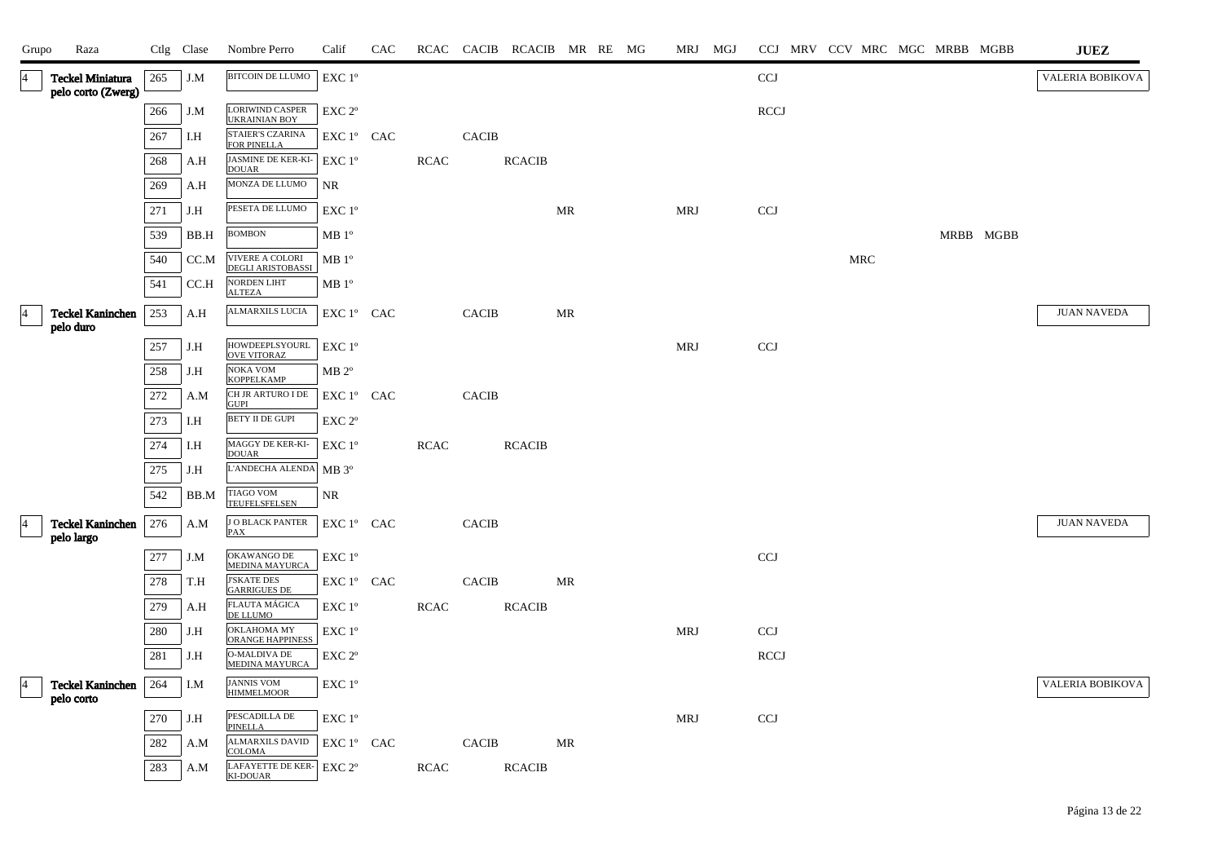| Grupo          | Raza                                          |     | Ctlg Clase | Nombre Perro                                   | Calif                                        | CAC |             |                        | RCAC CACIB RCACIB MR RE MG |           |  | MRJ MGJ    |                           |            |  | CCJ MRV CCV MRC MGC MRBB MGBB | $\mathbf{J}\mathbf{U}\mathbf{E}\mathbf{Z}$ |
|----------------|-----------------------------------------------|-----|------------|------------------------------------------------|----------------------------------------------|-----|-------------|------------------------|----------------------------|-----------|--|------------|---------------------------|------------|--|-------------------------------|--------------------------------------------|
| $\overline{4}$ | <b>Teckel Miniatura</b><br>pelo corto (Zwerg) | 265 | J.M        | BITCOIN DE LLUMO                               | EXC 1°                                       |     |             |                        |                            |           |  |            | <b>CCJ</b>                |            |  |                               | VALERIA BOBIKOVA                           |
|                |                                               | 266 | J.M        | <b>LORIWIND CASPER</b><br><b>UKRAINIAN BOY</b> | EXC <sub>2°</sub>                            |     |             |                        |                            |           |  |            | <b>RCCJ</b>               |            |  |                               |                                            |
|                |                                               | 267 | I.H        | STAIER'S CZARINA<br>FOR PINELLA                | EXC 1° CAC                                   |     |             | $\operatorname{CACIB}$ |                            |           |  |            |                           |            |  |                               |                                            |
|                |                                               | 268 | A.H        | JASMINE DE KER-KI-<br><b>DOUAR</b>             | EXC 1°                                       |     | <b>RCAC</b> |                        | <b>RCACIB</b>              |           |  |            |                           |            |  |                               |                                            |
|                |                                               | 269 | A.H        | MONZA DE LLUMO                                 | <b>NR</b>                                    |     |             |                        |                            |           |  |            |                           |            |  |                               |                                            |
|                |                                               | 271 | J.H        | PESETA DE LLUMO                                | EXC 1°                                       |     |             |                        |                            | MR        |  | <b>MRJ</b> | CCJ                       |            |  |                               |                                            |
|                |                                               | 539 | BB.H       | <b>BOMBON</b>                                  | MB 1 <sup>o</sup>                            |     |             |                        |                            |           |  |            |                           |            |  | MRBB MGBB                     |                                            |
|                |                                               | 540 | CC.M       | VIVERE A COLORI<br><b>DEGLI ARISTOBASSI</b>    | MB 1 <sup>o</sup>                            |     |             |                        |                            |           |  |            |                           | <b>MRC</b> |  |                               |                                            |
|                |                                               | 541 | CC.H       | NORDEN LIHT<br><b>ALTEZA</b>                   | MB 1 <sup>o</sup>                            |     |             |                        |                            |           |  |            |                           |            |  |                               |                                            |
| $\overline{4}$ | <b>Teckel Kaninchen</b><br>pelo duro          | 253 | A.H        | ALMARXILS LUCIA                                | EXC 1° CAC                                   |     |             | <b>CACIB</b>           |                            | <b>MR</b> |  |            |                           |            |  |                               | <b>JUAN NAVEDA</b>                         |
|                |                                               | 257 | J.H        | HOWDEEPLSYOURL<br><b>OVE VITORAZ</b>           | EXC 1°                                       |     |             |                        |                            |           |  | MRJ        | CCJ                       |            |  |                               |                                            |
|                |                                               | 258 | J.H        | <b>NOKA VOM</b><br><b>KOPPELKAMP</b>           | $MB 2^{\circ}$                               |     |             |                        |                            |           |  |            |                           |            |  |                               |                                            |
|                |                                               | 272 | A.M        | CH JR ARTURO I DE<br><b>GUPI</b>               | EXC 1° CAC                                   |     |             | <b>CACIB</b>           |                            |           |  |            |                           |            |  |                               |                                            |
|                |                                               | 273 | I.H        | BETY II DE GUPI                                | EXC 2 <sup>o</sup>                           |     |             |                        |                            |           |  |            |                           |            |  |                               |                                            |
|                |                                               | 274 | I.H        | MAGGY DE KER-KI-<br><b>DOUAR</b>               | $EXC1^{\circ}$                               |     | <b>RCAC</b> |                        | <b>RCACIB</b>              |           |  |            |                           |            |  |                               |                                            |
|                |                                               | 275 | J.H        | L'ANDECHA ALENDA MB 3º                         |                                              |     |             |                        |                            |           |  |            |                           |            |  |                               |                                            |
|                |                                               | 542 | BB.M       | <b>TIAGO VOM</b><br>TEUFELSFELSEN              | <b>NR</b>                                    |     |             |                        |                            |           |  |            |                           |            |  |                               |                                            |
|                | <b>Teckel Kaninchen</b><br>pelo largo         | 276 | A.M        | <b>J O BLACK PANTER</b><br><b>PAX</b>          | EXC 1° CAC                                   |     |             | <b>CACIB</b>           |                            |           |  |            |                           |            |  |                               | <b>JUAN NAVEDA</b>                         |
|                |                                               | 277 | J.M        | OKAWANGO DE<br><b>MEDINA MAYURCA</b>           | EXC 1°                                       |     |             |                        |                            |           |  |            | CCJ                       |            |  |                               |                                            |
|                |                                               | 278 | T.H        | <b>J'SKATE DES</b><br><b>GARRIGUES DE</b>      | EXC 1º CAC                                   |     |             | <b>CACIB</b>           |                            | MR        |  |            |                           |            |  |                               |                                            |
|                |                                               | 279 | A.H        | FLAUTA MÁGICA<br>DE LLUMO                      | EXC 1°                                       |     | RCAC        |                        | <b>RCACIB</b>              |           |  |            |                           |            |  |                               |                                            |
|                |                                               | 280 | J.H        | OKLAHOMA MY<br><b>ORANGE HAPPINESS</b>         | $\ensuremath{\mathrm{EXC}}$ $1^{\mathrm{o}}$ |     |             |                        |                            |           |  | <b>MRJ</b> | $\ensuremath{\text{CCJ}}$ |            |  |                               |                                            |
|                |                                               | 281 | J.H        | <b>O-MALDIVA DE</b><br><b>MEDINA MAYURCA</b>   | EXC 2°                                       |     |             |                        |                            |           |  |            | <b>RCCJ</b>               |            |  |                               |                                            |
|                | <b>Teckel Kaninchen</b><br>pelo corto         | 264 | I.M        | <b>JANNIS VOM</b><br><b>HIMMELMOOR</b>         | EXC 1°                                       |     |             |                        |                            |           |  |            |                           |            |  |                               | VALERIA BOBIKOVA                           |
|                |                                               | 270 | J.H        | PESCADILLA DE<br><b>PINELLA</b>                | EXC 1°                                       |     |             |                        |                            |           |  | <b>MRJ</b> | CCJ                       |            |  |                               |                                            |
|                |                                               | 282 | A.M        | <b>ALMARXILS DAVID</b><br><b>COLOMA</b>        | $EXC1^{\circ}$ CAC                           |     |             | <b>CACIB</b>           |                            | MR        |  |            |                           |            |  |                               |                                            |
|                |                                               | 283 | A.M        | LAFAYETTE DE KER-<br><b>KI-DOUAR</b>           | EXC 2°                                       |     | <b>RCAC</b> |                        | <b>RCACIB</b>              |           |  |            |                           |            |  |                               |                                            |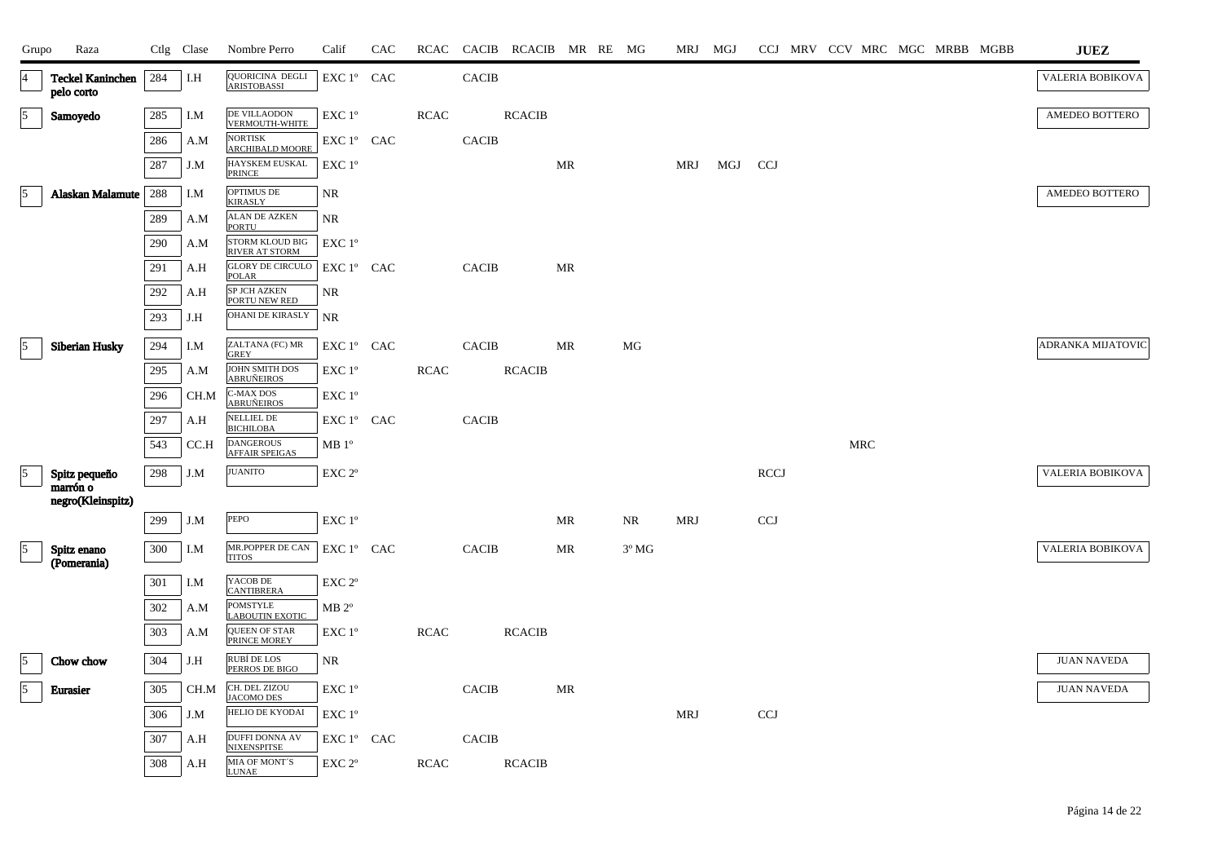| Grupo                   | Raza                                  |     | Ctlg Clase | Nombre Perro                                    | Calif                                      | CAC | RCAC        |              | CACIB RCACIB MR RE MG |           |                | MRJ MGJ    |     |             |  |            |  | CCJ MRV CCV MRC MGC MRBB MGBB | <b>JUEZ</b>        |
|-------------------------|---------------------------------------|-----|------------|-------------------------------------------------|--------------------------------------------|-----|-------------|--------------|-----------------------|-----------|----------------|------------|-----|-------------|--|------------|--|-------------------------------|--------------------|
| $\vert 4 \vert$         | <b>Teckel Kaninchen</b><br>pelo corto | 284 | I.H        | QUORICINA DEGLI<br><b>ARISTOBASSI</b>           | EXC 1° CAC                                 |     |             | <b>CACIB</b> |                       |           |                |            |     |             |  |            |  |                               | VALERIA BOBIKOVA   |
| $\vert$ 5               | Samoyedo                              | 285 | I.M        | DE VILLAODON<br><b>VERMOUTH-WHITE</b>           | EXC 1°                                     |     | <b>RCAC</b> |              | <b>RCACIB</b>         |           |                |            |     |             |  |            |  |                               | AMEDEO BOTTERO     |
|                         |                                       | 286 | A.M        | <b>NORTISK</b><br><b>ARCHIBALD MOORE</b>        | EXC 1° CAC                                 |     |             | <b>CACIB</b> |                       |           |                |            |     |             |  |            |  |                               |                    |
|                         |                                       | 287 | J.M        | <b>HAYSKEM EUSKAL</b><br>PRINCE                 | EXC 1°                                     |     |             |              |                       | MR        |                | MRJ        | MGJ | <b>CCJ</b>  |  |            |  |                               |                    |
| $\sqrt{5}$              | Alaskan Malamute                      | 288 | I.M        | OPTIMUS DE<br><b>KIRASLY</b>                    | NR                                         |     |             |              |                       |           |                |            |     |             |  |            |  |                               | AMEDEO BOTTERO     |
|                         |                                       | 289 | A.M        | <b>ALAN DE AZKEN</b><br><b>PORTU</b>            | NR.                                        |     |             |              |                       |           |                |            |     |             |  |            |  |                               |                    |
|                         |                                       | 290 | A.M        | <b>STORM KLOUD BIG</b><br><b>RIVER AT STORM</b> | EXC 1°                                     |     |             |              |                       |           |                |            |     |             |  |            |  |                               |                    |
|                         |                                       | 291 | A.H        | <b>GLORY DE CIRCULO</b><br>POLAR                | EXC 1° CAC                                 |     |             | <b>CACIB</b> |                       | MR        |                |            |     |             |  |            |  |                               |                    |
|                         |                                       | 292 | A.H        | SP JCH AZKEN<br>PORTU NEW RED                   | NR                                         |     |             |              |                       |           |                |            |     |             |  |            |  |                               |                    |
|                         |                                       | 293 | J.H        | OHANI DE KIRASLY                                | NR                                         |     |             |              |                       |           |                |            |     |             |  |            |  |                               |                    |
| $\sqrt{5}$              | <b>Siberian Husky</b>                 | 294 | I.M        | ZALTANA (FC) MR<br><b>GREY</b>                  | EXC 1° CAC                                 |     |             | <b>CACIB</b> |                       | <b>MR</b> | MG             |            |     |             |  |            |  |                               | ADRANKA MIJATOVIC  |
|                         |                                       | 295 | A.M        | JOHN SMITH DOS<br><b>ABRUÑEIROS</b>             | EXC 1°                                     |     | <b>RCAC</b> |              | <b>RCACIB</b>         |           |                |            |     |             |  |            |  |                               |                    |
|                         |                                       | 296 | CH.M       | C-MAX DOS<br><b>ABRUÑEIROS</b>                  | EXC 1°                                     |     |             |              |                       |           |                |            |     |             |  |            |  |                               |                    |
|                         |                                       | 297 | A.H        | NELLIEL DE<br><b>BICHILOBA</b>                  | EXC 1° CAC                                 |     |             | <b>CACIB</b> |                       |           |                |            |     |             |  |            |  |                               |                    |
|                         |                                       | 543 | CC.H       | <b>DANGEROUS</b><br><b>AFFAIR SPEIGAS</b>       | MB 1 <sup>o</sup>                          |     |             |              |                       |           |                |            |     |             |  | <b>MRC</b> |  |                               |                    |
| $\vert 5 \vert$         | Spitz pequeño                         | 298 | J.M        | <b>JUANITO</b>                                  | EXC <sub>2°</sub>                          |     |             |              |                       |           |                |            |     | <b>RCCJ</b> |  |            |  |                               | VALERIA BOBIKOVA   |
|                         | marrón o<br>negro(Kleinspitz)         |     |            |                                                 |                                            |     |             |              |                       |           |                |            |     |             |  |            |  |                               |                    |
|                         |                                       | 299 | J.M        | PEPO                                            | $\ensuremath{\mathrm{EXC}}$ $1^\mathrm{o}$ |     |             |              |                       | MR        | NR             | <b>MRJ</b> |     | <b>CCJ</b>  |  |            |  |                               |                    |
| $\vert 5 \vert$         | Spitz enano<br>(Pomerania)            | 300 | I.M        | MR.POPPER DE CAN<br><b>TITOS</b>                | EXC 1° CAC                                 |     |             | <b>CACIB</b> |                       | MR        | $3^{\circ}$ MG |            |     |             |  |            |  |                               | VALERIA BOBIKOVA   |
|                         |                                       | 301 | I.M        | YACOB DE<br><b>CANTIBRERA</b>                   | EXC <sub>2°</sub>                          |     |             |              |                       |           |                |            |     |             |  |            |  |                               |                    |
|                         |                                       | 302 | A.M        | POMSTYLE<br><b>LABOUTIN EXOTIC</b>              | $MB 2^{\circ}$                             |     |             |              |                       |           |                |            |     |             |  |            |  |                               |                    |
|                         |                                       | 303 | A.M        | <b>QUEEN OF STAR</b><br>PRINCE MOREY            | EXC 1°                                     |     | RCAC        |              | <b>RCACIB</b>         |           |                |            |     |             |  |            |  |                               |                    |
| $\vert 5 \vert$         | Chow chow                             | 304 | J.H        | RUBÍ DE LOS<br>PERROS DE BIGO                   | <b>NR</b>                                  |     |             |              |                       |           |                |            |     |             |  |            |  |                               | <b>JUAN NAVEDA</b> |
| $\overline{\mathbf{5}}$ | <b>Eurasier</b>                       | 305 | CH.M       | CH. DEL ZIZOU<br><b>JACOMO DES</b>              | EXC 1°                                     |     |             | <b>CACIB</b> |                       | MR        |                |            |     |             |  |            |  |                               | <b>JUAN NAVEDA</b> |
|                         |                                       | 306 | J.M        | HELIO DE KYODAI                                 | EXC 1°                                     |     |             |              |                       |           |                | <b>MRJ</b> |     | <b>CCJ</b>  |  |            |  |                               |                    |
|                         |                                       | 307 | A.H        | <b>DUFFI DONNA AV</b><br><b>NIXENSPITSE</b>     | EXC 1° CAC                                 |     |             | <b>CACIB</b> |                       |           |                |            |     |             |  |            |  |                               |                    |
|                         |                                       | 308 | A.H        | MIA OF MONT'S<br><b>LUNAE</b>                   | EXC <sub>2°</sub>                          |     | RCAC        |              | <b>RCACIB</b>         |           |                |            |     |             |  |            |  |                               |                    |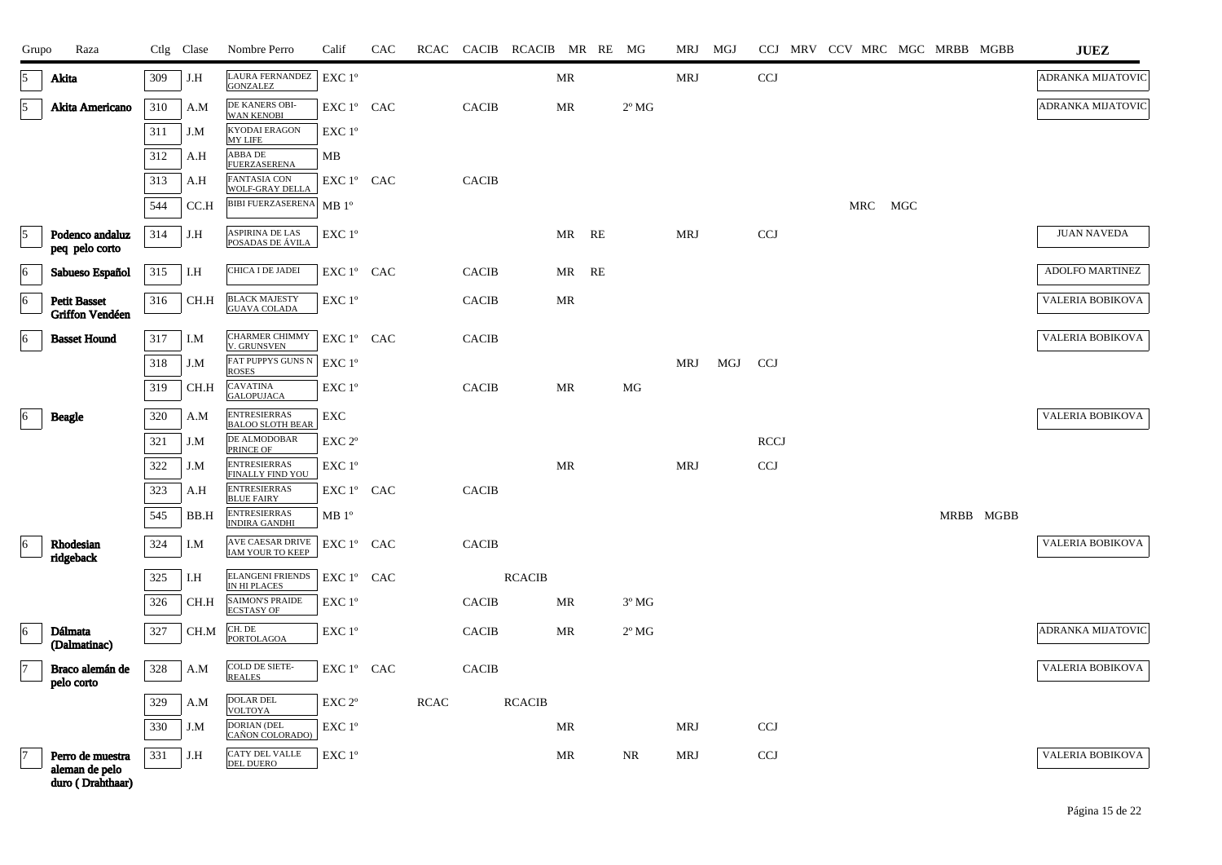| Grupo           | Raza                                                   |     | Ctlg Clase | Nombre Perro                                   | Calif              | CAC | RCAC        |              | CACIB RCACIB MR RE MG |           |                | MRJ MGJ    |     |             |  |         | CCJ MRV CCV MRC MGC MRBB MGBB |           | <b>JUEZ</b>        |
|-----------------|--------------------------------------------------------|-----|------------|------------------------------------------------|--------------------|-----|-------------|--------------|-----------------------|-----------|----------------|------------|-----|-------------|--|---------|-------------------------------|-----------|--------------------|
| 15              | Akita                                                  | 309 | J.H        | <b>LAURA FERNANDEZ</b><br><b>GONZALEZ</b>      | EXC 1°             |     |             |              |                       | <b>MR</b> |                | <b>MRJ</b> |     | <b>CCJ</b>  |  |         |                               |           | ADRANKA MIJATOVIC  |
| 5               | Akita Americano                                        | 310 | A.M        | DE KANERS OBI-<br><b>WAN KENOBI</b>            | EXC 1° CAC         |     |             | <b>CACIB</b> |                       | MR        | $2^{\circ}$ MG |            |     |             |  |         |                               |           | ADRANKA MIJATOVIC  |
|                 |                                                        | 311 | J.M        | <b>KYODAI ERAGON</b><br><b>MY LIFE</b>         | $EXC1^{\circ}$     |     |             |              |                       |           |                |            |     |             |  |         |                               |           |                    |
|                 |                                                        | 312 | A.H        | <b>ABBA DE</b><br><b>FUERZASERENA</b>          | MВ                 |     |             |              |                       |           |                |            |     |             |  |         |                               |           |                    |
|                 |                                                        | 313 | A.H        | <b>FANTASIA CON</b><br><b>WOLF-GRAY DELLA</b>  | EXC 1° CAC         |     |             | <b>CACIB</b> |                       |           |                |            |     |             |  |         |                               |           |                    |
|                 |                                                        | 544 | CC.H       | <b>BIBI FUERZASERENA</b> MB 1°                 |                    |     |             |              |                       |           |                |            |     |             |  | MRC MGC |                               |           |                    |
| $\overline{5}$  | Podenco andaluz<br>peq pelo corto                      | 314 | J.H        | <b>ASPIRINA DE LAS</b><br>POSADAS DE ÁVILA     | EXC 1 <sup>o</sup> |     |             |              |                       | MR RE     |                | <b>MRJ</b> |     | <b>CCJ</b>  |  |         |                               |           | <b>JUAN NAVEDA</b> |
| $\vert 6 \vert$ | Sabueso Español                                        | 315 | I.H        | CHICA I DE JADEI                               | EXC 1° CAC         |     |             | <b>CACIB</b> |                       | MR RE     |                |            |     |             |  |         |                               |           | ADOLFO MARTINEZ    |
| 6               | <b>Petit Basset</b><br>Griffon Vendéen                 | 316 | CH.H       | <b>BLACK MAJESTY</b><br><b>GUAVA COLADA</b>    | EXC 1 <sup>o</sup> |     |             | <b>CACIB</b> |                       | <b>MR</b> |                |            |     |             |  |         |                               |           | VALERIA BOBIKOVA   |
| 6               | <b>Basset Hound</b>                                    | 317 | I.M        | <b>CHARMER CHIMMY</b><br>V. GRUNSVEN           | EXC 1º CAC         |     |             | <b>CACIB</b> |                       |           |                |            |     |             |  |         |                               |           | VALERIA BOBIKOVA   |
|                 |                                                        | 318 | J.M        | FAT PUPPYS GUNS N<br><b>ROSES</b>              | EXC 1 <sup>o</sup> |     |             |              |                       |           |                | MRJ        | MGJ | CCJ         |  |         |                               |           |                    |
|                 |                                                        | 319 | CH.H       | <b>CAVATINA</b><br><b>GALOPUJACA</b>           | EXC 1 <sup>o</sup> |     |             | <b>CACIB</b> |                       | <b>MR</b> | MG             |            |     |             |  |         |                               |           |                    |
| 6               | <b>Beagle</b>                                          | 320 | A.M        | <b>ENTRESIERRAS</b><br><b>BALOO SLOTH BEAR</b> | EXC                |     |             |              |                       |           |                |            |     |             |  |         |                               |           | VALERIA BOBIKOVA   |
|                 |                                                        | 321 | J.M        | DE ALMODOBAR<br>PRINCE OF                      | EXC <sub>2°</sub>  |     |             |              |                       |           |                |            |     | <b>RCCJ</b> |  |         |                               |           |                    |
|                 |                                                        | 322 | J.M        | <b>ENTRESIERRAS</b><br><b>FINALLY FIND YOU</b> | EXC 1°             |     |             |              |                       | MR        |                | <b>MRJ</b> |     | <b>CCJ</b>  |  |         |                               |           |                    |
|                 |                                                        | 323 | A.H        | <b>ENTRESIERRAS</b><br><b>BLUE FAIRY</b>       | EXC 1° CAC         |     |             | <b>CACIB</b> |                       |           |                |            |     |             |  |         |                               |           |                    |
|                 |                                                        | 545 | BB.H       | <b>ENTRESIERRAS</b><br><b>INDIRA GANDHI</b>    | MB 1 <sup>o</sup>  |     |             |              |                       |           |                |            |     |             |  |         |                               | MRBB MGBB |                    |
| 6               | Rhodesian<br>ridgeback                                 | 324 | I.M        | AVE CAESAR DRIVE<br><b>IAM YOUR TO KEEP</b>    | EXC 1º CAC         |     |             | <b>CACIB</b> |                       |           |                |            |     |             |  |         |                               |           | VALERIA BOBIKOVA   |
|                 |                                                        | 325 | I.H        | <b>ELANGENI FRIENDS</b><br>IN HI PLACES        | EXC 1º CAC         |     |             |              | <b>RCACIB</b>         |           |                |            |     |             |  |         |                               |           |                    |
|                 |                                                        | 326 | CH.H       | <b>SAIMON'S PRAIDE</b><br><b>ECSTASY OF</b>    | EXC 1°             |     |             | <b>CACIB</b> |                       | MR        | $3^{\circ}$ MG |            |     |             |  |         |                               |           |                    |
| $\vert 6 \vert$ | <b>Dálmata</b><br>(Dalmatinac)                         | 327 | CH.M       | CH. DE<br>PORTOLAGOA                           | EXC 1 <sup>o</sup> |     |             | <b>CACIB</b> |                       | <b>MR</b> | $2^{\circ}$ MG |            |     |             |  |         |                               |           | ADRANKA MIJATOVIC  |
| 17              | Braco alemán de<br>pelo corto                          | 328 | A.M        | <b>COLD DE SIETE-</b><br><b>REALES</b>         | EXC 1° CAC         |     |             | <b>CACIB</b> |                       |           |                |            |     |             |  |         |                               |           | VALERIA BOBIKOVA   |
|                 |                                                        | 329 | A.M        | <b>DOLAR DEL</b><br><b>VOLTOYA</b>             | EXC 2 <sup>o</sup> |     | <b>RCAC</b> |              | <b>RCACIB</b>         |           |                |            |     |             |  |         |                               |           |                    |
|                 |                                                        | 330 | J.M        | <b>DORIAN (DEL</b><br>CAÑON COLORADO)          | $EXC1^{\circ}$     |     |             |              |                       | MR        |                | MRJ        |     | <b>CCJ</b>  |  |         |                               |           |                    |
|                 | Perro de muestra<br>aleman de pelo<br>duro (Drahthaar) | 331 | J.H        | CATY DEL VALLE<br><b>DEL DUERO</b>             | EXC 1°             |     |             |              |                       | <b>MR</b> | NR             | <b>MRJ</b> |     | <b>CCJ</b>  |  |         |                               |           | VALERIA BOBIKOVA   |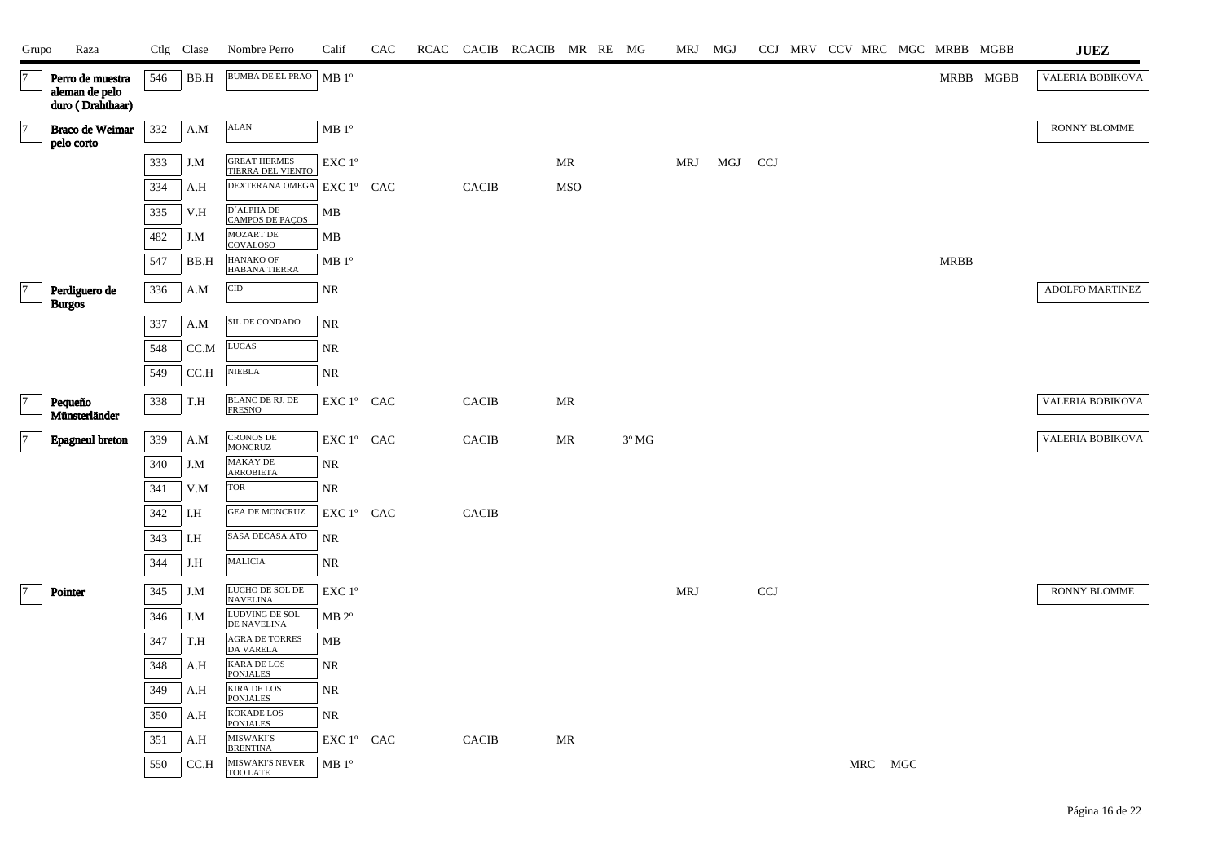| Grupo          | Raza                                              |     | Ctlg Clase   | Nombre Perro                                         | Calif                                          | CAC |              | RCAC CACIB RCACIB MR RE MG |            |                | MRJ MGJ    |     |            |  |         |             | CCJ MRV CCV MRC MGC MRBB MGBB | ${\bf JUEZ}$           |
|----------------|---------------------------------------------------|-----|--------------|------------------------------------------------------|------------------------------------------------|-----|--------------|----------------------------|------------|----------------|------------|-----|------------|--|---------|-------------|-------------------------------|------------------------|
| $\overline{7}$ | Perro de muestra<br>aleman de pelo                | 546 | BB.H         | <b>BUMBA DE EL PRAO</b>                              | MB 1 <sup>o</sup>                              |     |              |                            |            |                |            |     |            |  |         |             | MRBB MGBB                     | VALERIA BOBIKOVA       |
| 7              | duro (Drahthaar)<br>Braco de Weimar<br>pelo corto | 332 | A.M          | $\mbox{ALAN}$                                        | MB 1 <sup>o</sup>                              |     |              |                            |            |                |            |     |            |  |         |             |                               | RONNY BLOMME           |
|                |                                                   | 333 | J.M          | <b>GREAT HERMES</b><br>TIERRA DEL VIENTO             | EXC 1°                                         |     |              |                            | MR         |                | MRJ        | MGJ | <b>CCJ</b> |  |         |             |                               |                        |
|                |                                                   | 334 | A.H          | DEXTERANA OMEGA                                      | EXC 1° CAC                                     |     | <b>CACIB</b> |                            | <b>MSO</b> |                |            |     |            |  |         |             |                               |                        |
|                |                                                   | 335 | V.H          | D'ALPHA DE<br><b>CAMPOS DE PAÇOS</b>                 | MB                                             |     |              |                            |            |                |            |     |            |  |         |             |                               |                        |
|                |                                                   | 482 | J.M          | MOZART DE<br>COVALOSO                                | MB                                             |     |              |                            |            |                |            |     |            |  |         |             |                               |                        |
|                |                                                   | 547 | BB.H         | HANAKO OF<br>HABANA TIERRA                           | MB 1 <sup>o</sup>                              |     |              |                            |            |                |            |     |            |  |         | <b>MRBB</b> |                               |                        |
| 7              | Perdiguero de<br><b>Burgos</b>                    | 336 | A.M          | CID                                                  | <b>NR</b>                                      |     |              |                            |            |                |            |     |            |  |         |             |                               | <b>ADOLFO MARTINEZ</b> |
|                |                                                   | 337 | A.M          | SIL DE CONDADO                                       | NR                                             |     |              |                            |            |                |            |     |            |  |         |             |                               |                        |
|                |                                                   | 548 | CC.M         | $_{\rm LUCAS}$                                       | NR                                             |     |              |                            |            |                |            |     |            |  |         |             |                               |                        |
|                |                                                   | 549 | CCA          | <b>NIEBLA</b>                                        | NR                                             |     |              |                            |            |                |            |     |            |  |         |             |                               |                        |
| $\overline{7}$ | Pequeño<br>Münsterländer                          | 338 | T.H          | $\overline{\text{BLANC}}$ DE RJ. DE<br><b>FRESNO</b> | EXC 1º CAC                                     |     | CACIB        |                            | MR         |                |            |     |            |  |         |             |                               | VALERIA BOBIKOVA       |
| $\overline{7}$ | <b>Epagneul</b> breton                            | 339 | A.M          | <b>CRONOS DE</b><br>MONCRUZ                          | $\mathop{\hbox{\rm EXC}}$ $1^{\circ}$ $\;$ CAC |     | <b>CACIB</b> |                            | MR         | $3^{\circ}$ MG |            |     |            |  |         |             |                               | VALERIA BOBIKOVA       |
|                |                                                   | 340 | J.M          | MAKAY DE<br><b>ARROBIETA</b>                         | NR                                             |     |              |                            |            |                |            |     |            |  |         |             |                               |                        |
|                |                                                   | 341 | V.M          | TOR                                                  | NR                                             |     |              |                            |            |                |            |     |            |  |         |             |                               |                        |
|                |                                                   | 342 | I.H          | <b>GEA DE MONCRUZ</b>                                | EXC 1° CAC                                     |     | CACIB        |                            |            |                |            |     |            |  |         |             |                               |                        |
|                |                                                   | 343 | I.H          | SASA DECASA ATO                                      | NR                                             |     |              |                            |            |                |            |     |            |  |         |             |                               |                        |
|                |                                                   | 344 | J.H          | <b>MALICIA</b>                                       | $\rm NR$                                       |     |              |                            |            |                |            |     |            |  |         |             |                               |                        |
| 7              | Pointer                                           | 345 | $_{\rm J.M}$ | LUCHO DE SOL DE<br>NAVELINA                          | EXC 1°                                         |     |              |                            |            |                | <b>MRJ</b> |     | CCJ        |  |         |             |                               | RONNY BLOMME           |
|                |                                                   | 346 | J.M          | LUDVING DE SOL<br>DE NAVELINA                        | $MB 2^{\circ}$                                 |     |              |                            |            |                |            |     |            |  |         |             |                               |                        |
|                |                                                   | 347 | T.H          | AGRA DE TORRES<br><b>DA VARELA</b>                   | MB                                             |     |              |                            |            |                |            |     |            |  |         |             |                               |                        |
|                |                                                   | 348 | A.H          | KARA DE LOS<br><b>PONJALES</b>                       | NR                                             |     |              |                            |            |                |            |     |            |  |         |             |                               |                        |
|                |                                                   | 349 | A.H          | <b>KIRA DE LOS</b><br><b>PONJALES</b>                | <b>NR</b>                                      |     |              |                            |            |                |            |     |            |  |         |             |                               |                        |
|                |                                                   | 350 | A.H          | <b>KOKADE LOS</b><br><b>PONJALES</b>                 | <b>NR</b>                                      |     |              |                            |            |                |            |     |            |  |         |             |                               |                        |
|                |                                                   | 351 | A.H          | MISWAKI'S<br><b>BRENTINA</b>                         | EXC 1º CAC                                     |     | <b>CACIB</b> |                            | MR         |                |            |     |            |  |         |             |                               |                        |
|                |                                                   | 550 | CCA          | <b>MISWAKI'S NEVER</b><br><b>TOO LATE</b>            | $MB1^{\circ}$                                  |     |              |                            |            |                |            |     |            |  | MRC MGC |             |                               |                        |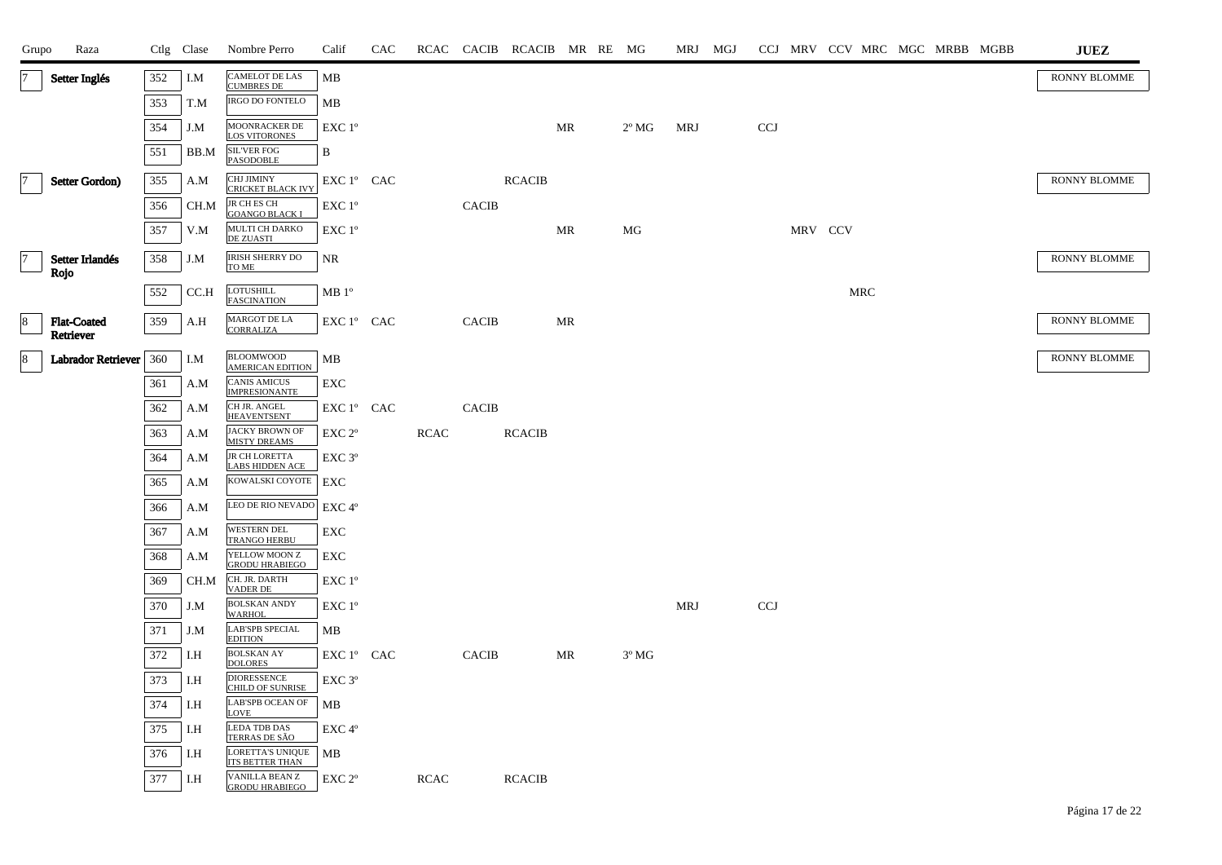| Grupo          | Raza                      |     | Ctlg Clase | Nombre Perro                                   | Calif              | CAC |             |              | RCAC CACIB RCACIB MR RE MG |           |                |     | MRJ MGJ |            |         |     | CCJ MRV CCV MRC MGC MRBB MGBB |  | <b>JUEZ</b>         |
|----------------|---------------------------|-----|------------|------------------------------------------------|--------------------|-----|-------------|--------------|----------------------------|-----------|----------------|-----|---------|------------|---------|-----|-------------------------------|--|---------------------|
| $\overline{7}$ | Setter Inglés             | 352 | I.M        | CAMELOT DE LAS<br>CUMBRES DE                   | MB                 |     |             |              |                            |           |                |     |         |            |         |     |                               |  | RONNY BLOMME        |
|                |                           | 353 | T.M        | <b>IRGO DO FONTELO</b>                         | MB                 |     |             |              |                            |           |                |     |         |            |         |     |                               |  |                     |
|                |                           | 354 | J.M        | <b>MOONRACKER DE</b><br><b>LOS VITORONES</b>   | EXC 1°             |     |             |              |                            | <b>MR</b> | $2^{\circ}$ MG | MRJ |         | <b>CCJ</b> |         |     |                               |  |                     |
|                |                           | 551 | BB.M       | <b>SIL'VER FOG</b><br><b>PASODOBLE</b>         | B                  |     |             |              |                            |           |                |     |         |            |         |     |                               |  |                     |
| 17             | Setter Gordon)            | 355 | A.M        | CHJ JIMINY<br><b>CRICKET BLACK IVY</b>         | EXC 1° CAC         |     |             |              | <b>RCACIB</b>              |           |                |     |         |            |         |     |                               |  | <b>RONNY BLOMME</b> |
|                |                           | 356 | CH.M       | JR CH ES CH<br><b>GOANGO BLACK I</b>           | EXC 1°             |     |             | <b>CACIB</b> |                            |           |                |     |         |            |         |     |                               |  |                     |
|                |                           | 357 | V.M        | MULTI CH DARKO<br><b>DE ZUASTI</b>             | EXC 1°             |     |             |              |                            | MR        | MG             |     |         |            | MRV CCV |     |                               |  |                     |
| $\vert$ 7      | Setter Irlandés           | 358 | J.M        | <b>IRISH SHERRY DO</b><br>TO ME                | NR                 |     |             |              |                            |           |                |     |         |            |         |     |                               |  | <b>RONNY BLOMME</b> |
|                | Rojo                      | 552 | CC.H       | <b>LOTUSHILL</b>                               | MB 1 <sup>o</sup>  |     |             |              |                            |           |                |     |         |            |         | MRC |                               |  |                     |
| $\sqrt{8}$     | <b>Flat-Coated</b>        |     |            | <b>FASCINATION</b><br>MARGOT DE LA             | EXC 1º CAC         |     |             | <b>CACIB</b> |                            | <b>MR</b> |                |     |         |            |         |     |                               |  | RONNY BLOMME        |
|                | Retriever                 | 359 | A.H        | <b>CORRALIZA</b>                               |                    |     |             |              |                            |           |                |     |         |            |         |     |                               |  |                     |
| 8              | <b>Labrador Retriever</b> | 360 | I.M        | <b>BLOOMWOOD</b><br><b>AMERICAN EDITION</b>    | MВ                 |     |             |              |                            |           |                |     |         |            |         |     |                               |  | RONNY BLOMME        |
|                |                           | 361 | A.M        | <b>CANIS AMICUS</b><br><b>IMPRESIONANTE</b>    | EXC                |     |             |              |                            |           |                |     |         |            |         |     |                               |  |                     |
|                |                           | 362 | A.M        | CH JR. ANGEL<br><b>HEAVENTSENT</b>             | EXC 1° CAC         |     |             | <b>CACIB</b> |                            |           |                |     |         |            |         |     |                               |  |                     |
|                |                           | 363 | A.M        | <b>JACKY BROWN OF</b><br><b>MISTY DREAMS</b>   | $EXC 2^{\circ}$    |     | <b>RCAC</b> |              | <b>RCACIB</b>              |           |                |     |         |            |         |     |                               |  |                     |
|                |                           | 364 | A.M        | JR CH LORETTA<br><b>LABS HIDDEN ACE</b>        | EXC 3°             |     |             |              |                            |           |                |     |         |            |         |     |                               |  |                     |
|                |                           | 365 | A.M        | KOWALSKI COYOTE                                | ${\rm EXC}$        |     |             |              |                            |           |                |     |         |            |         |     |                               |  |                     |
|                |                           | 366 | A.M        | LEO DE RIO NEVADO                              | $EXC 4^{\circ}$    |     |             |              |                            |           |                |     |         |            |         |     |                               |  |                     |
|                |                           | 367 | A.M        | <b>WESTERN DEL</b><br><b>TRANGO HERBU</b>      | EXC                |     |             |              |                            |           |                |     |         |            |         |     |                               |  |                     |
|                |                           | 368 | A.M        | YELLOW MOON Z<br><b>GRODU HRABIEGO</b>         | EXC                |     |             |              |                            |           |                |     |         |            |         |     |                               |  |                     |
|                |                           | 369 | CH.M       | CH. JR. DARTH<br><b>VADER DE</b>               | EXC 1 <sup>o</sup> |     |             |              |                            |           |                |     |         |            |         |     |                               |  |                     |
|                |                           | 370 | J.M        | <b>BOLSKAN ANDY</b><br><b>WARHOL</b>           | EXC 1°             |     |             |              |                            |           |                | MRJ |         | <b>CCJ</b> |         |     |                               |  |                     |
|                |                           | 371 | J.M        | <b>LAB'SPB SPECIAL</b><br><b>EDITION</b>       | MВ                 |     |             |              |                            |           |                |     |         |            |         |     |                               |  |                     |
|                |                           | 372 | I.H        | <b>BOLSKAN AY</b><br><b>DOLORES</b>            | EXC 1° CAC         |     |             | <b>CACIB</b> |                            | MR        | $3^{\circ}$ MG |     |         |            |         |     |                               |  |                     |
|                |                           | 373 | I.H        | <b>DIORESSENCE</b><br><b>CHILD OF SUNRISE</b>  | EXC 3°             |     |             |              |                            |           |                |     |         |            |         |     |                               |  |                     |
|                |                           | 374 | I.H        | <b>LAB'SPB OCEAN OF</b><br><b>LOVE</b>         | MВ                 |     |             |              |                            |           |                |     |         |            |         |     |                               |  |                     |
|                |                           | 375 | I.H        | <b>LEDA TDB DAS</b><br>TERRAS DE SÃO           | EXC 4°             |     |             |              |                            |           |                |     |         |            |         |     |                               |  |                     |
|                |                           | 376 | I.H        | LORETTA'S UNIQUE<br><b>ITS BETTER THAN</b>     | MВ                 |     |             |              |                            |           |                |     |         |            |         |     |                               |  |                     |
|                |                           | 377 | I.H        | <b>VANILLA BEAN Z</b><br><b>GRODU HRABIEGO</b> | EXC <sub>2°</sub>  |     | <b>RCAC</b> |              | <b>RCACIB</b>              |           |                |     |         |            |         |     |                               |  |                     |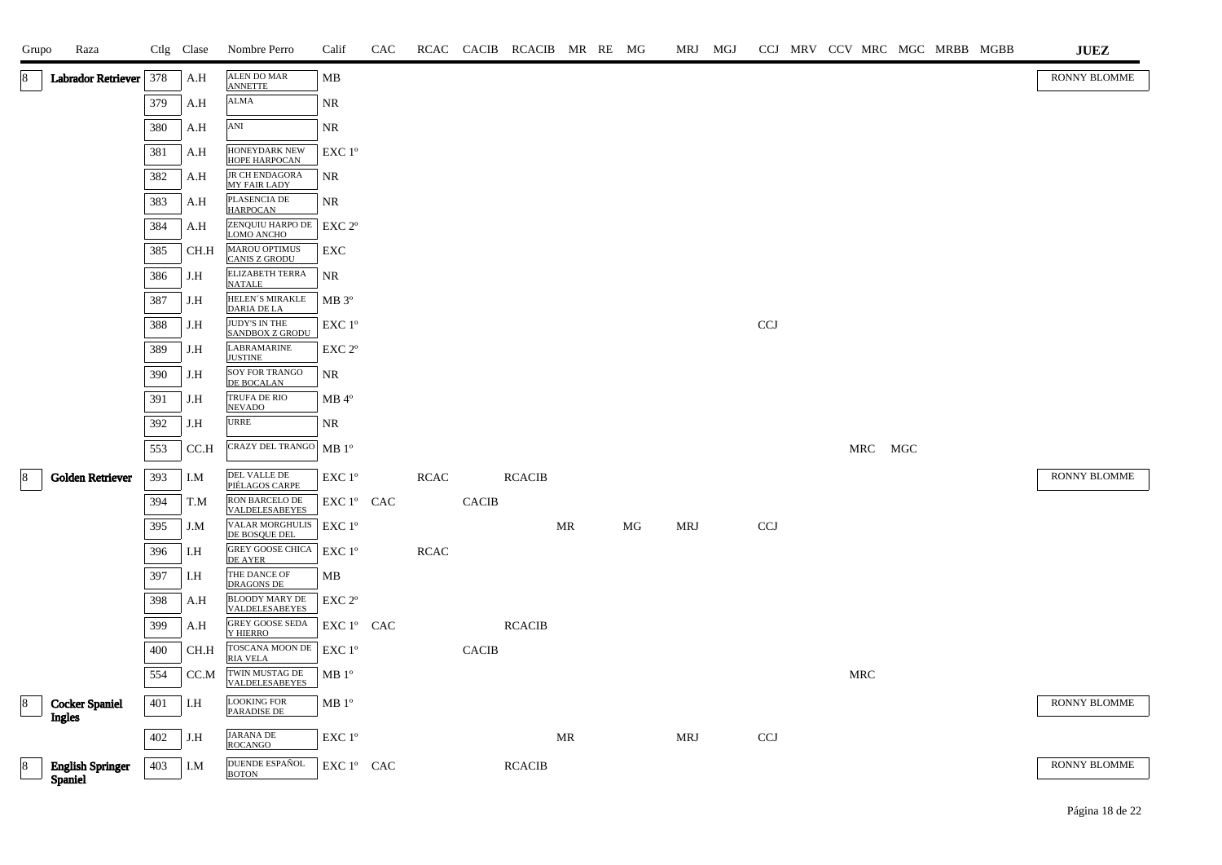| Grupo           | Raza                     |         | Ctlg Clase | Nombre Perro                                 | Calif              | CAC |             |              | RCAC CACIB RCACIB MR RE MG |           |    | MRJ MGJ    |            |  |            | CCJ MRV CCV MRC MGC MRBB MGBB | <b>JUEZ</b>  |
|-----------------|--------------------------|---------|------------|----------------------------------------------|--------------------|-----|-------------|--------------|----------------------------|-----------|----|------------|------------|--|------------|-------------------------------|--------------|
| 8               | Labrador Retriever   378 |         | A.H        | <b>ALEN DO MAR</b><br><b>ANNETTE</b>         | MB                 |     |             |              |                            |           |    |            |            |  |            |                               | RONNY BLOMME |
|                 |                          | 379     | A.H        | ALMA                                         | NR.                |     |             |              |                            |           |    |            |            |  |            |                               |              |
|                 |                          | 380     | A.H        | ANI                                          | NR                 |     |             |              |                            |           |    |            |            |  |            |                               |              |
|                 |                          | 381     | A.H        | HONEYDARK NEW<br>HOPE HARPOCAN               | EXC 1°             |     |             |              |                            |           |    |            |            |  |            |                               |              |
|                 |                          | 382     | A.H        | JR CH ENDAGORA<br><b>MY FAIR LADY</b>        | NR                 |     |             |              |                            |           |    |            |            |  |            |                               |              |
|                 |                          | 383     | A.H        | PLASENCIA DE<br><b>HARPOCAN</b>              | NR                 |     |             |              |                            |           |    |            |            |  |            |                               |              |
|                 |                          | 384     | A.H        | ZENQUIU HARPO DE<br>LOMO ANCHO               | EXC 2 <sup>o</sup> |     |             |              |                            |           |    |            |            |  |            |                               |              |
|                 |                          | 385     | CH.H       | <b>MAROU OPTIMUS</b><br><b>CANIS Z GRODU</b> | EXC                |     |             |              |                            |           |    |            |            |  |            |                               |              |
|                 |                          | 386     | J.H        | ELIZABETH TERRA<br><b>NATALE</b>             | NR                 |     |             |              |                            |           |    |            |            |  |            |                               |              |
|                 |                          | 387     | J.H        | HELEN'S MIRAKLE<br><b>DARIA DE LA</b>        | $MB 3^{\circ}$     |     |             |              |                            |           |    |            |            |  |            |                               |              |
|                 |                          | 388     | J.H        | JUDY'S IN THE<br><b>SANDBOX Z GRODU</b>      | EXC 1°             |     |             |              |                            |           |    |            | <b>CCJ</b> |  |            |                               |              |
|                 |                          | 389     | J.H        | <b>LABRAMARINE</b><br><b>JUSTINE</b>         | $EXC 2^{\circ}$    |     |             |              |                            |           |    |            |            |  |            |                               |              |
|                 |                          | 390     | J.H        | SOY FOR TRANGO<br>DE BOCALAN                 | NR                 |     |             |              |                            |           |    |            |            |  |            |                               |              |
|                 |                          | 391     | J.H        | TRUFA DE RIO<br><b>NEVADO</b>                | $MB$ <sup>o</sup>  |     |             |              |                            |           |    |            |            |  |            |                               |              |
|                 |                          | 392     | J.H        | URRE                                         | NR                 |     |             |              |                            |           |    |            |            |  |            |                               |              |
|                 |                          | 553     | CC.H       | CRAZY DEL TRANGO MB 1º                       |                    |     |             |              |                            |           |    |            |            |  | MRC MGC    |                               |              |
| 8               | <b>Golden Retriever</b>  | 393     | I.M        | DEL VALLE DE<br>PIÉLAGOS CARPE               | EXC 1°             |     | <b>RCAC</b> |              | <b>RCACIB</b>              |           |    |            |            |  |            |                               | RONNY BLOMME |
|                 |                          | 394     | T.M        | RON BARCELO DE<br>VALDELESABEYES             | EXC 1° CAC         |     |             | <b>CACIB</b> |                            |           |    |            |            |  |            |                               |              |
|                 |                          | 395     | J.M        | VALAR MORGHULIS<br>DE BOSQUE DEL             | $EXC1^{\circ}$     |     |             |              |                            | <b>MR</b> | MG | <b>MRJ</b> | <b>CCJ</b> |  |            |                               |              |
|                 |                          | 396     | I.H        | GREY GOOSE CHICA<br>DE AYER                  | EXC 1 <sup>o</sup> |     | <b>RCAC</b> |              |                            |           |    |            |            |  |            |                               |              |
|                 |                          | 397     | I.H        | THE DANCE OF DRAGONS DE                      | MB                 |     |             |              |                            |           |    |            |            |  |            |                               |              |
|                 |                          | 398     | A.H        | <b>BLOODY MARY DE</b><br>VALDELESABEYES      | EXC 2°             |     |             |              |                            |           |    |            |            |  |            |                               |              |
|                 |                          | 399     | A.H        | GREY GOOSE SEDA<br>Y HIERRO                  | EXC 1° CAC         |     |             |              | <b>RCACIB</b>              |           |    |            |            |  |            |                               |              |
|                 |                          | 400     | CH.H       | TOSCANA MOON DE<br>RIA VELA                  | EXC 1°             |     |             | <b>CACIB</b> |                            |           |    |            |            |  |            |                               |              |
|                 |                          | 554     | CC.M       | TWIN MUSTAG DE<br>VALDELESABEYES             | MB 1 <sup>o</sup>  |     |             |              |                            |           |    |            |            |  | <b>MRC</b> |                               |              |
| 8               | <b>Cocker Spaniel</b>    | $401\,$ | I.H        | <b>LOOKING FOR</b><br>PARADISE DE            | MB1°               |     |             |              |                            |           |    |            |            |  |            |                               | RONNY BLOMME |
|                 | Ingles                   | 402     | J.H        | <b>JARANA DE</b>                             | EXC 1°             |     |             |              |                            | MR        |    | <b>MRJ</b> | <b>CCJ</b> |  |            |                               |              |
| $\vert 8 \vert$ | <b>English Springer</b>  | 403     | I.M        | <b>ROCANGO</b><br>DUENDE ESPAÑOL             | EXC 1° CAC         |     |             |              | <b>RCACIB</b>              |           |    |            |            |  |            |                               | RONNY BLOMME |
|                 | <b>Spaniel</b>           |         |            | <b>BOTON</b>                                 |                    |     |             |              |                            |           |    |            |            |  |            |                               |              |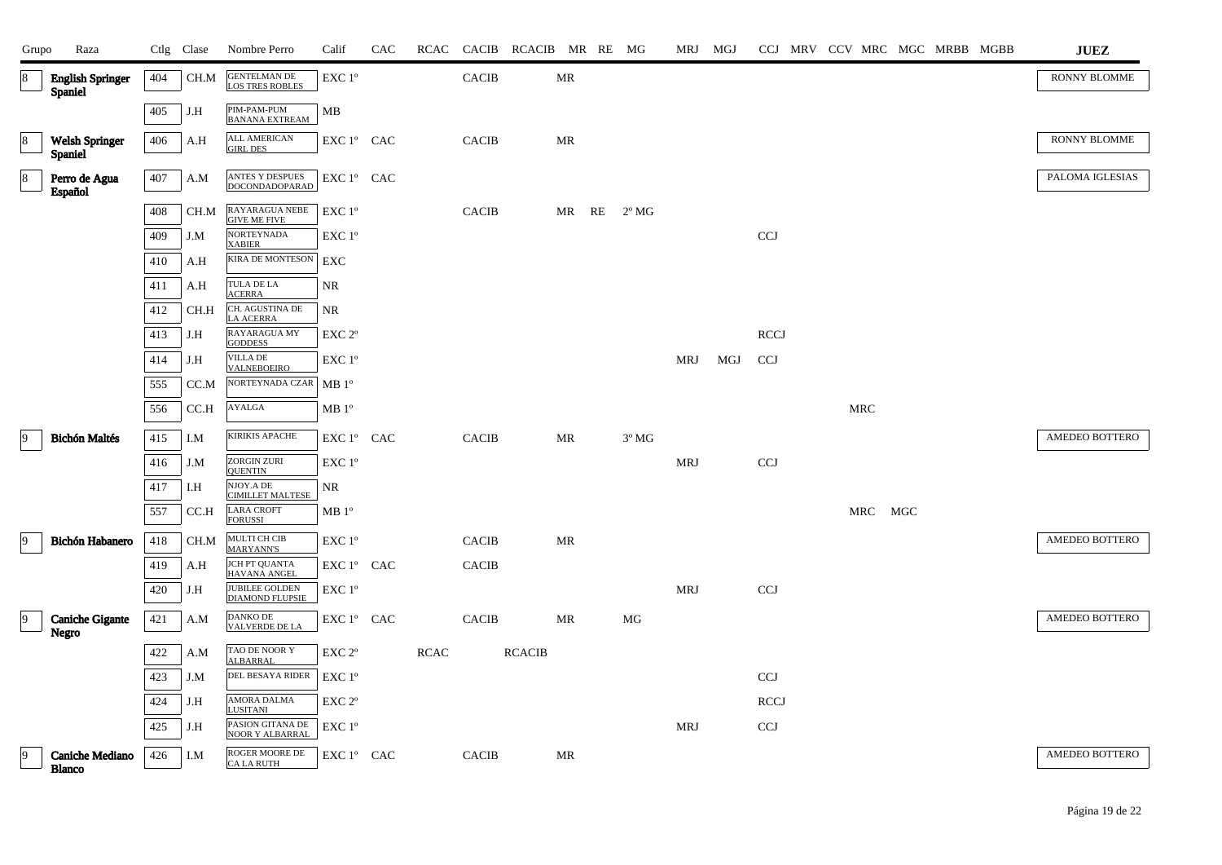| Grupo          | Raza                                      |         | Ctlg Clase | Nombre Perro                                  | Calif                                        | CAC | RCAC        |              | CACIB RCACIB MR RE MG |           |                | MRJ MGJ    |     |             |  |            | CCJ MRV CCV MRC MGC MRBB MGBB |  | $\mathbf{J}\mathbf{U}\mathbf{E}\mathbf{Z}$ |
|----------------|-------------------------------------------|---------|------------|-----------------------------------------------|----------------------------------------------|-----|-------------|--------------|-----------------------|-----------|----------------|------------|-----|-------------|--|------------|-------------------------------|--|--------------------------------------------|
| 8              | <b>English Springer</b><br><b>Spaniel</b> | 404     | CH.M       | <b>GENTELMAN DE</b><br><b>LOS TRES ROBLES</b> | $\ensuremath{\text{EXC}}$ $1^{\mathrm{o}}$   |     |             | <b>CACIB</b> |                       | MR        |                |            |     |             |  |            |                               |  | RONNY BLOMME                               |
|                |                                           | 405     | J.H        | PIM-PAM-PUM<br><b>BANANA EXTREAM</b>          | MB                                           |     |             |              |                       |           |                |            |     |             |  |            |                               |  |                                            |
| 8              | Welsh Springer<br><b>Spaniel</b>          | 406     | A.H        | <b>ALL AMERICAN</b><br><b>GIRL DES</b>        | EXC 1° CAC                                   |     |             | <b>CACIB</b> |                       | MR        |                |            |     |             |  |            |                               |  | RONNY BLOMME                               |
| $\,8\,$        | Perro de Agua<br>Español                  | 407     | A.M        | ANTES Y DESPUES<br><b>DOCONDADOPARAD</b>      | EXC 1º CAC                                   |     |             |              |                       |           |                |            |     |             |  |            |                               |  | PALOMA IGLESIAS                            |
|                |                                           | 408     | CH.M       | RAYARAGUA NEBE<br><b>GIVE ME FIVE</b>         | EXC 1°                                       |     |             | <b>CACIB</b> |                       | MR RE     | $2^{\circ}$ MG |            |     |             |  |            |                               |  |                                            |
|                |                                           | 409     | J.M        | <b>NORTEYNADA</b><br><b>XABIER</b>            | EXC 1°                                       |     |             |              |                       |           |                |            |     | CCJ         |  |            |                               |  |                                            |
|                |                                           | 410     | A.H        | <b>KIRA DE MONTESON</b>                       | EXC                                          |     |             |              |                       |           |                |            |     |             |  |            |                               |  |                                            |
|                |                                           | 411     | A.H        | TULA DE LA<br><b>ACERRA</b>                   | NR                                           |     |             |              |                       |           |                |            |     |             |  |            |                               |  |                                            |
|                |                                           | 412     | $\rm CH.H$ | CH. AGUSTINA DE LA ACERRA                     | $\rm NR$                                     |     |             |              |                       |           |                |            |     |             |  |            |                               |  |                                            |
|                |                                           | 413     | J.H        | RAYARAGUA MY<br><b>GODDESS</b>                | $\ensuremath{\mathrm{EXC}}$ $2^{\mathrm{o}}$ |     |             |              |                       |           |                |            |     | <b>RCCJ</b> |  |            |                               |  |                                            |
|                |                                           | 414     | J.H        | VILLA DE<br><b>VALNEBOEIRO</b>                | EXC 1°                                       |     |             |              |                       |           |                | <b>MRJ</b> | MGJ | <b>CCJ</b>  |  |            |                               |  |                                            |
|                |                                           | 555     | CC.M       | NORTEYNADA CZAR                               | MB <sup>o</sup>                              |     |             |              |                       |           |                |            |     |             |  |            |                               |  |                                            |
|                |                                           | 556     | CC.H       | AYALGA                                        | MB <sup>o</sup>                              |     |             |              |                       |           |                |            |     |             |  | <b>MRC</b> |                               |  |                                            |
| $\vert$ 9      | <b>Bichón Maltés</b>                      | 415     | I.M        | <b>KIRIKIS APACHE</b>                         | EXC 1° CAC                                   |     |             | <b>CACIB</b> |                       | MR        | $3^{\circ}$ MG |            |     |             |  |            |                               |  | AMEDEO BOTTERO                             |
|                |                                           | 416     | J.M        | <b>ZORGIN ZURI</b><br><b>OUENTIN</b>          | EXC 1°                                       |     |             |              |                       |           |                | <b>MRJ</b> |     | <b>CCJ</b>  |  |            |                               |  |                                            |
|                |                                           | 417     | I.H        | NJOY.A DE<br><b>CIMILLET MALTESE</b>          | NR                                           |     |             |              |                       |           |                |            |     |             |  |            |                               |  |                                            |
|                |                                           | 557     | CC.H       | <b>LARA CROFT</b><br><b>FORUSSI</b>           | $\rm MB$ $1^{\rm o}$                         |     |             |              |                       |           |                |            |     |             |  | MRC        | MGC                           |  |                                            |
| $ 9\rangle$    | Bichón Habanero                           | 418     | CH.M       | MULTI CH CIB                                  | $EXC1^{\circ}$                               |     |             | <b>CACIB</b> |                       | MR        |                |            |     |             |  |            |                               |  | AMEDEO BOTTERO                             |
|                |                                           | 419     | A.H        | <b>MARYANN'S</b><br><b>JCH PT QUANTA</b>      | EXC 1° CAC                                   |     |             | <b>CACIB</b> |                       |           |                |            |     |             |  |            |                               |  |                                            |
|                |                                           | 420     | J.H        | <b>HAVANA ANGEL</b><br><b>JUBILEE GOLDEN</b>  | $\ensuremath{\mathrm{EXC}}$ $1^\mathrm{o}$   |     |             |              |                       |           |                | <b>MRJ</b> |     | <b>CCJ</b>  |  |            |                               |  |                                            |
| $\overline{9}$ | <b>Caniche Gigante</b>                    | 421     | A.M        | <b>DIAMOND FLUPSIE</b><br><b>DANKO DE</b>     | EXC 1° CAC                                   |     |             | <b>CACIB</b> |                       | <b>MR</b> | MG             |            |     |             |  |            |                               |  | AMEDEO BOTTERO                             |
|                | Negro                                     |         |            | <b>VALVERDE DE LA</b>                         |                                              |     |             |              |                       |           |                |            |     |             |  |            |                               |  |                                            |
|                |                                           | $422\,$ | A.M        | TAO DE NOOR Y<br><b>ALBARRAL</b>              | EXC <sub>2°</sub>                            |     | <b>RCAC</b> |              | <b>RCACIB</b>         |           |                |            |     |             |  |            |                               |  |                                            |
|                |                                           | 423     | J.M        | <b>DEL BESAYA RIDER</b>                       | EXC 1°                                       |     |             |              |                       |           |                |            |     | <b>CCJ</b>  |  |            |                               |  |                                            |
|                |                                           | 424     | J.H        | AMORA DALMA<br><b>LUSITANI</b>                | EXC <sub>2°</sub>                            |     |             |              |                       |           |                |            |     | <b>RCCJ</b> |  |            |                               |  |                                            |
|                |                                           | 425     | J.H        | PASION GITANA DE<br><b>NOOR Y ALBARRAL</b>    | EXC 1°                                       |     |             |              |                       |           |                | <b>MRJ</b> |     | <b>CCJ</b>  |  |            |                               |  |                                            |
| $\overline{9}$ | <b>Caniche Mediano</b><br><b>Blanco</b>   | 426     | I.M        | ROGER MOORE DE<br><b>CALARUTH</b>             | EXC 1° CAC                                   |     |             | <b>CACIB</b> |                       | MR        |                |            |     |             |  |            |                               |  | AMEDEO BOTTERO                             |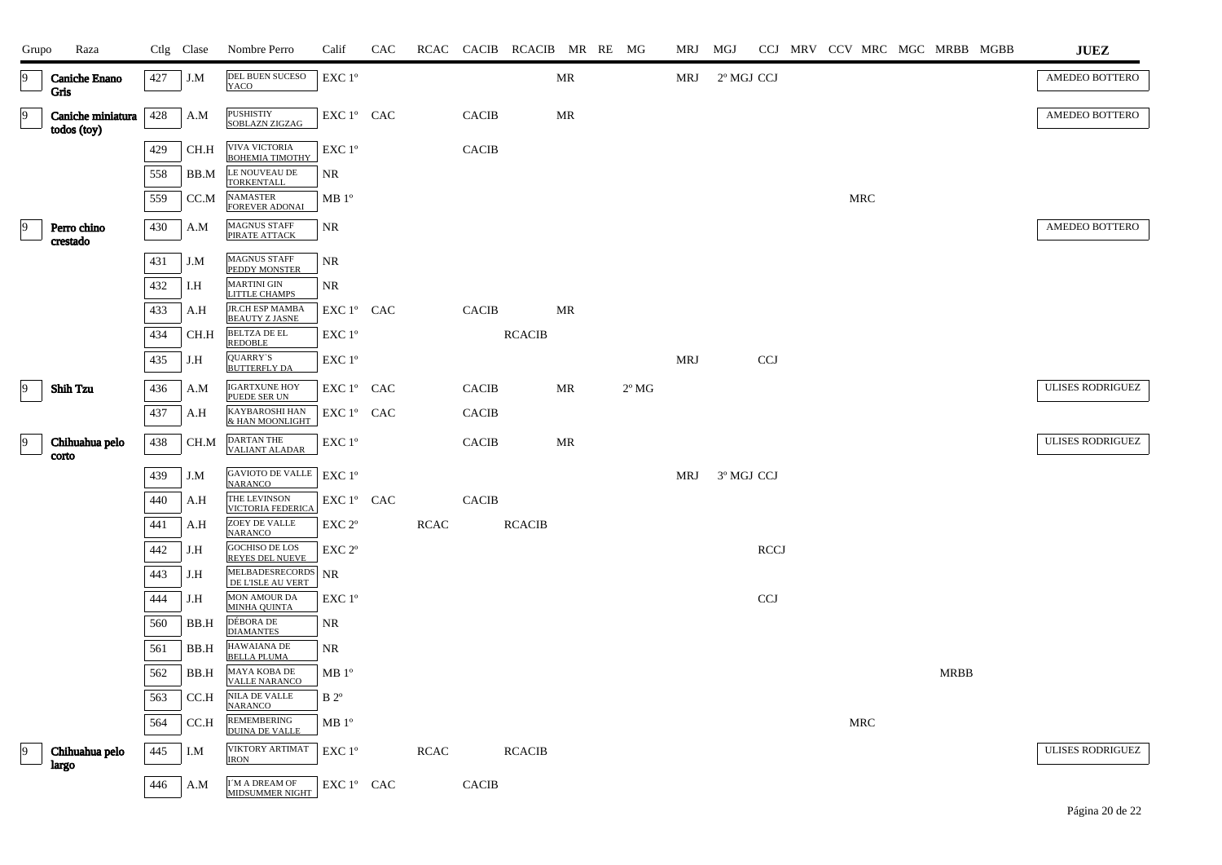| Grupo     | Raza                                |     | Ctlg Clase | Nombre Perro                                    | Calif                                      | CAC |             |              | RCAC CACIB RCACIB MR RE MG |                                   |                | MRJ MGJ    |            |             |  |     |                       | CCJ MRV CCV MRC MGC MRBB MGBB | JUEZ                    |
|-----------|-------------------------------------|-----|------------|-------------------------------------------------|--------------------------------------------|-----|-------------|--------------|----------------------------|-----------------------------------|----------------|------------|------------|-------------|--|-----|-----------------------|-------------------------------|-------------------------|
| 19        | <b>Caniche Enano</b><br><b>Gris</b> | 427 | J.M        | DEL BUEN SUCESO<br>YACO                         | $\ensuremath{\mathrm{EXC}}$ $1^\mathrm{o}$ |     |             |              |                            | $\ensuremath{\mathsf{MR}}\xspace$ |                | MRJ        | 2º MGJ CCJ |             |  |     |                       |                               | AMEDEO BOTTERO          |
| $\vert$ 9 | Caniche miniatura<br>todos (toy)    | 428 | A.M        | <b>PUSHISTIY</b><br>SOBLAZN ZIGZAG              | EXC 1° CAC                                 |     |             | <b>CACIB</b> |                            | MR                                |                |            |            |             |  |     |                       |                               | AMEDEO BOTTERO          |
|           |                                     | 429 | CH.H       | <b>VIVA VICTORIA</b><br><b>BOHEMIA TIMOTHY</b>  | EXC 1°                                     |     |             | <b>CACIB</b> |                            |                                   |                |            |            |             |  |     |                       |                               |                         |
|           |                                     | 558 | BB.M       | LE NOUVEAU DE<br><b>TORKENTALL</b>              | NR.                                        |     |             |              |                            |                                   |                |            |            |             |  |     |                       |                               |                         |
|           |                                     | 559 | CC.M       | <b>NAMASTER</b><br><b>FOREVER ADONAI</b>        | MB 1 <sup>o</sup>                          |     |             |              |                            |                                   |                |            |            |             |  | MRC |                       |                               |                         |
|           | Perro chino<br>crestado             | 430 | A.M        | MAGNUS STAFF<br>PIRATE ATTACK                   | <b>NR</b>                                  |     |             |              |                            |                                   |                |            |            |             |  |     |                       |                               | AMEDEO BOTTERO          |
|           |                                     | 431 | J.M        | <b>MAGNUS STAFF</b><br>PEDDY MONSTER            | <b>NR</b>                                  |     |             |              |                            |                                   |                |            |            |             |  |     |                       |                               |                         |
|           |                                     | 432 | I.H        | <b>MARTINI GIN</b><br>LITTLE CHAMPS             | NR.                                        |     |             |              |                            |                                   |                |            |            |             |  |     |                       |                               |                         |
|           |                                     | 433 | A.H        | <b>JR.CH ESP MAMBA</b><br><b>BEAUTY Z JASNE</b> | $EXC1^{\circ}$ CAC                         |     |             | <b>CACIB</b> |                            | MR                                |                |            |            |             |  |     |                       |                               |                         |
|           |                                     | 434 | CH.H       | <b>BELTZA DE EL</b><br><b>REDOBLE</b>           | EXC 1°                                     |     |             |              | <b>RCACIB</b>              |                                   |                |            |            |             |  |     |                       |                               |                         |
|           |                                     | 435 | J.H        | QUARRY`S<br><b>BUTTERFLY DA</b>                 | EXC 1°                                     |     |             |              |                            |                                   |                | <b>MRJ</b> |            | <b>CCJ</b>  |  |     |                       |                               |                         |
| 19        | <b>Shih Tzu</b>                     | 436 | A.M        | <b>IGARTXUNE HOY</b><br>PUEDE SER UN            | EXC 1º CAC                                 |     |             | <b>CACIB</b> |                            | MR                                | $2^{\circ}$ MG |            |            |             |  |     |                       |                               | <b>ULISES RODRIGUEZ</b> |
|           |                                     | 437 | A.H        | KAYBAROSHI HAN<br>& HAN MOONLIGHT               | EXC 1° CAC                                 |     |             | <b>CACIB</b> |                            |                                   |                |            |            |             |  |     |                       |                               |                         |
| -9        | Chihuahua pelo<br>corto             | 438 | CH.M       | <b>DARTAN THE</b><br><b>VALIANT ALADAR</b>      | EXC 1 <sup>o</sup>                         |     |             | <b>CACIB</b> |                            | MR                                |                |            |            |             |  |     |                       |                               | ULISES RODRIGUEZ        |
|           |                                     | 439 | J.M        | <b>GAVIOTO DE VALLE</b><br><b>NARANCO</b>       | $EXC1^{\circ}$                             |     |             |              |                            |                                   |                | MRJ        | 3º MGJ CCJ |             |  |     |                       |                               |                         |
|           |                                     | 440 | A.H        | THE LEVINSON<br><b>VICTORIA FEDERICA</b>        | EXC 1° CAC                                 |     |             | <b>CACIB</b> |                            |                                   |                |            |            |             |  |     |                       |                               |                         |
|           |                                     | 441 | A.H        | ZOEY DE VALLE<br><b>NARANCO</b>                 | EXC 2 <sup>o</sup>                         |     | <b>RCAC</b> |              | <b>RCACIB</b>              |                                   |                |            |            |             |  |     |                       |                               |                         |
|           |                                     | 442 | J.H        | <b>GOCHISO DE LOS</b><br><b>REYES DEL NUEVE</b> | EXC <sub>2°</sub>                          |     |             |              |                            |                                   |                |            |            | <b>RCCJ</b> |  |     |                       |                               |                         |
|           |                                     | 443 | J.H        | MELBADESRECORDS NR<br>DE L'ISLE AU VERT         |                                            |     |             |              |                            |                                   |                |            |            |             |  |     |                       |                               |                         |
|           |                                     | 444 | J.H        | MON AMOUR DA<br><b>MINHA QUINTA</b>             | $EXC1^{\circ}$                             |     |             |              |                            |                                   |                |            |            | <b>CCJ</b>  |  |     |                       |                               |                         |
|           |                                     | 560 | BB.H       | DÉBORA DE<br><b>DIAMANTES</b>                   | NR                                         |     |             |              |                            |                                   |                |            |            |             |  |     |                       |                               |                         |
|           |                                     | 561 | BB.H       | HAWAIANA DE<br><b>BELLA PLUMA</b>               | NR                                         |     |             |              |                            |                                   |                |            |            |             |  |     |                       |                               |                         |
|           |                                     | 562 | BB.H       | MAYA KOBA DE<br><b>VALLE NARANCO</b>            | MB 1 <sup>o</sup>                          |     |             |              |                            |                                   |                |            |            |             |  |     | $\operatorname{MRBB}$ |                               |                         |
|           |                                     | 563 | CC.H       | NILA DE VALLE<br><b>NARANCO</b>                 | B <sup>2</sup>                             |     |             |              |                            |                                   |                |            |            |             |  |     |                       |                               |                         |
|           |                                     | 564 | CC.H       | <b>REMEMBERING</b><br><b>DUINA DE VALLE</b>     | MB 1 <sup>o</sup>                          |     |             |              |                            |                                   |                |            |            |             |  | MRC |                       |                               |                         |
| 19        | Chihuahua pelo<br>largo             | 445 | I.M        | VIKTORY ARTIMAT<br><b>IRON</b>                  | EXC 1°                                     |     | <b>RCAC</b> |              | <b>RCACIB</b>              |                                   |                |            |            |             |  |     |                       |                               | ULISES RODRIGUEZ        |
|           |                                     | 446 | A.M        | I'M A DREAM OF<br><b>MIDSUMMER NIGHT</b>        | EXC 1° CAC                                 |     |             | <b>CACIB</b> |                            |                                   |                |            |            |             |  |     |                       |                               |                         |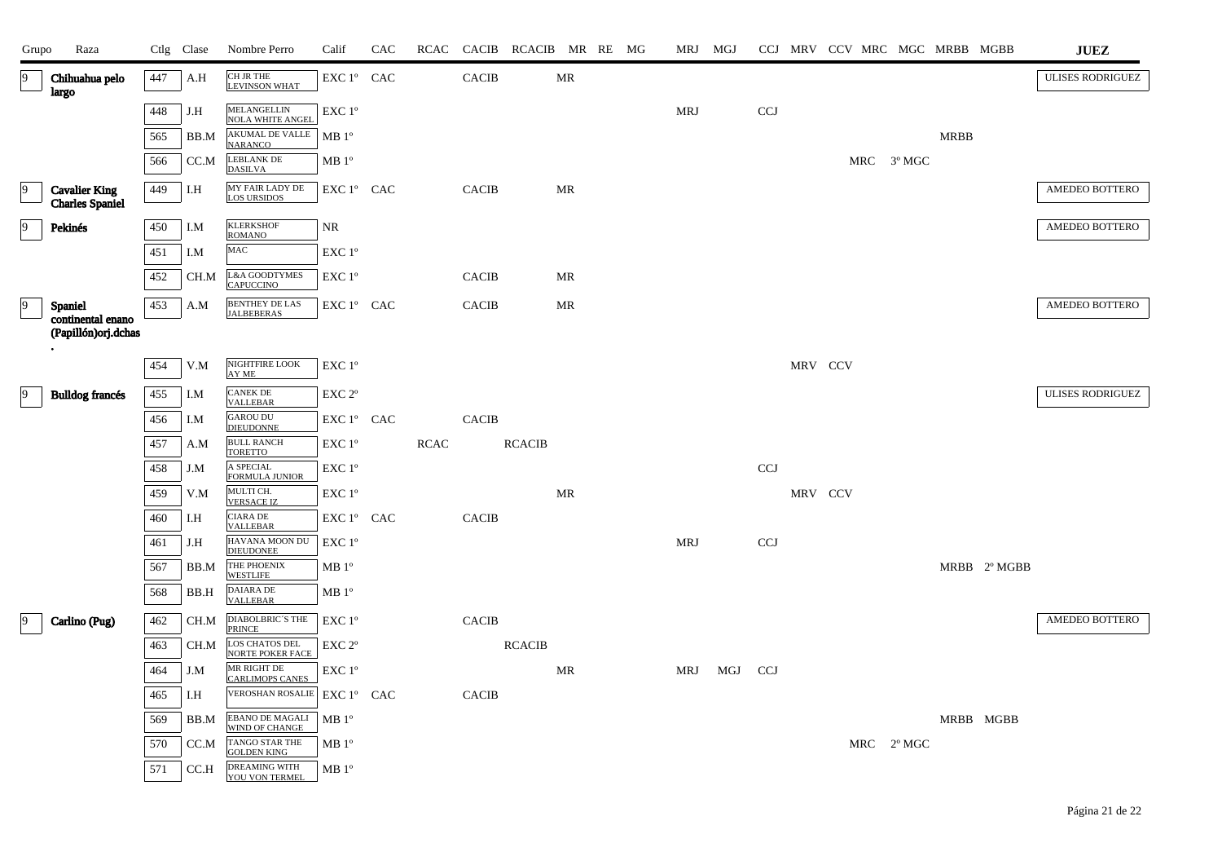| Grupo          | Raza                                                        |            | Ctlg Clase | Nombre Perro                                           | Calif                | CAC | RCAC        |              | CACIB RCACIB MR RE MG |                                   |  | MRJ MGJ    |     |            |         | CCJ MRV CCV MRC MGC MRBB MGBB |            |             |              | <b>JUEZ</b>             |
|----------------|-------------------------------------------------------------|------------|------------|--------------------------------------------------------|----------------------|-----|-------------|--------------|-----------------------|-----------------------------------|--|------------|-----|------------|---------|-------------------------------|------------|-------------|--------------|-------------------------|
| $\overline{9}$ | Chihuahua pelo<br>largo                                     | 447        | A.H        | CH JR THE<br><b>LEVINSON WHAT</b>                      | EXC 1° CAC           |     |             | <b>CACIB</b> |                       | $\ensuremath{\mathsf{MR}}\xspace$ |  |            |     |            |         |                               |            |             |              | <b>ULISES RODRIGUEZ</b> |
|                |                                                             | 448        | J.H        | <b>MELANGELLIN</b><br><b>NOLA WHITE ANGEL</b>          | EXC 1°               |     |             |              |                       |                                   |  | <b>MRJ</b> |     | <b>CCJ</b> |         |                               |            |             |              |                         |
|                |                                                             | 565        | BB.M       | <b>AKUMAL DE VALLE</b><br><b>NARANCO</b>               | MB <sup>0</sup>      |     |             |              |                       |                                   |  |            |     |            |         |                               |            | <b>MRBB</b> |              |                         |
|                |                                                             | 566        | CC.M       | LEBLANK DE<br><b>DASILVA</b>                           | MB 1 <sup>o</sup>    |     |             |              |                       |                                   |  |            |     |            |         |                               | MRC 3º MGC |             |              |                         |
| 9              | <b>Cavalier King</b><br><b>Charles Spaniel</b>              | 449        | I.H        | MY FAIR LADY DE<br><b>LOS URSIDOS</b>                  | EXC 1° CAC           |     |             | <b>CACIB</b> |                       | MR                                |  |            |     |            |         |                               |            |             |              | AMEDEO BOTTERO          |
| $\overline{9}$ | Pekinés                                                     | 450        | I.M        | <b>KLERKSHOF</b><br><b>ROMANO</b>                      | NR                   |     |             |              |                       |                                   |  |            |     |            |         |                               |            |             |              | AMEDEO BOTTERO          |
|                |                                                             | 451        | I.M        | $_{\mbox{MAC}}$                                        | EXC 1°               |     |             |              |                       |                                   |  |            |     |            |         |                               |            |             |              |                         |
|                |                                                             | 452        | CH.M       | <b>L&amp;A GOODTYMES</b><br><b>CAPUCCINO</b>           | EXC 1°               |     |             | <b>CACIB</b> |                       | MR                                |  |            |     |            |         |                               |            |             |              |                         |
| 19             | <b>Spaniel</b><br>continental enano<br>(Papillón) orj.dchas | 453        | A.M        | <b>BENTHEY DE LAS</b><br><b>JALBEBERAS</b>             | EXC 1° CAC           |     |             | <b>CACIB</b> |                       | MR                                |  |            |     |            |         |                               |            |             |              | AMEDEO BOTTERO          |
|                |                                                             |            |            |                                                        |                      |     |             |              |                       |                                   |  |            |     |            |         |                               |            |             |              |                         |
|                |                                                             | 454        | V.M        | NIGHTFIRE LOOK<br>AY ME                                | EXC 1°               |     |             |              |                       |                                   |  |            |     |            | MRV CCV |                               |            |             |              |                         |
| 9              | <b>Bulldog francés</b>                                      | 455        | I.M        | <b>CANEK DE</b><br><b>VALLEBAR</b>                     | EXC 2°               |     |             |              |                       |                                   |  |            |     |            |         |                               |            |             |              | <b>ULISES RODRIGUEZ</b> |
|                |                                                             | 456        | I.M        | <b>GAROU DU</b><br><b>DIEUDONNE</b>                    | EXC 1° CAC           |     |             | <b>CACIB</b> |                       |                                   |  |            |     |            |         |                               |            |             |              |                         |
|                |                                                             | 457        | A.M        | <b>BULL RANCH</b><br><b>TORETTO</b>                    | EXC 1°               |     | <b>RCAC</b> |              | <b>RCACIB</b>         |                                   |  |            |     |            |         |                               |            |             |              |                         |
|                |                                                             | 458        | J.M        | A SPECIAL<br><b>FORMULA JUNIOR</b>                     | EXC 1°               |     |             |              |                       |                                   |  |            |     | <b>CCJ</b> |         |                               |            |             |              |                         |
|                |                                                             | 459        | V.M        | MULTI CH.<br><b>VERSACE IZ</b><br><b>CIARA DE</b>      | EXC 1°               |     |             |              |                       | MR                                |  |            |     |            | MRV CCV |                               |            |             |              |                         |
|                |                                                             | 460<br>461 | I.H<br>J.H | <b>VALLEBAR</b><br>HAVANA MOON DU                      | EXC 1º CAC<br>EXC 1° |     |             | <b>CACIB</b> |                       |                                   |  | <b>MRJ</b> |     | <b>CCJ</b> |         |                               |            |             |              |                         |
|                |                                                             | 567        | BB.M       | <b>DIEUDONEE</b><br>THE PHOENIX                        | MB 1 <sup>o</sup>    |     |             |              |                       |                                   |  |            |     |            |         |                               |            |             | MRBB 2º MGBB |                         |
|                |                                                             | 568        | BB.H       | <b>WESTLIFE</b><br>DAIARA DE                           | MB 1 <sup>o</sup>    |     |             |              |                       |                                   |  |            |     |            |         |                               |            |             |              |                         |
| $\vert$ 9      | Carlino (Pug)                                               | 462        | CH.M       | <b>VALLEBAR</b><br>DIABOLBRIC'S THE                    | EXC 1°               |     |             | <b>CACIB</b> |                       |                                   |  |            |     |            |         |                               |            |             |              | AMEDEO BOTTERO          |
|                |                                                             | 463        | CH.M       | <b>PRINCE</b><br>LOS CHATOS DEL                        | EXC 2°               |     |             |              | <b>RCACIB</b>         |                                   |  |            |     |            |         |                               |            |             |              |                         |
|                |                                                             | 464        | J.M        | <b>NORTE POKER FACE</b><br>MR RIGHT DE                 | EXC 1°               |     |             |              |                       | MR                                |  | MRJ        | MGJ | <b>CCJ</b> |         |                               |            |             |              |                         |
|                |                                                             | 465        | I.H        | <b>CARLIMOPS CANES</b><br><b>VEROSHAN ROSALIE</b>      | EXC 1° CAC           |     |             | <b>CACIB</b> |                       |                                   |  |            |     |            |         |                               |            |             |              |                         |
|                |                                                             | 569        | BB.M       | EBANO DE MAGALI                                        | MB 1 <sup>o</sup>    |     |             |              |                       |                                   |  |            |     |            |         |                               |            | MRBB MGBB   |              |                         |
|                |                                                             | 570        | CC.M       | WIND OF CHANGE<br>TANGO STAR THE<br><b>GOLDEN KING</b> | MB <sup>0</sup>      |     |             |              |                       |                                   |  |            |     |            |         |                               | MRC 2º MGC |             |              |                         |
|                |                                                             | 571        | CC.H       | <b>DREAMING WITH</b><br>YOU VON TERMEL                 | MB 1 <sup>o</sup>    |     |             |              |                       |                                   |  |            |     |            |         |                               |            |             |              |                         |